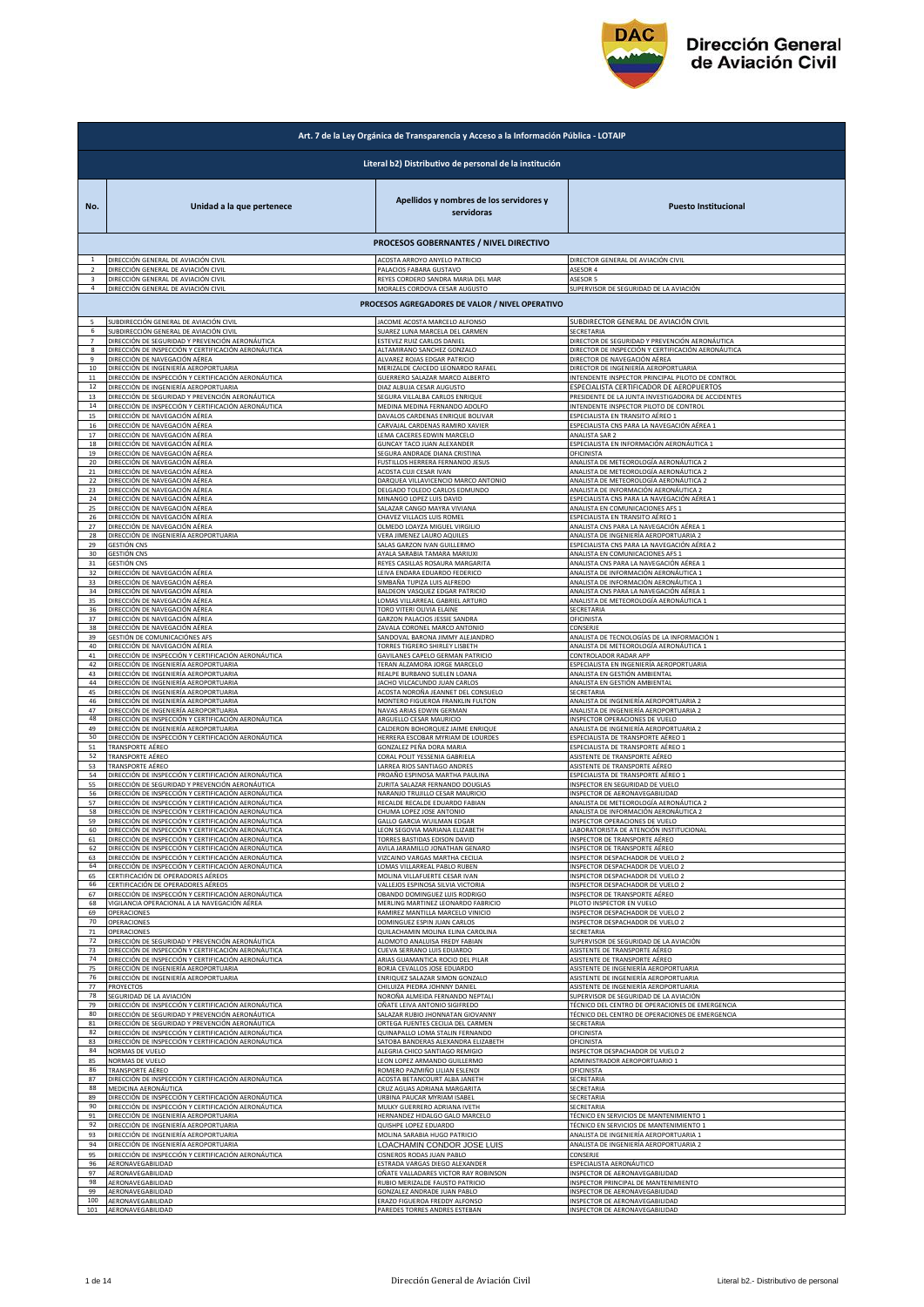

|                | Art. 7 de la Ley Orgánica de Transparencia y Acceso a la Información Pública - LOTAIP                      |                                                                                  |                                                                                      |  |
|----------------|------------------------------------------------------------------------------------------------------------|----------------------------------------------------------------------------------|--------------------------------------------------------------------------------------|--|
|                | Literal b2) Distributivo de personal de la institución                                                     |                                                                                  |                                                                                      |  |
| No.            | Unidad a la que pertenece                                                                                  | Apellidos y nombres de los servidores y<br>servidoras                            | <b>Puesto Institucional</b>                                                          |  |
|                |                                                                                                            | PROCESOS GOBERNANTES / NIVEL DIRECTIVO                                           |                                                                                      |  |
| $\overline{2}$ | DIRECCIÓN GENERAL DE AVIACIÓN CIVIL                                                                        | ACOSTA ARROYO ANYELO PATRICIO                                                    | DIRECTOR GENERAL DE AVIACIÓN CIVIL                                                   |  |
|                | DIRECCIÓN GENERAL DE AVIACIÓN CIVIL                                                                        | PALACIOS FABARA GUSTAVO                                                          | ASESOR 4                                                                             |  |
| $\overline{3}$ | DIRECCIÓN GENERAL DE AVIACIÓN CIVIL                                                                        | REYES CORDERO SANDRA MARIA DEL MAR                                               | ASESOR 5                                                                             |  |
| 4              | DIRECCIÓN GENERAL DE AVIACIÓN CIVIL                                                                        | MORALES CORDOVA CESAR AUGUSTO<br>PROCESOS AGREGADORES DE VALOR / NIVEL OPERATIVO | SUPERVISOR DE SEGURIDAD DE LA AVIACIÓN                                               |  |
| 6              | SUBDIRECCIÓN GENERAL DE AVIACIÓN CIVIL                                                                     | JACOME ACOSTA MARCELO ALFONSO                                                    | SUBDIRECTOR GENERAL DE AVIACIÓN CIVIL                                                |  |
|                | SUBDIRECCIÓN GENERAL DE AVIACIÓN CIVIL                                                                     | SUAREZ LUNA MARCELA DEL CARMEN                                                   | SECRETARIA                                                                           |  |
|                | DIRECCIÓN DE SEGURIDAD Y PREVENCIÓN AERONÁUTICA                                                            | ESTEVEZ RUIZ CARLOS DANIEL                                                       | DIRECTOR DE SEGURIDAD Y PREVENCIÓN AERONÁUTICA                                       |  |
| 8              | DIRECCIÓN DE INSPECCIÓN Y CERTIFICACIÓN AERONÁUTICA                                                        | ALTAMIRANO SANCHEZ GONZALO                                                       | DIRECTOR DE INSPECCIÓN Y CERTIFICACIÓN AERONÁUTICA                                   |  |
| 9              | DIRECCIÓN DE NAVEGACIÓN AÉREA                                                                              | ALVAREZ ROJAS EDGAR PATRICIO                                                     | DIRECTOR DE NAVEGACIÓN AÉREA                                                         |  |
| 10             | DIRECCIÓN DE INGENIERÍA AEROPORTUARIA                                                                      | MERIZALDE CAICEDO LEONARDO RAFAEL                                                | DIRECTOR DE INGENIERÍA AEROPORTUARIA                                                 |  |
| $11\,$         | DIRECCIÓN DE INSPECCIÓN Y CERTIFICACIÓN AERONÁUTICA                                                        | GUERRERO SALAZAR MARCO ALBERTO                                                   | INTENDENTE INSPECTOR PRINCIPAL PILOTO DE CONTROL                                     |  |
| 12             | DIRECCIÓN DE INGENIERÍA AEROPORTUARIA                                                                      | DIAZ ALBUJA CESAR AUGUSTO                                                        | ESPECIALISTA CERTIFICADOR DE AEROPUERTOS                                             |  |
| 13             | DIRECCIÓN DE SEGURIDAD Y PREVENCIÓN AERONÁUTICA                                                            | SEGURA VILLALBA CARLOS ENRIQUE                                                   | PRESIDENTE DE LA JUNTA INVESTIGADORA DE ACCIDENTES                                   |  |
| 14             | DIRECCIÓN DE INSPECCIÓN Y CERTIFICACIÓN AERONÁUTICA                                                        | MEDINA MEDINA FERNANDO ADOLFO                                                    | INTENDENTE INSPECTOR PILOTO DE CONTROL                                               |  |
| 15             | DIRECCIÓN DE NAVEGACIÓN AÉREA                                                                              | DAVALOS CARDENAS ENRIQUE BOLIVAR                                                 | ESPECIALISTA EN TRANSITO AÉREO 1                                                     |  |
| 16             | DIRECCIÓN DE NAVEGACIÓN AÉREA                                                                              | CARVAJAL CARDENAS RAMIRO XAVIER                                                  | ESPECIALISTA CNS PARA LA NAVEGACIÓN AÉREA 1                                          |  |
| 17             | DIRECCIÓN DE NAVEGACIÓN AÉREA                                                                              | LEMA CACERES EDWIN MARCELO                                                       | ANALISTA SAR 2                                                                       |  |
| 18             | DIRECCIÓN DE NAVEGACIÓN AÉREA                                                                              | GUNCAY TACO JUAN ALEXANDER                                                       | ESPECIALISTA EN INFORMACIÓN AERONÁUTICA 1                                            |  |
| 19             | DIRECCIÓN DE NAVEGACIÓN AÉREA                                                                              | SEGURA ANDRADE DIANA CRISTINA                                                    | <b><i>OFICINISTA</i></b>                                                             |  |
| 20             | DIRECCIÓN DE NAVEGACIÓN AÉREA                                                                              | FUSTILLOS HERRERA FERNANDO JESUS                                                 | ANALISTA DE METEOROLOGÍA AERONÁUTICA 2                                               |  |
| 22             | DIRECCIÓN DE NAVEGACIÓN AÉREA                                                                              | ACOSTA CUJI CESAR IVAN                                                           | ANALISTA DE METEOROLOGÍA AERONÁUTICA 2                                               |  |
|                | DIRECCIÓN DE NAVEGACIÓN AÉREA                                                                              | DARQUEA VILLAVICENCIO MARCO ANTONIO                                              | ANALISTA DE METEOROLOGÍA AERONÁUTICA 2                                               |  |
| 23             | DIRECCIÓN DE NAVEGACIÓN AÉREA                                                                              | DELGADO TOLEDO CARLOS EDMUNDO                                                    | ANALISTA DE INFORMACIÓN AERONÁUTICA 2<br>ESPECIALISTA CNS PARA LA NAVEGACIÓN AÉREA 1 |  |
| 24             | DIRECCIÓN DE NAVEGACIÓN AÉREA                                                                              | MINANGO LOPEZ LUIS DAVID                                                         | ANALISTA EN COMUNICACIONES AFS 1                                                     |  |
| 25             | DIRECCIÓN DE NAVEGACIÓN AÉREA                                                                              | SALAZAR CANGO MAYRA VIVIANA                                                      |                                                                                      |  |
| 26             | DIRECCIÓN DE NAVEGACIÓN AÉREA                                                                              | CHAVEZ VILLACIS LUIS ROMEL                                                       | ESPECIALISTA EN TRANSITO AÉREO 1                                                     |  |
| 27             | DIRECCIÓN DE NAVEGACIÓN AÉREA                                                                              | OLMEDO LOAYZA MIGUEL VIRGILIO                                                    | ANALISTA CNS PARA LA NAVEGACIÓN AÉREA 1                                              |  |
| 28             | DIRECCIÓN DE INGENIERÍA AEROPORTUARIA                                                                      | VERA JIMENEZ LAURO AQUILES                                                       | ANALISTA DE INGENIERÍA AEROPORTUARIA 2                                               |  |
| 29             | <b>GESTIÓN CNS</b>                                                                                         | SALAS GARZON IVAN GUILLERMO                                                      | ESPECIALISTA CNS PARA LA NAVEGACIÓN AÉREA 2                                          |  |
| 30             | <b>GESTIÓN CNS</b>                                                                                         | AYALA SARABIA TAMARA MARIUXI                                                     | ANALISTA EN COMUNICACIONES AFS 1                                                     |  |
| 31             | <b>GESTIÓN CNS</b>                                                                                         | REYES CASILLAS ROSAURA MARGARITA                                                 | ANALISTA CNS PARA LA NAVEGACIÓN AÉREA 1                                              |  |
| 32             | DIRECCIÓN DE NAVEGACIÓN AÉREA                                                                              | LEIVA ENDARA EDUARDO FEDERICO                                                    | ANALISTA DE INFORMACIÓN AERONÁUTICA 1                                                |  |
| 33             | DIRECCIÓN DE NAVEGACIÓN AÉREA                                                                              | SIMBAÑA TUPIZA LUIS ALFREDO                                                      | ANALISTA DE INFORMACIÓN AERONÁUTICA 1                                                |  |
| 34             | DIRECCIÓN DE NAVEGACIÓN AÉREA                                                                              | BALDEON VASQUEZ EDGAR PATRICIO                                                   | ANALISTA CNS PARA LA NAVEGACIÓN AÉREA 1                                              |  |
| 35             | DIRECCIÓN DE NAVEGACIÓN AÉREA                                                                              | LOMAS VILLARREAL GABRIEL ARTURO                                                  | ANALISTA DE METEOROLOGÍA AERONÁUTICA 1                                               |  |
| 36             | DIRECCIÓN DE NAVEGACIÓN AÉREA                                                                              | TORO VITERI OLIVIA ELAINE                                                        | SECRETARIA                                                                           |  |
| 37             | DIRECCIÓN DE NAVEGACIÓN AÉREA                                                                              | GARZON PALACIOS JESSIE SANDRA                                                    | OFICINISTA                                                                           |  |
| 38             | DIRECCIÓN DE NAVEGACIÓN AÉREA                                                                              | ZAVALA CORONEL MARCO ANTONIO                                                     | CONSERJE                                                                             |  |
| 39             | GESTIÓN DE COMUNICACIÓNES AFS                                                                              | SANDOVAL BARONA JIMMY ALEJANDRO                                                  | ANALISTA DE TECNOLOGÍAS DE LA INFORMACIÓN 1                                          |  |
| 40             | DIRECCIÓN DE NAVEGACIÓN AÉREA                                                                              | TORRES TIGRERO SHIRLEY LISBETH                                                   | ANALISTA DE METEOROLOGÍA AERONÁUTICA 1                                               |  |
| 41             | DIRECCIÓN DE INSPECCIÓN Y CERTIFICACIÓN AERONÁUTICA                                                        | GAVILANES CAPELO GERMAN PATRICIO                                                 | CONTROLADOR RADAR APP                                                                |  |
| 42             | DIRECCIÓN DE INGENIERÍA AEROPORTUARIA                                                                      | TERAN ALZAMORA JORGE MARCELO                                                     | ESPECIALISTA EN INGENIERÍA AEROPORTUARIA                                             |  |
| 43             | DIRECCIÓN DE INGENIERÍA AEROPORTUARIA                                                                      | REALPE BURBANO SUELEN LOANA                                                      | <u>ANALISTA EN GESTIÓN AMBIENTAL</u>                                                 |  |
| 44             | DIRECCIÓN DE INGENIERÍA AEROPORTUARIA                                                                      | JACHO VILCACUNDO JUAN CARLOS                                                     | ANALISTA EN GESTIÓN AMBIENTAL                                                        |  |
| 45<br>46       | DIRECCIÓN DE INGENIERÍA AEROPORTUARIA                                                                      | ACOSTA NOROÑA JEANNET DEL CONSUELO                                               | SECRETARIA                                                                           |  |
| 47             | DIRECCIÓN DE INGENIERÍA AEROPORTUARIA                                                                      | MONTERO FIGUEROA FRANKLIN FULTON                                                 | ANALISTA DE INGENIERÍA AEROPORTUARIA 2                                               |  |
|                | DIRECCIÓN DE INGENIERÍA AEROPORTUARIA                                                                      | NAVAS ARIAS EDWIN GERMAN                                                         | ANALISTA DE INGENIERÍA AEROPORTUARIA 2                                               |  |
| 48             | DIRECCIÓN DE INSPECCIÓN Y CERTIFICACIÓN AERONÁUTICA                                                        | ARGUELLO CESAR MAURICIO                                                          | INSPECTOR OPERACIONES DE VUELO                                                       |  |
| 49             | DIRECCIÓN DE INGENIERÍA AEROPORTUARIA                                                                      | CALDERON BOHORQUEZ JAIME ENRIQUE                                                 | ANALISTA DE INGENIERÍA AEROPORTUARIA 2                                               |  |
| 50             | DIRECCIÓN DE INSPECCIÓN Y CERTIFICACIÓN AERONÁUTICA                                                        | HERRERA ESCOBAR MYRIAM DE LOURDES                                                | ESPECIALISTA DE TRANSPORTE AÉREO 1                                                   |  |
| 51             | TRANSPORTE AÉREO                                                                                           | GONZALEZ PEÑA DORA MARIA                                                         | ESPECIALISTA DE TRANSPORTE AÉREO 1                                                   |  |
| 52             | TRANSPORTE AÉREO                                                                                           | CORAL POLIT YESSENIA GABRIELA                                                    | ASISTENTE DE TRANSPORTE AÉREO                                                        |  |
| 53             | TRANSPORTE AÉREO                                                                                           | LARREA RIOS SANTIAGO ANDRES                                                      | ASISTENTE DE TRANSPORTE AÉREO                                                        |  |
| 54             | DIRECCIÓN DE INSPECCIÓN Y CERTIFICACIÓN AERONÁUTICA                                                        | PROAÑO ESPINOSA MARTHA PAULINA                                                   | ESPECIALISTA DE TRANSPORTE AÉREO 1                                                   |  |
| 55             | DIRECCIÓN DE SEGURIDAD Y PREVENCIÓN AERONÁUTICA                                                            | ZURITA SALAZAR FERNANDO DOUGLAS                                                  | INSPECTOR EN SEGURIDAD DE VUELO                                                      |  |
| 56             | DIRECCIÓN DE INSPECCIÓN Y CERTIFICACIÓN AERONÁUTICA                                                        | NARANJO TRUJILLO CESAR MAURICIO                                                  | INSPECTOR DE AERONAVEGABILIDAD                                                       |  |
| 57             | DIRECCIÓN DE INSPECCIÓN Y CERTIFICACIÓN AERONÁUTICA                                                        | RECALDE RECALDE EDUARDO FABIAN                                                   | ANALISTA DE METEOROLOGÍA AERONÁUTICA 2                                               |  |
| 58             | DIRECCIÓN DE INSPECCIÓN Y CERTIFICACIÓN AERONÁUTICA                                                        | CHUMA LOPEZ JOSE ANTONIO                                                         | ANALISTA DE INFORMACIÓN AERONÁUTICA 2                                                |  |
| 60             | DIRECCIÓN DE INSPECCIÓN Y CERTIFICACIÓN AERONÁUTICA                                                        | GALLO GARCIA WUILMAN EDGAR                                                       | INSPECTOR OPERACIONES DE VUELO                                                       |  |
|                | DIRECCIÓN DE INSPECCIÓN Y CERTIFICACIÓN AERONÁUTICA                                                        | LEON SEGOVIA MARIANA ELIZABETH                                                   | LABORATORISTA DE ATENCIÓN INSTITUCIONAL                                              |  |
| 61             | DIRECCIÓN DE INSPECCIÓN Y CERTIFICACIÓN AERONÁUTICA                                                        | TORRES BASTIDAS EDISON DAVID                                                     | INSPECTOR DE TRANSPORTE AÉREO                                                        |  |
| 62             | DIRECCIÓN DE INSPECCIÓN Y CERTIFICACIÓN AERONÁUTICA                                                        | AVILA JARAMILLO JONATHAN GENARO                                                  | INSPECTOR DE TRANSPORTE AÉREO                                                        |  |
| 63             | DIRECCIÓN DE INSPECCIÓN Y CERTIFICACIÓN AERONÁUTICA                                                        | VIZCAINO VARGAS MARTHA CECILIA                                                   | INSPECTOR DESPACHADOR DE VUELO 2                                                     |  |
| 64             | DIRECCIÓN DE INSPECCIÓN Y CERTIFICACIÓN AERONÁUTICA                                                        | LOMAS VILLARREAL PABLO RUBEN                                                     | INSPECTOR DESPACHADOR DE VUELO 2                                                     |  |
| 65             | CERTIFICACIÓN DE OPERADORES AÉREOS                                                                         | MOLINA VILLAFUERTE CESAR IVAN                                                    | INSPECTOR DESPACHADOR DE VUELO 2                                                     |  |
| 66             | CERTIFICACIÓN DE OPERADORES AÉREOS                                                                         | VALLEJOS ESPINOSA SILVIA VICTORIA                                                | INSPECTOR DESPACHADOR DE VUELO 2                                                     |  |
| 67             | DIRECCIÓN DE INSPECCIÓN Y CERTIFICACIÓN AERONÁUTICA                                                        | OBANDO DOMINGUEZ LUIS RODRIGO                                                    | INSPECTOR DE TRANSPORTE AÉREO                                                        |  |
| 68             | VIGILANCIA OPERACIONAL A LA NAVEGACIÓN AÉREA                                                               | MERLING MARTINEZ LEONARDO FABRICIO                                               | PILOTO INSPECTOR EN VUELO                                                            |  |
| 69             | OPERACIONES                                                                                                | RAMIREZ MANTILLA MARCELO VINICIO                                                 | INSPECTOR DESPACHADOR DE VUELO 2                                                     |  |
| 70             | OPERACIONES                                                                                                | DOMINGUEZ ESPIN JUAN CARLOS                                                      | INSPECTOR DESPACHADOR DE VUELO 2                                                     |  |
| $71\,$         | OPERACIONES                                                                                                | QUILACHAMIN MOLINA ELINA CAROLINA                                                | SECRETARIA                                                                           |  |
| 72             | DIRECCIÓN DE SEGURIDAD Y PREVENCIÓN AERONÁUTICA                                                            | ALOMOTO ANALUISA FREDY FABIAN                                                    | SUPERVISOR DE SEGURIDAD DE LA AVIACIÓN                                               |  |
| 73             | DIRECCIÓN DE INSPECCIÓN Y CERTIFICACIÓN AERONÁUTICA                                                        | CUEVA SERRANO LUIS EDUARDO                                                       | ASISTENTE DE TRANSPORTE AÉREO                                                        |  |
| 74             | DIRECCIÓN DE INSPECCIÓN Y CERTIFICACIÓN AERONÁUTICA                                                        | ARIAS GUAMANTICA ROCIO DEL PILAR                                                 | ASISTENTE DE TRANSPORTE AÉREO                                                        |  |
| 75             | DIRECCIÓN DE INGENIERÍA AEROPORTUARIA                                                                      | BORJA CEVALLOS JOSE EDUARDO                                                      | ASISTENTE DE INGENIERÍA AEROPORTUARIA                                                |  |
| 76             | DIRECCIÓN DE INGENIERÍA AEROPORTUARIA                                                                      | ENRIQUEZ SALAZAR SIMON GONZALO                                                   | ASISTENTE DE INGENIERÍA AEROPORTUARIA                                                |  |
| 77             | PROYECTOS                                                                                                  | CHILUIZA PIEDRA JOHNNY DANIEL                                                    | ASISTENTE DE INGENIERÍA AEROPORTUARIA                                                |  |
| 78             | SEGURIDAD DE LA AVIACIÓN                                                                                   | NOROÑA ALMEIDA FERNANDO NEPTALI                                                  | SUPERVISOR DE SEGURIDAD DE LA AVIACIÓN                                               |  |
| 79             | DIRECCIÓN DE INSPECCIÓN Y CERTIFICACIÓN AERONÁUTICA                                                        | OÑATE LEIVA ANTONIO SIGIFREDO                                                    | TÉCNICO DEL CENTRO DE OPERACIONES DE EMERGENCIA                                      |  |
| 80             | DIRECCIÓN DE SEGURIDAD Y PREVENCIÓN AERONÁUTICA                                                            | SALAZAR RUBIO JHONNATAN GIOVANNY                                                 | TÉCNICO DEL CENTRO DE OPERACIONES DE EMERGENCIA                                      |  |
| 81             | DIRECCIÓN DE SEGURIDAD Y PREVENCIÓN AERONÁUTICA                                                            | ORTEGA FUENTES CECILIA DEL CARMEN                                                | SECRETARIA                                                                           |  |
| 82             | DIRECCIÓN DE INSPECCIÓN Y CERTIFICACIÓN AERONÁUTICA<br>DIRECCIÓN DE INSPECCIÓN Y CERTIFICACIÓN AERONÁUTICA | QUINAPALLO LOMA STALIN FERNANDO                                                  | OFICINISTA<br>OFICINISTA                                                             |  |
| 83<br>84       | NORMAS DE VUELO                                                                                            | SATOBA BANDERAS ALEXANDRA ELIZABETH<br>ALEGRIA CHICO SANTIAGO REMIGIO            | INSPECTOR DESPACHADOR DE VUELO 2                                                     |  |
| 85             | NORMAS DE VUELO                                                                                            | LEON LOPEZ ARMANDO GUILLERMO                                                     | ADMINISTRADOR AEROPORTUARIO 1                                                        |  |
| 86             | TRANSPORTE AÉREO                                                                                           | ROMERO PAZMIÑO LILIAN ESLENDI                                                    | OFICINISTA                                                                           |  |
| 87             | DIRECCIÓN DE INSPECCIÓN Y CERTIFICACIÓN AERONÁUTICA                                                        | ACOSTA BETANCOURT ALBA JANETH                                                    | SECRETARIA                                                                           |  |
| 88             | MEDICINA AERONÁUTICA                                                                                       | CRUZ AGUAS ADRIANA MARGARITA                                                     | SECRETARIA                                                                           |  |
| 89             | DIRECCIÓN DE INSPECCIÓN Y CERTIFICACIÓN AERONÁUTICA                                                        | URBINA PAUCAR MYRIAM ISABEL                                                      | SECRETARIA                                                                           |  |
| 90             | DIRECCIÓN DE INSPECCIÓN Y CERTIFICACIÓN AERONÁUTICA                                                        | MULKY GUERRERO ADRIANA IVETH                                                     | SECRETARIA                                                                           |  |
| 91             | DIRECCIÓN DE INGENIERÍA AEROPORTUARIA                                                                      | HERNANDEZ HIDALGO GALO MARCELO                                                   | TÉCNICO EN SERVICIOS DE MANTENIMIENTO 1                                              |  |
| 92             | DIRECCIÓN DE INGENIERÍA AEROPORTUARIA                                                                      | QUISHPE LOPEZ EDUARDO                                                            | TÉCNICO EN SERVICIOS DE MANTENIMIENTO 1                                              |  |
| 93             | DIRECCIÓN DE INGENIERÍA AEROPORTUARIA                                                                      | MOLINA SARABIA HUGO PATRICIO                                                     | ANALISTA DE INGENIERÍA AEROPORTUARIA 1                                               |  |
| 94             | DIRECCIÓN DE INGENIERÍA AEROPORTUARIA                                                                      | LOACHAMIN CONDOR JOSE LUIS                                                       | ANALISTA DE INGENIERÍA AEROPORTUARIA 2                                               |  |
| 95             | DIRECCIÓN DE INSPECCIÓN Y CERTIFICACIÓN AERONÁUTICA                                                        | CISNEROS RODAS JUAN PABLO                                                        | CONSERJE                                                                             |  |
| 96             | AERONAVEGABILIDAD                                                                                          | ESTRADA VARGAS DIEGO ALEXANDER                                                   | ESPECIALISTA AERONÁUTICO                                                             |  |
| 97             | AERONAVEGABILIDAD                                                                                          | OÑATE VALLADARES VICTOR RAY ROBINSON                                             | INSPECTOR DE AERONAVEGABILIDAD                                                       |  |
| 98             | AERONAVEGABILIDAD                                                                                          | RUBIO MERIZALDE FAUSTO PATRICIO                                                  | INSPECTOR PRINCIPAL DE MANTENIMIENTO                                                 |  |
| 99             | AERONAVEGABILIDAD                                                                                          | GONZALEZ ANDRADE JUAN PABLO                                                      | INSPECTOR DE AERONAVEGABILIDAD                                                       |  |
| 100            | AERONAVEGABILIDAD                                                                                          | ERAZO FIGUEROA FREDDY ALFONSO                                                    | INSPECTOR DE AERONAVEGABILIDAD                                                       |  |
| 101            | AERONAVEGABILIDAD                                                                                          | PAREDES TORRES ANDRES ESTEBAN                                                    | INSPECTOR DE AERONAVEGABILIDAD                                                       |  |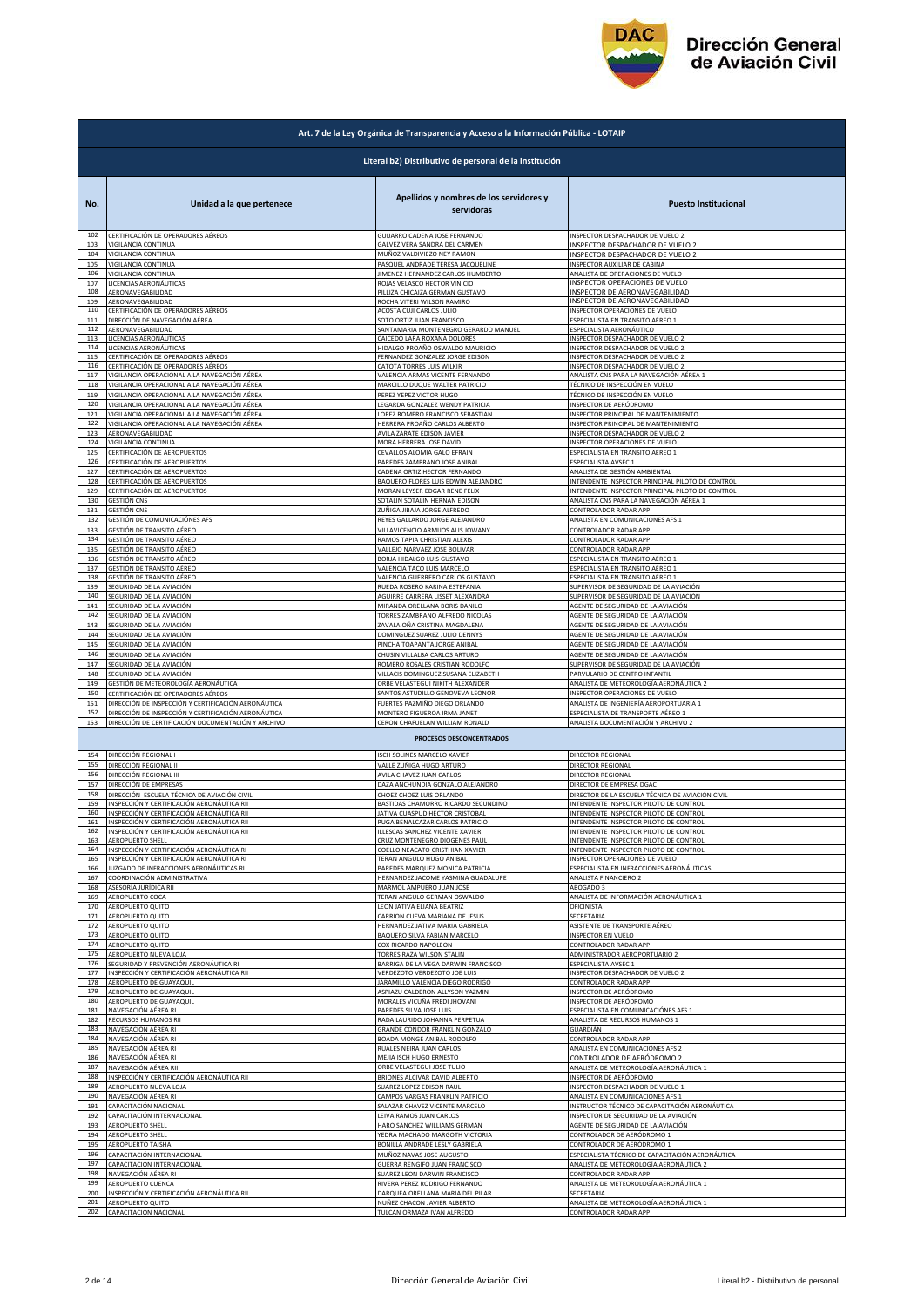

|            | Art. 7 de la Ley Orgánica de Transparencia y Acceso a la Información Pública - LOTAIP                     |                                                                        |                                                                                             |  |
|------------|-----------------------------------------------------------------------------------------------------------|------------------------------------------------------------------------|---------------------------------------------------------------------------------------------|--|
|            | Literal b2) Distributivo de personal de la institución                                                    |                                                                        |                                                                                             |  |
| No.        | Unidad a la que pertenece                                                                                 | Apellidos y nombres de los servidores y<br>servidoras                  | <b>Puesto Institucional</b>                                                                 |  |
| 102<br>103 | CERTIFICACIÓN DE OPERADORES AÉREOS<br>VIGILANCIA CONTINUA                                                 | GUIJARRO CADENA JOSE FERNANDO<br>GALVEZ VERA SANDRA DEL CARMEN         | INSPECTOR DESPACHADOR DE VUELO 2<br>INSPECTOR DESPACHADOR DE VUELO 2                        |  |
| 104        | VIGILANCIA CONTINUA                                                                                       | MUÑOZ VALDIVIEZO NEY RAMON                                             | INSPECTOR DESPACHADOR DE VUELO 2                                                            |  |
| 105<br>106 | VIGILANCIA CONTINUA<br>VIGILANCIA CONTINUA                                                                | PASQUEL ANDRADE TERESA JACQUELINE<br>JIMENEZ HERNANDEZ CARLOS HUMBERTO | INSPECTOR AUXILIAR DE CABINA<br>MALISTA DE OPERACIONES DE VUELO                             |  |
| 107        | LICENCIAS AERONÁUTICAS                                                                                    | ROJAS VELASCO HECTOR VINICIO                                           | INSPECTOR OPERACIONES DE VUELO                                                              |  |
| 108<br>109 | AERONAVEGABILIDAD<br>AERONAVEGABILIDAD                                                                    | PILLIZA CHICAIZA GERMAN GUSTAVO<br>ROCHA VITERI WILSON RAMIRO          | INSPECTOR DE AERONAVEGABILIDAD<br>INSPECTOR DE AERONAVEGABILIDAD                            |  |
| 110        | CERTIFICACIÓN DE OPERADORES AÉREOS                                                                        | ACOSTA CUJI CARLOS JULIO                                               | INSPECTOR OPERACIONES DE VUELO                                                              |  |
| 111<br>112 | DIRECCIÓN DE NAVEGACIÓN AÉREA<br>AERONAVEGABILIDAD                                                        | SOTO ORTIZ JUAN FRANCISCO<br>SANTAMARIA MONTENEGRO GERARDO MANUEL      | ESPECIALISTA EN TRANSITO AÉREO 1<br>SPECIALISTA AERONÁUTICO                                 |  |
| 113<br>114 | LICENCIAS AERONÁUTICAS                                                                                    | CAICEDO LARA ROXANA DOLORES                                            | INSPECTOR DESPACHADOR DE VUELO 2                                                            |  |
| 115        | LICENCIAS AERONÁUTICAS<br><u>CERTIFICACIÓN DE OPERADORES AÉREOS</u>                                       | HIDALGO PROAÑO OSWALDO MAURICIO<br>FERNANDEZ GONZALEZ JORGE EDISON     | INSPECTOR DESPACHADOR DE VUELO 2<br>INSPECTOR DESPACHADOR DE VUELO :                        |  |
| 116<br>117 | CERTIFICACIÓN DE OPERADORES AÉREOS<br>VIGILANCIA OPERACIONAL A LA NAVEGACIÓN AÉREA                        | CATOTA TORRES LUIS WILKIR<br>VALENCIA ARMAS VICENTE FERNANDO           | INSPECTOR DESPACHADOR DE VUELO 2<br>ANALISTA CNS PARA LA NAVEGACIÓN AÉREA 1                 |  |
| 118        | VIGILANCIA OPERACIONAL A LA NAVEGACIÓN AÉREA                                                              | MARCILLO DUQUE WALTER PATRICIO                                         | TÉCNICO DE INSPECCIÓN EN VUELO                                                              |  |
| 119        | VIGILANCIA OPERACIONAL A LA NAVEGACIÓN AÉREA                                                              | PEREZ YEPEZ VICTOR HUGO                                                | TÉCNICO DE INSPECCIÓN EN VUELO                                                              |  |
| 120<br>121 | VIGILANCIA OPERACIONAL A LA NAVEGACIÓN AÉREA<br>VIGILANCIA OPERACIONAL A LA NAVEGACIÓN AÉREA              | LEGARDA GONZALEZ WENDY PATRICIA<br>LOPEZ ROMERO FRANCISCO SEBASTIAN    | NSPECTOR DE AERÓDROMO<br>INSPECTOR PRINCIPAL DE MANTENIMIENTO                               |  |
| 122        | VIGILANCIA OPERACIONAL A LA NAVEGACIÓN AÉREA                                                              | HERRERA PROAÑO CARLOS ALBERTO                                          | INSPECTOR PRINCIPAL DE MANTENIMIENTO                                                        |  |
| 123<br>124 | AERONAVEGABILIDAD<br>VIGILANCIA CONTINUA                                                                  | AVILA ZARATE EDISON JAVIER<br>MORA HERRERA JOSE DAVID                  | INSPECTOR DESPACHADOR DE VUELO 2<br>INSPECTOR OPERACIONES DE VUELO                          |  |
| 125        | CERTIFICACIÓN DE AEROPUERTOS                                                                              | CEVALLOS ALOMIA GALO EFRAIN                                            | ESPECIALISTA EN TRANSITO AÉREO 1                                                            |  |
| 126<br>127 | CERTIFICACIÓN DE AEROPUERTOS<br>CERTIFICACIÓN DE AEROPUERTOS                                              | PAREDES ZAMBRANO JOSE ANIBAL<br>CADENA ORTIZ HECTOR FERNANDO           | ESPECIALISTA AVSEC 1<br>ANALISTA DE GESTIÓN AMBIENTAL                                       |  |
| 128        | CERTIFICACIÓN DE AEROPUERTOS                                                                              | BAQUERO FLORES LUIS EDWIN ALEJANDRO                                    | INTENDENTE INSPECTOR PRINCIPAL PILOTO DE CONTROL                                            |  |
| 129<br>130 | CERTIFICACIÓN DE AEROPUERTOS<br><b>GESTIÓN CNS</b>                                                        | MORAN LEYSER EDGAR RENE FELIX<br>SOTALIN SOTALIN HERNAN EDISON         | INTENDENTE INSPECTOR PRINCIPAL PILOTO DE CONTROL<br>ANALISTA CNS PARA LA NAVEGACIÓN AÉREA 1 |  |
| 131        | <b>GESTIÓN CNS</b>                                                                                        | ZUÑIGA JIBAJA JORGE ALFREDO                                            | CONTROLADOR RADAR APP                                                                       |  |
| 132        | GESTIÓN DE COMUNICACIÓNES AFS<br>GESTIÓN DE TRANSITO AÉREO                                                | REYES GALLARDO JORGE ALEJANDRO                                         | ANALISTA EN COMUNICACIONES AFS 1                                                            |  |
| 133<br>134 | GESTIÓN DE TRANSITO AÉREO                                                                                 | VILLAVICENCIO ARMIJOS ALIS JOWANY<br>RAMOS TAPIA CHRISTIAN ALEXIS      | CONTROLADOR RADAR APP<br>CONTROLADOR RADAR APP                                              |  |
| 135        | GESTIÓN DE TRANSITO AÉREO                                                                                 | VALLEJO NARVAEZ JOSE BOLIVAR                                           | CONTROLADOR RADAR APP                                                                       |  |
| 136<br>137 | GESTIÓN DE TRANSITO AÉREO<br>GESTIÓN DE TRANSITO AÉREO                                                    | BORJA HIDALGO LUIS GUSTAVO<br>VALENCIA TACO LUIS MARCELO               | ESPECIALISTA EN TRANSITO AÉREO 1<br>ESPECIALISTA EN TRANSITO AÉREO 1                        |  |
| 138        | GESTIÓN DE TRANSITO AÉREO                                                                                 | VALENCIA GUERRERO CARLOS GUSTAVO                                       | ESPECIALISTA EN TRANSITO AÉREO 1                                                            |  |
| 139<br>140 | SEGURIDAD DE LA AVIACIÓN<br>SEGURIDAD DE LA AVIACIÓN                                                      | RUEDA ROSERO KARINA ESTEFANIA<br>AGUIRRE CARRERA LISSET ALEXANDRA      | UPERVISOR DE SEGURIDAD DE LA AVIACIÓN<br>SUPERVISOR DE SEGURIDAD DE LA AVIACIÓN             |  |
| 141        | SEGURIDAD DE LA AVIACIÓN                                                                                  | MIRANDA ORELLANA BORIS DANILO                                          | AGENTE DE SEGURIDAD DE LA AVIACIÓN                                                          |  |
| 142<br>143 | SEGURIDAD DE LA AVIACIÓN<br>SEGURIDAD DE LA AVIACIÓN                                                      | TORRES ZAMBRANO ALFREDO NICOLAS<br>ZAVALA OÑA CRISTINA MAGDALENA       | AGENTE DE SEGURIDAD DE LA AVIACIÓN<br>AGENTE DE SEGURIDAD DE LA AVIACIÓN                    |  |
| 144        | SEGURIDAD DE LA AVIACIÓN                                                                                  | DOMINGUEZ SUAREZ JULIO DENNYS                                          | AGENTE DE SEGURIDAD DE LA AVIACIÓN                                                          |  |
| 145<br>146 | SEGURIDAD DE LA AVIACIÓN<br>SEGURIDAD DE LA AVIACIÓN                                                      | PINCHA TOAPANTA JORGE ANIBAL<br>CHUSIN VILLALBA CARLOS ARTURO          | AGENTE DE SEGURIDAD DE LA AVIACIÓN<br>AGENTE DE SEGURIDAD DE LA AVIACIÓN                    |  |
| 147        | SEGURIDAD DE LA AVIACIÓN                                                                                  | ROMERO ROSALES CRISTIAN RODOLFO                                        | SUPERVISOR DE SEGURIDAD DE LA AVIACIÓN                                                      |  |
| 148        | SEGURIDAD DE LA AVIACIÓN                                                                                  | VILLACIS DOMINGUEZ SUSANA ELIZABETH                                    | PARVULARIO DE CENTRO INFANTIL                                                               |  |
| 149<br>150 | GESTIÓN DE METEOROLOGÍA AERONÁUTICA<br>CERTIFICACIÓN DE OPERADORES AÉREOS                                 | ORBE VELASTEGUI NIKITH ALEXANDER<br>SANTOS ASTUDILLO GENOVEVA LEONOR   | ANALISTA DE METEOROLOGÍA AERONÁUTICA 2<br><b>NSPECTOR OPERACIONES DE VUELO</b>              |  |
| 151        | DIRECCIÓN DE INSPECCIÓN Y CERTIFICACIÓN AERONÁUTICA                                                       | FUERTES PAZMIÑO DIEGO ORLANDO                                          | ANALISTA DE INGENIERÍA AEROPORTUARIA 1                                                      |  |
| 152<br>153 | DIRECCIÓN DE INSPECCIÓN Y CERTIFICACIÓN AERONÁUTICA<br>DIRECCIÓN DE CERTIFICACIÓN DOCUMENTACIÓN Y ARCHIVO | MONTERO FIGUEROA IRMA JANET<br>CERON CHAFUELAN WILLIAM RONALD          | ESPECIALISTA DE TRANSPORTE AÉREO 1<br>ANALISTA DOCUMENTACIÓN Y ARCHIVO 2                    |  |
|            |                                                                                                           | <b>PROCESOS DESCONCENTRADOS</b>                                        |                                                                                             |  |
| 154        | DIRECCIÓN REGIONAL I                                                                                      | ISCH SOLINES MARCELO XAVIER                                            | DIRECTOR REGIONAL                                                                           |  |
| 155<br>156 | DIRECCIÓN REGIONAL II<br>DIRECCIÓN REGIONAL III                                                           | VALLE ZUÑIGA HUGO ARTURO<br>AVILA CHAVEZ JUAN CARLOS                   | DIRECTOR REGIONAL<br>DIRECTOR REGIONAL                                                      |  |
| 157        | DIRECCIÓN DE EMPRESAS                                                                                     | DAZA ANCHUNDIA GONZALO ALEJANDRO                                       | DIRECTOR DE EMPRESA DGAC                                                                    |  |
| 158<br>159 | DIRECCIÓN ESCUELA TÉCNICA DE AVIACIÓN CIVIL<br>INSPECCIÓN Y CERTIFICACIÓN AERONÁUTICA RII                 | CHOEZ CHOEZ LUIS ORLANDO<br>BASTIDAS CHAMORRO RICARDO SECUNDINO        | DIRECTOR DE LA ESCUELA TÉCNICA DE AVIACIÓN CIVIL<br>INTENDENTE INSPECTOR PILOTO DE CONTROL  |  |
|            |                                                                                                           |                                                                        |                                                                                             |  |
| 161<br>162 | INSPECCIÓN Y CERTIFICACIÓN AERONÁUTICA RII<br>INSPECCIÓN Y CERTIFICACIÓN AERONÁUTICA RII                  | PUGA BENALCAZAR CARLOS PATRICIO<br>ILLESCAS SANCHEZ VICENTE XAVIER     | INTENDENTE INSPECTOR PILOTO DE CONTROL<br>INTENDENTE INSPECTOR PILOTO DE CONTROL            |  |
| 163        | <b>AEROPUERTO SHELL</b>                                                                                   | CRUZ MONTENEGRO DIOGENES PAU                                           | INTENDENTE INSPECTOR PILOTO DE CONTRO                                                       |  |
| 164<br>165 | INSPECCIÓN Y CERTIFICACIÓN AERONÁUTICA RI<br>INSPECCIÓN Y CERTIFICACIÓN AERONÁUTICA RI                    | COELLO NEACATO CRISTHIAN XAVIER<br>TERAN ANGULO HUGO ANIBAL            | INTENDENTE INSPECTOR PILOTO DE CONTROL<br>INSPECTOR OPERACIONES DE VUELO                    |  |
| 166        | JUZGADO DE INFRACCIONES AERONÁUTICAS RI                                                                   | PAREDES MARQUEZ MONICA PATRICIA                                        | ESPECIALISTA EN INFRACCIONES AERONÁUTICAS                                                   |  |
| 167<br>168 | COORDINACIÓN ADMINISTRATIVA<br>ASESORÍA JURÍDICA RII                                                      | HERNANDEZ JACOME YASMINA GUADALUPE<br>MARMOL AMPUERO JUAN JOSE         | ANALISTA FINANCIERO 2<br>ABOGADO 3                                                          |  |
| 169        | AEROPUERTO COCA                                                                                           | TERAN ANGULO GERMAN OSWALDO                                            | ANALISTA DE INFORMACIÓN AERONÁUTICA 1                                                       |  |
| 170<br>171 | AEROPUERTO QUITO<br>AEROPUERTO QUITO                                                                      | LEON JATIVA ELIANA BEATRIZ<br>CARRION CUEVA MARIANA DE JESUS           | OFICINISTA<br>SECRETARIA                                                                    |  |
| 172        | AEROPUERTO QUITO                                                                                          | HERNANDEZ JATIVA MARIA GABRIELA                                        | ASISTENTE DE TRANSPORTE AÉREO                                                               |  |
| 173<br>174 | AEROPUERTO QUITO<br>AEROPUERTO QUITO                                                                      | BAQUERO SILVA FABIAN MARCELO<br>COX RICARDO NAPOLEON                   | NSPECTOR EN VUELO<br><b>CONTROLADOR RADAR APP</b>                                           |  |
| 175        | AEROPUERTO NUEVA LOJA                                                                                     | TORRES RAZA WILSON STALIN                                              | ADMINISTRADOR AEROPORTUARIO 2                                                               |  |
| 176<br>177 | SEGURIDAD Y PREVENCIÓN AERONÁUTICA RI<br>INSPECCIÓN Y CERTIFICACIÓN AERONÁUTICA RII                       | BARRIGA DE LA VEGA DARWIN FRANCISCO<br>VERDEZOTO VERDEZOTO JOE LUIS    | SPECIALISTA AVSEC 1<br>NSPECTOR DESPACHADOR DE VUELO 2                                      |  |
| 178        | AEROPUERTO DE GUAYAQUIL                                                                                   | JARAMILLO VALENCIA DIEGO RODRIGO                                       | CONTROLADOR RADAR APP                                                                       |  |
| 179<br>180 | AEROPUERTO DE GUAYAQUIL<br>AEROPUERTO DE GUAYAQUIL                                                        | ASPIAZU CALDERON ALLYSON YAZMIN<br>MORALES VICUÑA FREDI JHOVANI        | NSPECTOR DE AERÓDROMO<br>INSPECTOR DE AERÓDROMO                                             |  |
| 181        | NAVEGACIÓN AÉREA RI                                                                                       | PAREDES SILVA JOSE LUIS                                                | ESPECIALISTA EN COMUNICACIÓNES AFS 1                                                        |  |
| 182<br>183 | RECURSOS HUMANOS RII                                                                                      | RADA LAURIDO JOHANNA PERPETUA                                          | ANALISTA DE RECURSOS HUMANOS 1                                                              |  |
| 184        | NAVEGACIÓN AÉREA RI<br>NAVEGACIÓN AÉREA RI                                                                | GRANDE CONDOR FRANKLIN GONZALO<br>BOADA MONGE ANIBAL RODOLFO           | GUARDIÁN<br>CONTROLADOR RADAR APP                                                           |  |
| 185        | NAVEGACIÓN AÉREA RI<br>NAVEGACIÓN AÉREA RI                                                                | RUALES NEIRA JUAN CARLOS<br>MEJIA ISCH HUGO ERNESTO                    | ANALISTA EN COMUNICACIÓNES AFS 2                                                            |  |
| 186<br>187 | NAVEGACIÓN AÉREA RIII                                                                                     | ORBE VELASTEGUI JOSE TULIO                                             | CONTROLADOR DE AERÓDROMO 2<br>ANALISTA DE METEOROLOGÍA AERONÁUTICA 1                        |  |
| 188        | INSPECCIÓN Y CERTIFICACIÓN AERONÁUTICA RII                                                                | BRIONES ALCIVAR DAVID ALBERTO                                          | INSPECTOR DE AERÓDROMO                                                                      |  |
| 189<br>190 | AEROPUERTO NUEVA LOJA<br>NAVEGACIÓN AÉREA RI                                                              | SUAREZ LOPEZ EDISON RAUL<br>CAMPOS VARGAS FRANKLIN PATRICIO            | INSPECTOR DESPACHADOR DE VUELO 1<br>ANALISTA EN COMUNICACIONES AFS 1                        |  |
| 191        | CAPACITACIÓN NACIONAL                                                                                     | SALAZAR CHAVEZ VICENTE MARCELO                                         | INSTRUCTOR TÉCNICO DE CAPACITACIÓN AERONÁUTICA                                              |  |
| 192<br>193 | CAPACITACIÓN INTERNACIONAL<br><b>AEROPUERTO SHELL</b>                                                     | LEIVA RAMOS JUAN CARLOS<br>HARO SANCHEZ WILLIAMS GERMAN                | INSPECTOR DE SEGURIDAD DE LA AVIACIÓN<br>AGENTE DE SEGURIDAD DE LA AVIACIÓN                 |  |
| 194        | AEROPUERTO SHELL                                                                                          | YEDRA MACHADO MARGOTH VICTORIA                                         | CONTROLADOR DE AERÓDROMO 1                                                                  |  |
| 195<br>196 | <b>AEROPUERTO TAISHA</b><br>CAPACITACIÓN INTERNACIONAL                                                    | BONILLA ANDRADE LESLY GABRIELA<br>MUÑOZ NAVAS JOSE AUGUSTO             | CONTROLADOR DE AERÓDROMO 1<br>SPECIALISTA TÉCNICO DE CAPACITACIÓN AERONÁUTICA               |  |
| 197        | CAPACITACIÓN INTERNACIONAL                                                                                | <b>GUERRA RENGIFO JUAN FRANCISCO</b>                                   | ANALISTA DE METEOROLOGÍA AERONÁUTICA 2                                                      |  |
| 198        | NAVEGACIÓN AÉREA RI                                                                                       | SUAREZ LEON DARWIN FRANCISCO                                           | CONTROLADOR RADAR APP                                                                       |  |
| 199<br>200 | AEROPUERTO CUENCA<br>INSPECCIÓN Y CERTIFICACIÓN AERONÁUTICA RII                                           | RIVERA PEREZ RODRIGO FERNANDO<br>DARQUEA ORELLANA MARIA DEL PILAR      | ANALISTA DE METEOROLOGÍA AERONÁUTICA 1<br>SECRETARIA                                        |  |
| 201        | AEROPUERTO QUITO                                                                                          | NUÑEZ CHACON JAVIER ALBERTO                                            | ANALISTA DE METEOROLOGÍA AERONÁUTICA 1                                                      |  |
| 202        | CAPACITACIÓN NACIONAL                                                                                     | TULCAN ORMAZA IVAN ALFREDO                                             | CONTROLADOR RADAR APP                                                                       |  |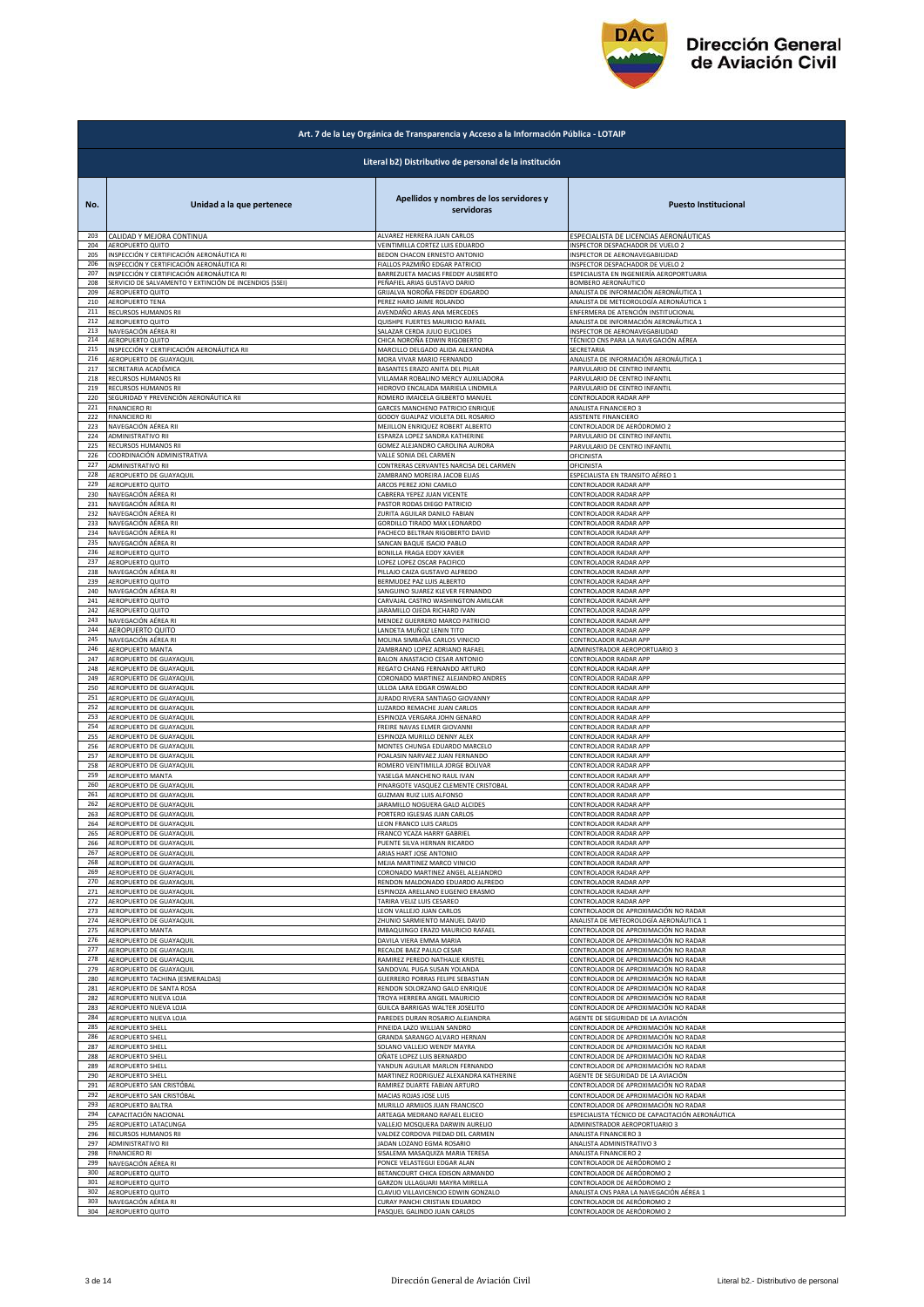

|            | Art. 7 de la Ley Orgánica de Transparencia y Acceso a la Información Pública - LOTAIP |                                                        |                                                                                |  |
|------------|---------------------------------------------------------------------------------------|--------------------------------------------------------|--------------------------------------------------------------------------------|--|
|            | Literal b2) Distributivo de personal de la institución                                |                                                        |                                                                                |  |
| No.        | Unidad a la que pertenece                                                             | Apellidos y nombres de los servidores y<br>servidoras  | <b>Puesto Institucional</b>                                                    |  |
| 203        | CALIDAD Y MEJORA CONTINUA                                                             | ALVAREZ HERRERA JUAN CARLOS                            | ESPECIALISTA DE LICENCIAS AERONÁUTICAS                                         |  |
| 204        | AEROPUERTO QUITO                                                                      | VEINTIMILLA CORTEZ LUIS EDUARDO                        | <b>NSPECTOR DESPACHADOR DE VUELO 2</b>                                         |  |
| 205        | INSPECCIÓN Y CERTIFICACIÓN AERONÁUTICA RI                                             | BEDON CHACON ERNESTO ANTONIO                           | INSPECTOR DE AERONAVEGABILIDAD                                                 |  |
| 206        | INSPECCIÓN Y CERTIFICACIÓN AERONÁUTICA RI                                             | FIALLOS PAZMIÑO EDGAR PATRICIO                         | NSPECTOR DESPACHADOR DE VUELO 2                                                |  |
| 207        | INSPECCIÓN Y CERTIFICACIÓN AERONÁUTICA RI                                             | BARREZUETA MACIAS FREDDY AUSBERTO                      | ESPECIALISTA EN INGENIERÍA AEROPORTUARIA                                       |  |
| 208        | SERVICIO DE SALVAMENTO Y EXTINCIÓN DE INCENDIOS (SSEI)                                | PEÑAFIEL ARIAS GUSTAVO DARIO                           | BOMBERO AERONÁUTICO                                                            |  |
| 209        | AEROPUERTO QUITO                                                                      | GRIJALVA NOROÑA FREDDY EDGARDO                         | ANALISTA DE INFORMACIÓN AERONÁUTICA 1                                          |  |
| 210        | AEROPUERTO TENA                                                                       | PEREZ HARO JAIME ROLANDO                               | ANALISTA DE METEOROLOGÍA AERONÁUTICA 1                                         |  |
| 211        | RECURSOS HUMANOS RII                                                                  | AVENDAÑO ARIAS ANA MERCEDES                            | ENFERMERA DE ATENCIÓN INSTITUCIONAL                                            |  |
| 212        | AEROPUERTO QUITO                                                                      | QUISHPE FUERTES MAURICIO RAFAEL                        | ANALISTA DE INFORMACIÓN AERONÁUTICA 1                                          |  |
| 213        | NAVEGACIÓN AÉREA RI                                                                   | SALAZAR CERDA JULIO EUCLIDES                           | INSPECTOR DE AERONAVEGABILIDAD                                                 |  |
| 214        | AEROPUERTO QUITO                                                                      | CHICA NOROÑA EDWIN RIGOBERTO                           | TÉCNICO CNS PARA LA NAVEGACIÓN AÉREA                                           |  |
| 215        | INSPECCIÓN Y CERTIFICACIÓN AERONÁUTICA RII                                            | MARCILLO DELGADO ALIDA ALEXANDRA                       | SECRETARIA                                                                     |  |
| 216        | AEROPUERTO DE GUAYAQUIL                                                               | MORA VIVAR MARIO FERNANDO                              | ANALISTA DE INFORMACIÓN AERONÁUTICA 1                                          |  |
| 217        | SECRETARIA ACADÉMICA                                                                  | BASANTES ERAZO ANITA DEL PILAR                         | PARVULARIO DE CENTRO INFANTIL                                                  |  |
| 218        | RECURSOS HUMANOS RII                                                                  | VILLAMAR ROBALINO MERCY AUXILIADORA                    | PARVULARIO DE CENTRO INFANTIL                                                  |  |
| 219        | RECURSOS HUMANOS RII                                                                  | HIDROVO ENCALADA MARIELA LINDMILA                      | PARVULARIO DE CENTRO INFANTIL                                                  |  |
| 220        | SEGURIDAD Y PREVENCIÓN AERONÁUTICA RII                                                | ROMERO IMAICELA GILBERTO MANUEL                        | CONTROLADOR RADAR APP                                                          |  |
| 221        | <b>FINANCIERO RI</b>                                                                  | GARCES MANCHENO PATRICIO ENRIQUE                       | ANALISTA FINANCIERO 3                                                          |  |
| 222        | <b>FINANCIERO RI</b>                                                                  | GODOY GUALPAZ VIOLETA DEL ROSARIO                      | ASISTENTE FINANCIERO                                                           |  |
| 223        | NAVEGACIÓN AÉREA RII                                                                  | MEJILLON ENRIQUEZ ROBERT ALBERTO                       | CONTROLADOR DE AERÓDROMO 2                                                     |  |
| 224        | ADMINISTRATIVO RII                                                                    | ESPARZA LOPEZ SANDRA KATHERINE                         | PARVULARIO DE CENTRO INFANTIL                                                  |  |
| 225        | RECURSOS HUMANOS RII                                                                  | GOMEZ ALEJANDRO CAROLINA AURORA                        | PARVULARIO DE CENTRO INFANTIL                                                  |  |
| 226        | COORDINACIÓN ADMINISTRATIVA                                                           | VALLE SONIA DEL CARMEN                                 | OFICINISTA                                                                     |  |
| 227        | ADMINISTRATIVO RII                                                                    | CONTRERAS CERVANTES NARCISA DEL CARMEN                 | OFICINISTA                                                                     |  |
| 228        | AEROPUERTO DE GUAYAQUIL                                                               | ZAMBRANO MOREIRA JACOB ELIAS                           | SPECIALISTA EN TRANSITO AÉREO 1                                                |  |
| 229        | AEROPUERTO QUITO                                                                      | ARCOS PEREZ JONI CAMILO                                | CONTROLADOR RADAR APP                                                          |  |
| 230        | NAVEGACIÓN AÉREA RI                                                                   | CABRERA YEPEZ JUAN VICENTE                             | CONTROLADOR RADAR APP                                                          |  |
| 231        | NAVEGACIÓN AÉREA RI                                                                   | PASTOR RODAS DIEGO PATRICIO                            | CONTROLADOR RADAR APP                                                          |  |
| 232        | NAVEGACIÓN AÉREA RI                                                                   | ZURITA AGUILAR DANILO FABIAN                           | CONTROLADOR RADAR APP                                                          |  |
| 233        | NAVEGACIÓN AÉREA RII                                                                  | GORDILLO TIRADO MAX LEONARDO                           | CONTROLADOR RADAR APP                                                          |  |
| 234        | NAVEGACIÓN AÉREA RI                                                                   | PACHECO BELTRAN RIGOBERTO DAVID                        | CONTROLADOR RADAR APP                                                          |  |
| 235        | NAVEGACIÓN AÉREA RI                                                                   | SANCAN BAQUE ISACIO PABLO                              | CONTROLADOR RADAR APP                                                          |  |
| 236        | AEROPUERTO QUITO                                                                      | <b>BONILLA FRAGA EDDY XAVIER</b>                       | CONTROLADOR RADAR APP                                                          |  |
| 237        | AEROPUERTO QUITO                                                                      | LOPEZ LOPEZ OSCAR PACIFICO                             | CONTROLADOR RADAR APP                                                          |  |
| 238        | NAVEGACIÓN AÉREA RI                                                                   | PILLAJO CAIZA GUSTAVO ALFREDO                          | ONTROLADOR RADAR APP                                                           |  |
| 239        | <b>AEROPUERTO QUITO</b>                                                               | BERMUDEZ PAZ LUIS ALBERTO                              | CONTROLADOR RADAR APP                                                          |  |
| 240        | NAVEGACIÓN AÉREA RI                                                                   | SANGUINO SUAREZ KLEVER FERNANDO                        | CONTROLADOR RADAR APP                                                          |  |
| 241        | AEROPUERTO QUITO                                                                      | CARVAJAL CASTRO WASHINGTON AMILCAR                     | CONTROLADOR RADAR APP                                                          |  |
| 242        | AEROPUERTO QUITO                                                                      | JARAMILLO OJEDA RICHARD IVAN                           | CONTROLADOR RADAR APP                                                          |  |
| 243        | NAVEGACIÓN AÉREA RI                                                                   | MENDEZ GUERRERO MARCO PATRICIO                         | CONTROLADOR RADAR APP                                                          |  |
| 244        | AEROPUERTO QUITO                                                                      | LANDETA MUÑOZ LENIN TITO                               | <b>CONTROLADOR RADAR APP</b>                                                   |  |
| 245        | NAVEGACIÓN AÉREA RI                                                                   | MOLINA SIMBAÑA CARLOS VINICIO                          | CONTROLADOR RADAR APP                                                          |  |
| 246        | AEROPUERTO MANTA                                                                      | ZAMBRANO LOPEZ ADRIANO RAFAEL                          | ADMINISTRADOR AEROPORTUARIO 3                                                  |  |
| 247        | AEROPUERTO DE GUAYAQUIL                                                               | BALON ANASTACIO CESAR ANTONIO                          | CONTROLADOR RADAR APP                                                          |  |
| 248        | AEROPUERTO DE GUAYAQUIL                                                               | REGATO CHANG FERNANDO ARTURO                           | CONTROLADOR RADAR APP                                                          |  |
| 249<br>250 | AEROPUERTO DE GUAYAQUIL                                                               | CORONADO MARTINEZ ALEJANDRO ANDRES                     | CONTROLADOR RADAR APP                                                          |  |
| 251        | AEROPUERTO DE GUAYAQUIL                                                               | ULLOA LARA EDGAR OSWALDO                               | ONTROLADOR RADAR APP                                                           |  |
|            | AEROPUERTO DE GUAYAQUIL                                                               | JURADO RIVERA SANTIAGO GIOVANNY                        | CONTROLADOR RADAR APP                                                          |  |
| 252        | AEROPUERTO DE GUAYAQUIL                                                               | LUZARDO REMACHE JUAN CARLOS                            | CONTROLADOR RADAR APP                                                          |  |
| 253        | AEROPUERTO DE GUAYAQUIL                                                               | ESPINOZA VERGARA JOHN GENARO                           | CONTROLADOR RADAR APP                                                          |  |
| 254        | AEROPUERTO DE GUAYAQUIL                                                               | FREIRE NAVAS ELMER GIOVANNI                            | CONTROLADOR RADAR APP                                                          |  |
| 255        | AEROPUERTO DE GUAYAQUIL                                                               | ESPINOZA MURILLO DENNY ALEX                            | CONTROLADOR RADAR APP                                                          |  |
| 256        | AEROPUERTO DE GUAYAQUIL                                                               | MONTES CHUNGA EDUARDO MARCELO                          | CONTROLADOR RADAR APP                                                          |  |
| 257        | AEROPUERTO DE GUAYAQUIL                                                               | POALASIN NARVAEZ JUAN FERNANDO                         | CONTROLADOR RADAR APP                                                          |  |
| 258        | AEROPUERTO DE GUAYAQUIL                                                               | ROMERO VEINTIMILLA JORGE BOLIVAR                       | CONTROLADOR RADAR APP                                                          |  |
| 259        | <b>AEROPUERTO MANTA</b>                                                               | YASELGA MANCHENO RAUL IVAN                             | CONTROLADOR RADAR APP                                                          |  |
| 260        | AEROPUERTO DE GUAYAQUIL                                                               | PINARGOTE VASQUEZ CLEMENTE CRISTOBAL                   | CONTROLADOR RADAR APP                                                          |  |
| 261        | AEROPUERTO DE GUAYAQUIL                                                               | <b>GUZMAN RUIZ LUIS ALFONSO</b>                        | CONTROLADOR RADAR APP                                                          |  |
| 262        | AEROPUERTO DE GUAYAQUIL                                                               | JARAMILLO NOGUERA GALO ALCIDES                         | CONTROLADOR RADAR APP                                                          |  |
| 263        | AEROPUERTO DE GUAYAQUIL                                                               | PORTERO IGLESIAS JUAN CARLOS                           | ONTROLADOR RADAR APF:                                                          |  |
| 264        | AEROPUERTO DE GUAYAQUIL                                                               | LEON FRANCO LUIS CARLOS                                | CONTROLADOR RADAR APP                                                          |  |
| 265        | AEROPUERTO DE GUAYAQUIL                                                               | FRANCO YCAZA HARRY GABRIEL                             | CONTROLADOR RADAR APP                                                          |  |
| 266        | AEROPUERTO DE GUAYAQUIL                                                               | PUENTE SILVA HERNAN RICARDO                            | CONTROLADOR RADAR APP                                                          |  |
| 267        | AEROPUERTO DE GUAYAQUIL                                                               | ARIAS HART JOSE ANTONIO                                | CONTROLADOR RADAR APP                                                          |  |
| 268        | AEROPUERTO DE GUAYAQUIL                                                               | MEJIA MARTINEZ MARCO VINICIO                           | CONTROLADOR RADAR APP                                                          |  |
| 269        | AEROPUERTO DE GUAYAQUIL                                                               | CORONADO MARTINEZ ANGEL ALEJANDRO                      | CONTROLADOR RADAR APP                                                          |  |
| 270        | AEROPUERTO DE GUAYAQUIL                                                               | RENDON MALDONADO EDUARDO ALFREDO                       | CONTROLADOR RADAR APP                                                          |  |
| 271        | AEROPUERTO DE GUAYAQUIL                                                               | ESPINOZA ARELLANO EUGENIO ERASMO                       | CONTROLADOR RADAR APP                                                          |  |
| 272<br>273 | AEROPUERTO DE GUAYAQUIL                                                               | TARIRA VELIZ LUIS CESAREO<br>LEON VALLEJO JUAN CARLOS  | CONTROLADOR RADAR APP                                                          |  |
| 274        | AEROPUERTO DE GUAYAQUIL<br>AEROPUERTO DE GUAYAQUIL                                    | ZHUNIO SARMIENTO MANUEL DAVID                          | CONTROLADOR DE APROXIMACIÓN NO RADAR<br>ANALISTA DE METEOROLOGÍA AERONÁUTICA 1 |  |
| 275        | AEROPUERTO MANTA                                                                      | IMBAQUINGO ERAZO MAURICIO RAFAEL                       | CONTROLADOR DE APROXIMACIÓN NO RADAR                                           |  |
| 276        | AEROPUERTO DE GUAYAQUIL                                                               | DAVILA VIERA EMMA MARIA                                | CONTROLADOR DE APROXIMACIÓN NO RADAR                                           |  |
| 277        | AEROPUERTO DE GUAYAQUIL                                                               | RECALDE BAEZ PAULO CESAR                               | CONTROLADOR DE APROXIMACIÓN NO RADAR                                           |  |
| 278        | AEROPUERTO DE GUAYAQUIL                                                               | RAMIREZ PEREDO NATHALIE KRISTEL                        | CONTROLADOR DE APROXIMACIÓN NO RADAR                                           |  |
| 279        | AEROPUERTO DE GUAYAQUIL                                                               | SANDOVAL PUGA SUSAN YOLANDA                            | CONTROLADOR DE APROXIMACIÓN NO RADAR                                           |  |
| 280        | AEROPUERTO TACHINA (ESMERALDAS)                                                       | GUERRERO PORRAS FELIPE SEBASTIAN                       | CONTROLADOR DE APROXIMACIÓN NO RADAR                                           |  |
| 281        | AEROPUERTO DE SANTA ROSA                                                              | RENDON SOLORZANO GALO ENRIQUE                          | CONTROLADOR DE APROXIMACIÓN NO RADAR                                           |  |
| 282        | AEROPUERTO NUEVA LOJA                                                                 | TROYA HERRERA ANGEL MAURICIO                           | CONTROLADOR DE APROXIMACIÓN NO RADAR                                           |  |
| 283        | AEROPUERTO NUEVA LOJA                                                                 | GUILCA BARRIGAS WALTER JOSELITO                        | CONTROLADOR DE APROXIMACIÓN NO RADAR                                           |  |
| 284        | AEROPUERTO NUEVA LOJA                                                                 | PAREDES DURAN ROSARIO ALEJANDRA                        | AGENTE DE SEGURIDAD DE LA AVIACIÓN                                             |  |
| 285        | AEROPUERTO SHELL                                                                      | PINEIDA LAZO WILLIAN SANDRO                            | CONTROLADOR DE APROXIMACIÓN NO RADAR                                           |  |
| 286        | AEROPUERTO SHELL                                                                      | GRANDA SARANGO ALVARO HERNAN                           | CONTROLADOR DE APROXIMACIÓN NO RADAR                                           |  |
| 287        | AEROPUERTO SHELL                                                                      | <b>SOLANO VALLEJO WENDY MAYRA</b>                      | ONTROLADOR DE APROXIMACIÓN NO RADAR                                            |  |
| 288        | AEROPUERTO SHELL                                                                      | OÑATE LOPEZ LUIS BERNARDO                              | ONTROLADOR DE APROXIMACIÓN NO RADAR                                            |  |
| 289        | AEROPUERTO SHELL                                                                      | YANDUN AGUILAR MARLON FERNANDO                         | CONTROLADOR DE APROXIMACIÓN NO RADAR                                           |  |
| 290        | AEROPUERTO SHELL<br>AEROPUERTO SAN CRISTÓBAL                                          | MARTINEZ RODRIGUEZ ALEXANDRA KATHERINE                 | AGENTE DE SEGURIDAD DE LA AVIACIÓN<br>CONTROLADOR DE APROXIMACIÓN NO RADAR     |  |
| 291<br>292 | AEROPUERTO SAN CRISTÓBAL                                                              | RAMIREZ DUARTE FABIAN ARTURO<br>MACIAS ROJAS JOSE LUIS | CONTROLADOR DE APROXIMACIÓN NO RADAR                                           |  |
| 293        | AEROPUERTO BALTRA                                                                     | MURILLO ARMIJOS JUAN FRANCISCO                         | CONTROLADOR DE APROXIMACIÓN NO RADAR                                           |  |
| 294        | CAPACITACIÓN NACIONAL                                                                 | ARTEAGA MEDRANO RAFAEL ELICEO                          | ESPECIALISTA TÉCNICO DE CAPACITACIÓN AERONÁUTICA                               |  |
| 295        | AEROPUERTO LATACUNGA                                                                  | VALLEJO MOSQUERA DARWIN AURELIO                        | ADMINISTRADOR AEROPORTUARIO 3                                                  |  |
| 296        | RECURSOS HUMANOS RII                                                                  | VALDEZ CORDOVA PIEDAD DEL CARMEN                       | ANALISTA FINANCIERO 3                                                          |  |
| 297        | <b>ADMINISTRATIVO RII</b>                                                             | JADAN LOZANO EGMA ROSARIO                              | ANALISTA ADMINISTRATIVO 3                                                      |  |
| 298        | <b>FINANCIERO RI</b>                                                                  | SISALEMA MASAQUIZA MARIA TERESA                        | ANALISTA FINANCIERO 2                                                          |  |
| 299        | NAVEGACIÓN AÉREA RI                                                                   | PONCE VELASTEGUI EDGAR ALAN                            | CONTROLADOR DE AERÓDROMO 2                                                     |  |
| 300        | AEROPUERTO QUITO                                                                      | BETANCOURT CHICA EDISON ARMANDO                        | CONTROLADOR DE AERÓDROMO 2                                                     |  |
| 301        | AEROPUERTO QUITO                                                                      | GARZON ULLAGUARI MAYRA MIRELLA                         | CONTROLADOR DE AERÓDROMO 2                                                     |  |
| 302        | AEROPUERTO QUITO                                                                      | CLAVIJO VILLAVICENCIO EDWIN GONZALO                    | ANALISTA CNS PARA LA NAVEGACIÓN AÉREA 1                                        |  |
| 303        | NAVEGACIÓN AÉREA RI                                                                   | CURAY PANCHI CRISTIAN EDUARDO                          | CONTROLADOR DE AERÓDROMO 2                                                     |  |
| 304        | AEROPUERTO QUITO                                                                      | PASQUEL GALINDO JUAN CARLOS                            | CONTROLADOR DE AERÓDROMO 2                                                     |  |
|            |                                                                                       |                                                        |                                                                                |  |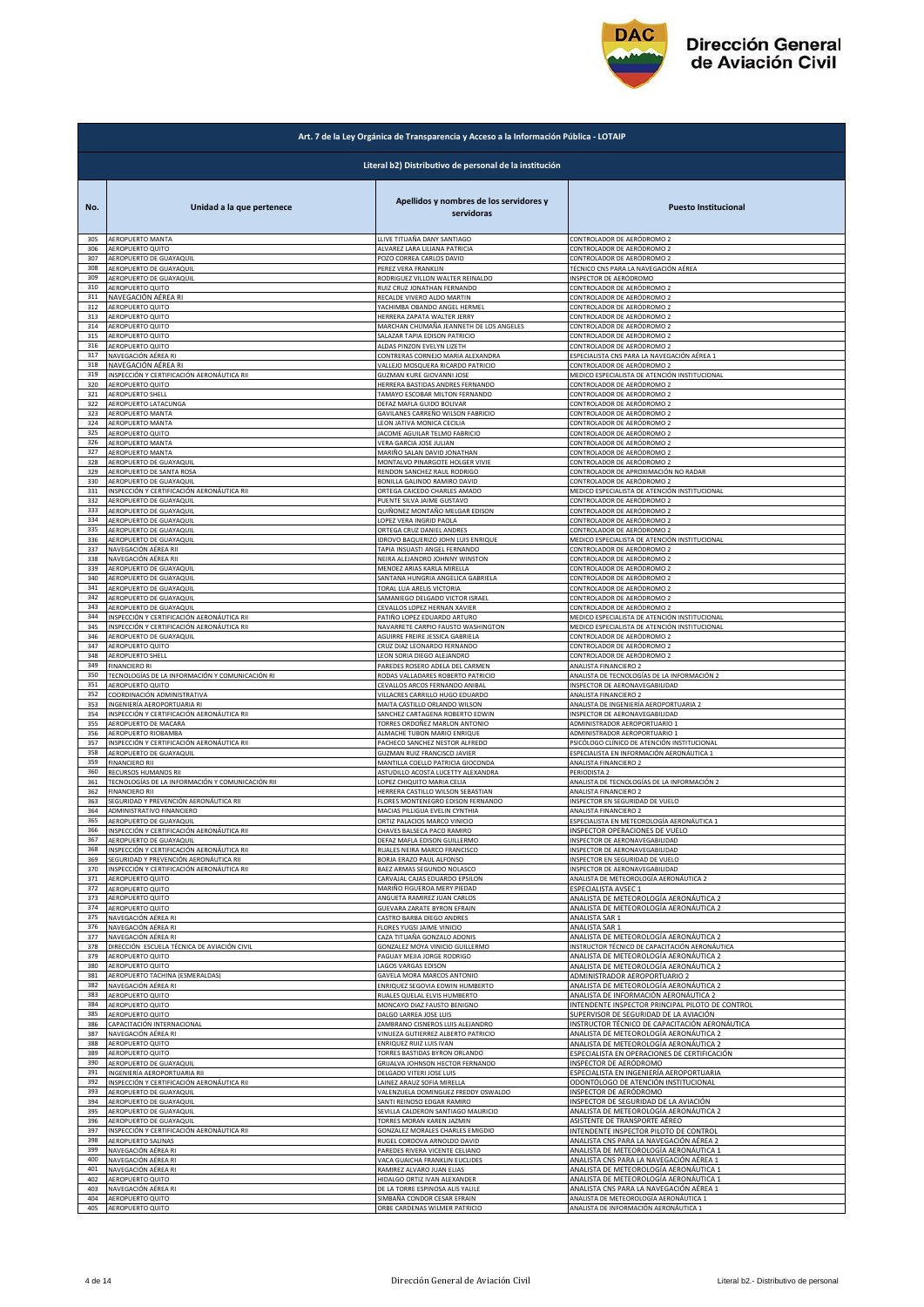

|            | Art. 7 de la Ley Orgánica de Transparencia y Acceso a la Información Pública - LOTAIP |                                                                         |                                                                |  |
|------------|---------------------------------------------------------------------------------------|-------------------------------------------------------------------------|----------------------------------------------------------------|--|
|            | Literal b2) Distributivo de personal de la institución                                |                                                                         |                                                                |  |
| No.        | Unidad a la que pertenece                                                             | Apellidos y nombres de los servidores y<br>servidoras                   | <b>Puesto Institucional</b>                                    |  |
| 305        | AEROPUERTO MANTA                                                                      | LLIVE TITUAÑA DANY SANTIAGO                                             | CONTROLADOR DE AERÓDROMO 2                                     |  |
| 306        | AEROPUERTO QUITO                                                                      | ALVAREZ LARA LILIANA PATRICIA                                           | CONTROLADOR DE AERÓDROMO 2                                     |  |
| 307        | AEROPUERTO DE GUAYAQUIL                                                               | POZO CORREA CARLOS DAVID                                                | CONTROLADOR DE AERÓDROMO 2                                     |  |
| 308        | AEROPUERTO DE GUAYAQUIL                                                               | PEREZ VERA FRANKLIN                                                     | <u>TÉCNICO CNS PARA LA NAVEGACIÓN AÉREA</u>                    |  |
| 309        | AEROPUERTO DE GUAYAQUIL                                                               | RODRIGUEZ VILLON WALTER REINALDO                                        | INSPECTOR DE AERÓDROMO                                         |  |
| 310        | AEROPUERTO QUITO                                                                      | RUIZ CRUZ JONATHAN FERNANDO                                             | CONTROLADOR DE AERÓDROMO 2                                     |  |
| 311        | NAVEGACIÓN AÉREA RI                                                                   | RECALDE VIVERO ALDO MARTIN                                              | CONTROLADOR DE AERÓDROMO 2                                     |  |
| 312        | AEROPUERTO QUITO                                                                      | YACHIMBA OBANDO ANGEL HERMEL                                            | CONTROLADOR DE AERÓDROMO 2                                     |  |
| 313        | AEROPUERTO QUITO                                                                      | HERRERA ZAPATA WALTER JERRY                                             | CONTROLADOR DE AERÓDROMO 2                                     |  |
| 314        | AEROPUERTO QUITO                                                                      | MARCHAN CHUMAÑA JEANNETH DE LOS ANGELES                                 | CONTROLADOR DE AERÓDROMO 2                                     |  |
| 315        | AEROPUERTO QUITO                                                                      | SALAZAR TAPIA EDISON PATRICIO                                           | CONTROLADOR DE AERÓDROMO 2                                     |  |
| 316        | AEROPUERTO QUITO                                                                      | ALDAS PINZON EVELYN LIZETH                                              | CONTROLADOR DE AERÓDROMO 2                                     |  |
| 317        | NAVEGACIÓN AÉREA RI                                                                   | CONTRERAS CORNEJO MARIA ALEXANDRA                                       | ESPECIALISTA CNS PARA LA NAVEGACIÓN AÉREA 1                    |  |
| 318        | NAVEGACIÓN AÉREA RI                                                                   | VALLEJO MOSQUERA RICARDO PATRICIO                                       | CONTROLADOR DE AERÓDROMO 2                                     |  |
| 319        | INSPECCIÓN Y CERTIFICACIÓN AERONÁUTICA RII                                            | GUZMAN KURE GIOVANNI JOSE                                               | MEDICO ESPECIALISTA DE ATENCIÓN INSTITUCIONAL                  |  |
| 320        | AEROPUERTO QUITO                                                                      | HERRERA BASTIDAS ANDRES FERNANDO                                        | CONTROLADOR DE AERÓDROMO 2                                     |  |
| 321        | AEROPUERTO SHELL                                                                      | TAMAYO ESCOBAR MILTON FERNANDO                                          | CONTROLADOR DE AERÓDROMO 2                                     |  |
| 322        | AEROPUERTO LATACUNGA                                                                  | DEFAZ MAFLA GUIDO BOLIVAR                                               | CONTROLADOR DE AERÓDROMO 2                                     |  |
| 323        | AEROPUERTO MANTA                                                                      | GAVILANES CARREÑO WILSON FABRICIO<br>LEON JATIVA MONICA CECILIA         | CONTROLADOR DE AERÓDROMO 2                                     |  |
| 324        | AEROPUERTO MANTA                                                                      | JACOME AGUILAR TELMO FABRICIO                                           | CONTROLADOR DE AERÓDROMO 2                                     |  |
| 325        | AEROPUERTO QUITO                                                                      |                                                                         | CONTROLADOR DE AERÓDROMO 2                                     |  |
| 326        | AEROPUERTO MANTA                                                                      | VERA GARCIA JOSE JULIAN                                                 | CONTROLADOR DE AERÓDROMO 2                                     |  |
| 327        | AEROPUERTO MANTA                                                                      | MARIÑO SALAN DAVID JONATHAN                                             | CONTROLADOR DE AERÓDROMO 2                                     |  |
| 328        | AEROPUERTO DE GUAYAQUIL                                                               | MONTALVO PINARGOTE HOLGER VIVIE                                         | CONTROLADOR DE AERÓDROMO 2                                     |  |
| 329        | AEROPUERTO DE SANTA ROSA                                                              | RENDON SANCHEZ RAUL RODRIGO                                             | CONTROLADOR DE APROXIMACIÓN NO RADAR                           |  |
| 330        | AEROPUERTO DE GUAYAQUIL                                                               | BONILLA GALINDO RAMIRO DAVID                                            | CONTROLADOR DE AERÓDROMO 2                                     |  |
| 331        | INSPECCIÓN Y CERTIFICACIÓN AERONÁUTICA RII                                            | ORTEGA CAICEDO CHARLES AMADO                                            | MEDICO ESPECIALISTA DE ATENCIÓN INSTITUCIONAL                  |  |
| 332        | AEROPUERTO DE GUAYAQUIL                                                               | PUENTE SILVA JAIME GUSTAVO                                              | CONTROLADOR DE AERÓDROMO 2                                     |  |
| 333        | AEROPUERTO DE GUAYAQUIL                                                               | QUIÑONEZ MONTAÑO MELGAR EDISON                                          | CONTROLADOR DE AERÓDROMO 2                                     |  |
| 334        | AEROPUERTO DE GUAYAQUIL                                                               | LOPEZ VERA INGRID PAOLA                                                 | CONTROLADOR DE AERÓDROMO 2                                     |  |
| 335        | AEROPUERTO DE GUAYAQUIL                                                               | ORTEGA CRUZ DANIEL ANDRES                                               | CONTROLADOR DE AERÓDROMO 2                                     |  |
| 336        | AEROPUERTO DE GUAYAQUIL                                                               | IDROVO BAQUERIZO JOHN LUIS ENRIQUE                                      | MEDICO ESPECIALISTA DE ATENCIÓN INSTITUCIONAL                  |  |
| 337        | NAVEGACIÓN AÉREA RII                                                                  | TAPIA INSUASTI ANGEL FERNANDO                                           | CONTROLADOR DE AERÓDROMO 2                                     |  |
| 338        | NAVEGACIÓN AÉREA RII                                                                  | NEIRA ALEJANDRO JOHNNY WINSTON                                          | CONTROLADOR DE AERÓDROMO 2                                     |  |
| 339        | AEROPUERTO DE GUAYAQUIL                                                               | MENDEZ ARIAS KARLA MIRELLA                                              | CONTROLADOR DE AERÓDROMO 2                                     |  |
| 340        | AEROPUERTO DE GUAYAQUII                                                               | SANTANA HUNGRIA ANGELICA GABRIELA                                       | CONTROLADOR DE AERÓDROMO 2                                     |  |
| 341        | AEROPUERTO DE GUAYAQUIL                                                               | TORAL LUA ARELIS VICTORIA                                               | CONTROLADOR DE AERÓDROMO 2                                     |  |
| 342        | AEROPUERTO DE GUAYAQUIL                                                               | SAMANIEGO DELGADO VICTOR ISRAEL                                         | CONTROLADOR DE AERÓDROMO 2                                     |  |
| 343        | AEROPUERTO DE GUAYAQUIL                                                               | CEVALLOS LOPEZ HERNAN XAVIER                                            | CONTROLADOR DE AERÓDROMO 2                                     |  |
| 344        | INSPECCIÓN Y CERTIFICACIÓN AERONÁUTICA RII                                            | PATIÑO LOPEZ EDUARDO ARTURO                                             | MEDICO ESPECIALISTA DE ATENCIÓN INSTITUCIONAL                  |  |
| 345        | INSPECCIÓN Y CERTIFICACIÓN AERONÁUTICA RII                                            | NAVARRETE CARPIO FAUSTO WASHINGTON                                      | MEDICO ESPECIALISTA DE ATENCIÓN INSTITUCIONAL                  |  |
| 346        | AEROPUERTO DE GUAYAQUIL                                                               | AGUIRRE FREIRE JESSICA GABRIELA                                         | CONTROLADOR DE AERÓDROMO 2                                     |  |
| 347        | AEROPUERTO QUITO                                                                      | CRUZ DIAZ LEONARDO FERNANDO                                             | CONTROLADOR DE AERÓDROMO 2                                     |  |
| 348        | AEROPUERTO SHELL                                                                      | LEON SORIA DIEGO ALEJANDRO                                              | CONTROLADOR DE AERÓDROMO 2                                     |  |
| 349<br>350 | <b>FINANCIERO RI</b>                                                                  | PAREDES ROSERO ADELA DEL CARMEN                                         | ANALISTA FINANCIERO 2                                          |  |
| 351        | TECNOLOGÍAS DE LA INFORMACIÓN Y COMUNICACIÓN RI                                       | RODAS VALLADARES ROBERTO PATRICIO                                       | ANALISTA DE TECNOLOGÍAS DE LA INFORMACIÓN 2                    |  |
|            | AEROPUERTO QUITO                                                                      | CEVALLOS ARCOS FERNANDO ANIBAL                                          | INSPECTOR DE AERONAVEGABILIDAD                                 |  |
| 352        | COORDINACIÓN ADMINISTRATIVA                                                           | VILLACRES CARRILLO HUGO EDUARDO                                         | ANALISTA FINANCIERO 2                                          |  |
| 353        | INGENIERÍA AEROPORTUARIA RI                                                           | MAITA CASTILLO ORLANDO WILSON                                           | ANALISTA DE INGENIERÍA AEROPORTUARIA 2                         |  |
| 354<br>355 | INSPECCIÓN Y CERTIFICACIÓN AERONÁUTICA RII                                            | SANCHEZ CARTAGENA ROBERTO EDWIN<br>TORRES ORDOÑEZ MARLON ANTONIO        | INSPECTOR DE AERONAVEGABILIDAD                                 |  |
| 356        | AEROPUERTO DE MACARA<br>AEROPUERTO RIOBAMBA                                           | ALMACHE TUBON MARIO ENRIQUE                                             | ADMINISTRADOR AEROPORTUARIO 1<br>ADMINISTRADOR AEROPORTUARIO 1 |  |
| 357        | INSPECCIÓN Y CERTIFICACIÓN AERONÁUTICA RII                                            | PACHECO SANCHEZ NESTOR ALFREDO                                          | SICÓLOGO CLÍNICO DE ATENCIÓN INSTITUCIONAL                     |  |
| 358        | AEROPUERTO DE GUAYAQUIL                                                               | GUZMAN RUIZ FRANCISCO JAVIER                                            | SPECIALISTA EN INFORMACIÓN AERONÁUTICA 1                       |  |
| 359<br>360 | <b>FINANCIERO RII</b>                                                                 | MANTILLA COELLO PATRICIA GIOCONDA<br>ASTUDILLO ACOSTA LUCETTY ALEXANDRA | ANALISTA FINANCIERO 2                                          |  |
| 361        | RECURSOS HUMANOS RII<br>TECNOLOGÍAS DE LA INFORMACIÓN Y COMUNICACIÓN RII              | LOPEZ CHIQUITO MARIA CELIA                                              | PERIODISTA 2<br>ANALISTA DE TECNOLOGÍAS DE LA INFORMACIÓN 2    |  |
| 362        | <b>FINANCIERO RII</b>                                                                 | HERRERA CASTILLO WILSON SEBASTIAN                                       | ANALISTA FINANCIERO 2                                          |  |
| 363        | SEGURIDAD Y PREVENCIÓN AERONÁUTICA RII                                                | FLORES MONTENEGRO EDISON FERNANDO                                       | INSPECTOR EN SEGURIDAD DE VUELO                                |  |
| 364        | ADMINISTRATIVO FINANCIERO                                                             | MACIAS PILLIGUA EVELIN CYNTHIA                                          | ANALISTA FINANCIERO 2                                          |  |
| 365        | AEROPUERTO DE GUAYAQUIL                                                               | ORTIZ PALACIOS MARCO VINICIO                                            | ESPECIALISTA EN METEOROLOGÍA AERONÁUTICA 1                     |  |
| 366        | INSPECCIÓN Y CERTIFICACIÓN AERONÁUTICA RII                                            | CHAVES BALSECA PACO RAMIRO                                              | INSPECTOR OPERACIONES DE VUELO                                 |  |
| 367        | AEROPUERTO DE GUAYAQUIL                                                               | DEFAZ MAFLA EDISON GUILLERMO                                            | INSPECTOR DE AERONAVEGABILIDAD                                 |  |
| 368        | INSPECCIÓN Y CERTIFICACIÓN AERONÁUTICA RII                                            | RUALES NEIRA MARCO FRANCISCO                                            | INSPECTOR DE AERONAVEGABILIDAD                                 |  |
| 369        | SEGURIDAD Y PREVENCIÓN AERONÁUTICA RII                                                | BORJA ERAZO PAUL ALFONSO                                                | NSPECTOR EN SEGURIDAD DE VUELO                                 |  |
| 370        | INSPECCIÓN Y CERTIFICACIÓN AERONÁUTICA RII                                            | BAEZ ARMAS SEGUNDO NOLASCO                                              | INSPECTOR DE AERONAVEGABILIDAD                                 |  |
| 371        | AEROPUERTO QUITO                                                                      | CARVAJAL CAJAS EDUARDO EPSILON                                          | ANALISTA DE METEOROLOGÍA AERONÁUTICA 2                         |  |
| 372        | AEROPUERTO QUITO                                                                      | MARIÑO FIGUEROA MERY PIEDAD                                             | ESPECIALISTA AVSEC 1                                           |  |
| 373        | AEROPUERTO QUITO                                                                      | ANGUETA RAMIREZ JUAN CARLOS                                             | ANALISTA DE METEOROLOGÍA AERONÁUTICA 2                         |  |
| 374        | AEROPUERTO QUITO                                                                      | GUEVARA ZARATE BYRON EFRAIN                                             | ANALISTA DE METEOROLOGÍA AERONÁUTICA 2                         |  |
| 375        | NAVEGACIÓN AÉREA RI                                                                   | CASTRO BARBA DIEGO ANDRES                                               | ANALISTA SAR 1                                                 |  |
| 376        | NAVEGACIÓN AÉREA RI                                                                   | FLORES YUGSI JAIME VINICIO                                              | ANALISTA SAR 1                                                 |  |
| 377        | NAVEGACIÓN AÉREA RI                                                                   | CAZA TITUAÑA GONZALO ADONIS                                             | ANALISTA DE METEOROLOGÍA AERONÁUTICA 2                         |  |
| 378        | DIRECCIÓN ESCUELA TÉCNICA DE AVIACIÓN CIVIL                                           | GONZALEZ MOYA VINICIO GUILLERMO                                         | INSTRUCTOR TÉCNICO DE CAPACITACIÓN AERONÁUTICA                 |  |
| 379        | AEROPUERTO QUITO                                                                      | PAGUAY MEJIA JORGE RODRIGO                                              | ANALISTA DE METEOROLOGÍA AERONÁUTICA 2                         |  |
| 380        | AEROPUERTO QUITO                                                                      | LAGOS VARGAS EDISON                                                     | ANALISTA DE METEOROLOGÍA AERONÁUTICA 2                         |  |
| 381        | AEROPUERTO TACHINA (ESMERALDAS)                                                       | GAVELA MORA MARCOS ANTONIO                                              | ADMINISTRADOR AEROPORTUARIO 2                                  |  |
| 382        | NAVEGACIÓN AÉREA RI                                                                   | ENRIQUEZ SEGOVIA EDWIN HUMBERTO                                         | ANALISTA DE METEOROLOGÍA AERONÁUTICA 2                         |  |
| 383        | AEROPUERTO QUITO                                                                      | RUALES QUELAL ELVIS HUMBERTO                                            | ANALISTA DE INFORMACIÓN AERONÁUTICA 2                          |  |
| 384        | AEROPUERTO QUITO                                                                      | MONCAYO DIAZ FAUSTO BENIGNO                                             | INTENDENTE INSPECTOR PRINCIPAL PILOTO DE CONTROL               |  |
| 385        | AEROPUERTO QUITO                                                                      | DALGO LARREA JOSE LUIS                                                  | SUPERVISOR DE SEGURIDAD DE LA AVIACIÓN                         |  |
| 386        | CAPACITACIÓN INTERNACIONAL                                                            | ZAMBRANO CISNEROS LUIS ALEJANDRO                                        | INSTRUCTOR TÉCNICO DE CAPACITACIÓN AERONÁUTICA                 |  |
| 387        | NAVEGACIÓN AÉREA RI                                                                   | VINUEZA GUTIERREZ ALBERTO PATRICIO                                      | ANALISTA DE METEOROLOGÍA AERONÁUTICA 2                         |  |
| 388        | AEROPUERTO QUITO                                                                      | ENRIQUEZ RUIZ LUIS IVAN                                                 | ANALISTA DE METEOROLOGÍA AERONÁUTICA 2                         |  |
| 389        | AEROPUERTO QUITO                                                                      | TORRES BASTIDAS BYRON ORLANDO                                           | ESPECIALISTA EN OPERACIONES DE CERTIFICACIÓN                   |  |
| 390        | AEROPUERTO DE GUAYAQUII                                                               | GRIJALVA JOHNSON HECTOR FERNANDO                                        | NSPECTOR DE AERÓDROMO                                          |  |
| 391        | INGENIERÍA AEROPORTUARIA RII                                                          | DELGADO VITERI JOSE LUIS                                                | ESPECIALISTA EN INGENIERÍA AEROPORTUARIA                       |  |
| 392        | INSPECCIÓN Y CERTIFICACIÓN AERONÁUTICA RII                                            | LAINEZ ARAUZ SOFIA MIRELLA                                              | ODONTÓLOGO DE ATENCIÓN INSTITUCIONAL                           |  |
| 393        | AEROPUERTO DE GUAYAQUIL                                                               | VALENZUELA DOMINGUEZ FREDDY OSWALDO                                     | INSPECTOR DE AERÓDROMO                                         |  |
| 394        | AEROPUERTO DE GUAYAQUIL                                                               | SANTI REINOSO EDGAR RAMIRO                                              | INSPECTOR DE SEGURIDAD DE LA AVIACIÓN                          |  |
| 395        | AEROPUERTO DE GUAYAQUIL                                                               | SEVILLA CALDERON SANTIAGO MAURICIO                                      | ANALISTA DE METEOROLOGÍA AERONÁUTICA 2                         |  |
| 396        | AEROPUERTO DE GUAYAQUIL                                                               | TORRES MORAN KAREN JAZMIN                                               | ASISTENTE DE TRANSPORTE AÉREO                                  |  |
| 397        | INSPECCIÓN Y CERTIFICACIÓN AERONÁUTICA RII                                            | GONZALEZ MORALES CHARLES EMIGDIO                                        | INTENDENTE INSPECTOR PILOTO DE CONTROL                         |  |
| 398        | AEROPUERTO SALINAS                                                                    | RUGEL CORDOVA ARNOLDO DAVID                                             | ANALISTA CNS PARA LA NAVEGACIÓN AÉREA 2                        |  |
| 399        | NAVEGACIÓN AÉREA RI                                                                   | PAREDES RIVERA VICENTE CELIANO                                          | ANALISTA DE METEOROLOGÍA AERONÁUTICA 1                         |  |
| 400        | NAVEGACIÓN AÉREA RI                                                                   | VACA GUAICHA FRANKLIN EUCLIDES                                          | ANALISTA CNS PARA LA NAVEGACIÓN AÉREA 1                        |  |
| 401        | NAVEGACIÓN AÉREA RI                                                                   | RAMIREZ ALVARO JUAN ELIAS                                               | ANALISTA DE METEOROLOGÍA AERONÁUTICA 1                         |  |
| 402        | AEROPUERTO QUITO                                                                      | HIDALGO ORTIZ IVAN ALEXANDER                                            | ANALISTA DE METEOROLOGÍA AERONÁUTICA 1                         |  |
| 403        | NAVEGACIÓN AÉREA RI                                                                   | DE LA TORRE ESPINOSA ALIS YALILE                                        | ANALISTA CNS PARA LA NAVEGACIÓN AÉREA 1                        |  |
| 404        | AEROPUERTO QUITO                                                                      | SIMBAÑA CONDOR CESAR EFRAIN                                             | ANALISTA DE METEOROLOGÍA AERONÁUTICA 1                         |  |
| 405        | AEROPUERTO QUITO                                                                      | ORBE CARDENAS WILMER PATRICIO                                           | ANALISTA DE INFORMACIÓN AERONÁUTICA 1                          |  |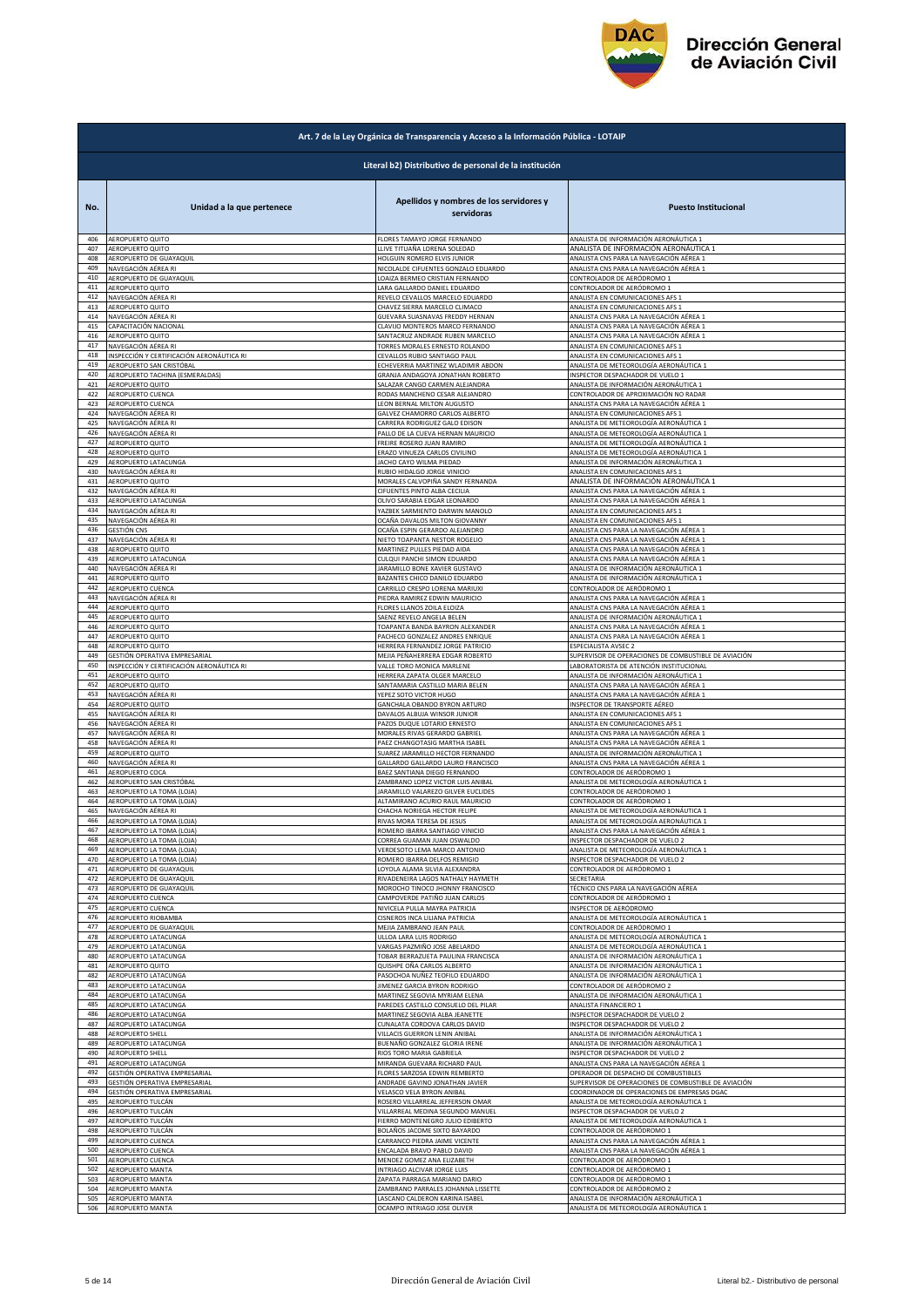

|            | Art. 7 de la Ley Orgánica de Transparencia y Acceso a la Información Pública - LOTAIP |                                                                    |                                                                                    |  |
|------------|---------------------------------------------------------------------------------------|--------------------------------------------------------------------|------------------------------------------------------------------------------------|--|
|            | Literal b2) Distributivo de personal de la institución                                |                                                                    |                                                                                    |  |
| No.        | Unidad a la que pertenece                                                             | Apellidos y nombres de los servidores y<br>servidoras              | <b>Puesto Institucional</b>                                                        |  |
| 406        | AEROPUERTO QUITO                                                                      | FLORES TAMAYO JORGE FERNANDO                                       | ANALISTA DE INFORMACIÓN AERONÁUTICA 1                                              |  |
| 407        | AEROPUERTO QUITO                                                                      | LLIVE TITUAÑA LORENA SOLEDAD                                       | ANALISTA DE INFORMACIÓN AERONÁUTICA 1                                              |  |
| 408        | AEROPUERTO DE GUAYAQUIL                                                               | HOLGUIN ROMERO ELVIS JUNIOR                                        | ANALISTA CNS PARA LA NAVEGACIÓN AÉREA 1                                            |  |
| 409        | NAVEGACIÓN AÉREA RI                                                                   | NICOLALDE CIFUENTES GONZALO EDUARDO                                | ANALISTA CNS PARA LA NAVEGACIÓN AÉREA 1                                            |  |
| 410        | AEROPUERTO DE GUAYAQUIL                                                               | LOAIZA BERMEO CRISTIAN FERNANDO                                    | CONTROLADOR DE AERÓDROMO 1                                                         |  |
| 411        | AEROPUERTO QUITO                                                                      | LARA GALLARDO DANIEL EDUARDO                                       | CONTROLADOR DE AERÓDROMO 1                                                         |  |
| 412        | NAVEGACIÓN AÉREA RI                                                                   | REVELO CEVALLOS MARCELO EDUARDO                                    | ANALISTA EN COMUNICACIONES AFS 1                                                   |  |
| 413        | AEROPUERTO QUITO                                                                      | CHAVEZ SIERRA MARCELO CLIMACO                                      | ANALISTA EN COMUNICACIONES AFS 1                                                   |  |
| 414        | NAVEGACIÓN AÉREA RI                                                                   | GUEVARA SUASNAVAS FREDDY HERNAN                                    | ANALISTA CNS PARA LA NAVEGACIÓN AÉREA 1                                            |  |
| 415        | CAPACITACIÓN NACIONAL<br>AEROPUERTO QUITO                                             | CLAVIJO MONTEROS MARCO FERNANDO<br>SANTACRUZ ANDRADE RUBEN MARCELO | ANALISTA CNS PARA LA NAVEGACIÓN AÉREA 1                                            |  |
| 416<br>417 | NAVEGACIÓN AÉREA RI                                                                   | TORRES MORALES ERNESTO ROLANDO                                     | ANALISTA CNS PARA LA NAVEGACIÓN AÉREA 1<br>ANALISTA EN COMUNICACIONES AFS 1        |  |
| 418        | INSPECCIÓN Y CERTIFICACIÓN AERONÁUTICA RI                                             | CEVALLOS RUBIO SANTIAGO PAUL                                       | ANALISTA EN COMUNICACIONES AFS 1                                                   |  |
| 419        | AEROPUERTO SAN CRISTÓBAL                                                              | ECHEVERRIA MARTINEZ WLADIMIR ABDON                                 | ANALISTA DE METEOROLOGÍA AERONÁUTICA 1                                             |  |
| 420        | AEROPUERTO TACHINA (ESMERALDAS)                                                       | GRANJA ANDAGOYA JONATHAN ROBERTO                                   | INSPECTOR DESPACHADOR DE VUELO 1                                                   |  |
| 421        | AEROPUERTO QUITO                                                                      | SALAZAR CANGO CARMEN ALEJANDRA                                     | ANALISTA DE INFORMACIÓN AERONÁUTICA 1                                              |  |
| 422        | AEROPUERTO CUENCA                                                                     | RODAS MANCHENO CESAR ALEJANDRO                                     | CONTROLADOR DE APROXIMACIÓN NO RADAR                                               |  |
| 423        | AEROPUERTO CUENCA                                                                     | LEON BERNAL MILTON AUGUSTO                                         | ANALISTA CNS PARA LA NAVEGACIÓN AÉREA 1                                            |  |
| 424        | NAVEGACIÓN AÉREA RI                                                                   | GALVEZ CHAMORRO CARLOS ALBERTO                                     | ANALISTA EN COMUNICACIONES AFS 1                                                   |  |
| 425        | NAVEGACIÓN AÉREA RI                                                                   | CARRERA RODRIGUEZ GALO EDISON                                      | ANALISTA DE METEOROLOGÍA AERONÁUTICA 1                                             |  |
| 426        | NAVEGACIÓN AÉREA RI                                                                   | PALLO DE LA CUEVA HERNAN MAURICIO                                  | ANALISTA DE METEOROLOGÍA AERONÁUTICA 1                                             |  |
| 427        | AEROPUERTO QUITO                                                                      | FREIRE ROSERO JUAN RAMIRO                                          | ANALISTA DE METEOROLOGÍA AERONÁUTICA 1                                             |  |
| 428        | AEROPUERTO QUITO                                                                      | ERAZO VINUEZA CARLOS CIVILINO                                      | ANALISTA DE METEOROLOGÍA AERONÁUTICA 1                                             |  |
| 429        | AEROPUERTO LATACUNGA                                                                  | JACHO CAYO WILMA PIEDAD                                            | ANALISTA DE INFORMACIÓN AERONÁUTICA 1                                              |  |
| 430        | NAVEGACIÓN AÉREA RI                                                                   | RUBIO HIDALGO JORGE VINICIO                                        | ANALISTA EN COMUNICACIONES AFS :                                                   |  |
| 431        | AEROPUERTO QUITO                                                                      | MORALES CALVOPIÑA SANDY FERNANDA                                   | ANALISTA DE INFORMACIÓN AERONÁUTICA 1                                              |  |
| 432        | NAVEGACIÓN AÉREA RI                                                                   | CIFUENTES PINTO ALBA CECILIA                                       | ANALISTA CNS PARA LA NAVEGACIÓN AÉREA 1                                            |  |
| 433        | AEROPUERTO LATACUNGA                                                                  | OLIVO SARABIA EDGAR LEONARDO                                       | ANALISTA CNS PARA LA NAVEGACIÓN AÉREA 1                                            |  |
| 434        | NAVEGACIÓN AÉREA RI                                                                   | YAZBEK SARMIENTO DARWIN MANOLO                                     | ANALISTA EN COMUNICACIONES AFS 1                                                   |  |
| 435        | NAVEGACIÓN AÉREA RI                                                                   | OCAÑA DAVALOS MILTON GIOVANNY                                      | ANALISTA EN COMUNICACIONES AFS 1                                                   |  |
| 436        | <b>GESTIÓN CNS</b>                                                                    | OCAÑA ESPIN GERARDO ALEJANDRO                                      | ANALISTA CNS PARA LA NAVEGACIÓN AÉREA 1                                            |  |
| 437        | NAVEGACIÓN AÉREA RI                                                                   | NIETO TOAPANTA NESTOR ROGELIO                                      | ANALISTA CNS PARA LA NAVEGACIÓN AÉREA 1                                            |  |
| 438        | AEROPUERTO QUITO                                                                      | MARTINEZ PULLES PIEDAD AIDA                                        | ANALISTA CNS PARA LA NAVEGACIÓN AÉREA 1                                            |  |
| 439        | AEROPUERTO LATACUNGA                                                                  | CULQUI PANCHI SIMON EDUARDO                                        | ANALISTA CNS PARA LA NAVEGACIÓN AÉREA 1                                            |  |
| 440        | NAVEGACIÓN AÉREA RI                                                                   | JARAMILLO BONE XAVIER GUSTAVO                                      | ANALISTA DE INFORMACIÓN AERONÁUTICA 1                                              |  |
| 441        | AEROPUERTO QUITO                                                                      | BAZANTES CHICO DANILO EDUARDO                                      | ANALISTA DE INFORMACIÓN AERONÁUTICA 1                                              |  |
| 442        | AEROPUERTO CUENCA                                                                     | CARRILLO CRESPO LORENA MARIUXI                                     | CONTROLADOR DE AERÓDROMO :                                                         |  |
| 443        | NAVEGACIÓN AÉREA RI                                                                   | PIEDRA RAMIREZ EDWIN MAURICIO                                      |                                                                                    |  |
| 444        | AEROPUERTO QUITO                                                                      | FLORES LLANOS ZOILA ELOIZA                                         | ANALISTA CNS PARA LA NAVEGACIÓN AÉREA 1<br>ANALISTA CNS PARA LA NAVEGACIÓN AÉREA 1 |  |
| 445        | AEROPUERTO QUITO                                                                      | SAENZ REVELO ANGELA BELEN                                          | ANALISTA DE INFORMACIÓN AERONÁUTICA 1                                              |  |
| 446        | AEROPUERTO QUITO                                                                      | TOAPANTA BANDA BAYRON ALEXANDER                                    | ANALISTA CNS PARA LA NAVEGACIÓN AÉREA 1                                            |  |
| 447        | AEROPUERTO QUITO                                                                      | PACHECO GONZALEZ ANDRES ENRIQUE                                    | ANALISTA CNS PARA LA NAVEGACIÓN AÉREA 1                                            |  |
| 448        | AEROPUERTO QUITO                                                                      | HERRERA FERNANDEZ JORGE PATRICIO                                   | <b>SPECIALISTA AVSEC 2</b>                                                         |  |
| 449        | GESTIÓN OPERATIVA EMPRESARIAL                                                         | MEJIA PEÑAHERRERA EDGAR ROBERTO                                    | SUPERVISOR DE OPERACIONES DE COMBUSTIBLE DE AVIACIÓN                               |  |
| 450        | INSPECCIÓN Y CERTIFICACIÓN AERONÁUTICA RI                                             | VALLE TORO MONICA MARLENE                                          | LABORATORISTA DE ATENCIÓN INSTITUCIONAL                                            |  |
| 451        | AEROPUERTO QUITO                                                                      | HERRERA ZAPATA OLGER MARCELO                                       | ANALISTA DE INFORMACIÓN AERONÁUTICA 1                                              |  |
| 452        | AEROPUERTO QUITO                                                                      | SANTAMARIA CASTILLO MARIA BELEN                                    | ANALISTA CNS PARA LA NAVEGACIÓN AÉREA 1                                            |  |
| 453        | NAVEGACIÓN AÉREA RI                                                                   | YEPEZ SOTO VICTOR HUGO                                             | ANALISTA CNS PARA LA NAVEGACIÓN AÉREA 1                                            |  |
| 454        | AEROPUERTO QUITO                                                                      | GANCHALA OBANDO BYRON ARTURO                                       | INSPECTOR DE TRANSPORTE AÉREO                                                      |  |
| 455        | NAVEGACIÓN AÉREA RI                                                                   | DAVALOS ALBUJA WINSOR JUNIOR                                       | ANALISTA EN COMUNICACIONES AFS 1                                                   |  |
| 456        | NAVEGACIÓN AÉREA RI                                                                   | PAZOS DUQUE LOTARIO ERNESTO                                        | ANALISTA EN COMUNICACIONES AFS 1                                                   |  |
| 457        | NAVEGACIÓN AÉREA RI                                                                   | MORALES RIVAS GERARDO GABRIEL                                      | ANALISTA CNS PARA LA NAVEGACIÓN AÉREA 1                                            |  |
| 458        | NAVEGACIÓN AÉREA RI                                                                   | PAEZ CHANGOTASIG MARTHA ISABEL                                     | ANALISTA CNS PARA LA NAVEGACIÓN AÉREA 1                                            |  |
| 459        | AEROPUERTO QUITO                                                                      | SUAREZ JARAMILLO HECTOR FERNANDO                                   | ANALISTA DE INFORMACIÓN AERONÁUTICA 1                                              |  |
| 460        | NAVEGACIÓN AÉREA RI                                                                   | GALLARDO GALLARDO LAURO FRANCISCO                                  | ANALISTA CNS PARA LA NAVEGACIÓN AÉREA 1                                            |  |
| 461        | AEROPUERTO COCA                                                                       | BAEZ SANTIANA DIEGO FERNANDO                                       | CONTROLADOR DE AERÓDROMO 1                                                         |  |
| 462        | AEROPUERTO SAN CRISTÓBAL                                                              | ZAMBRANO LOPEZ VICTOR LUIS ANIBAL                                  | ANALISTA DE METEOROLOGÍA AERONÁUTICA 1                                             |  |
| 463        | AEROPUERTO LA TOMA (LOJA)                                                             | JARAMILLO VALAREZO GILVER EUCLIDES                                 | CONTROLADOR DE AERÓDROMO 1                                                         |  |
| 464        | AEROPUERTO LA TOMA (LOJA)                                                             | ALTAMIRANO ACURIO RAUL MAURICIO                                    | CONTROLADOR DE AERÓDROMO 1                                                         |  |
| 465        | NAVEGACIÓN AÉREA RI                                                                   | CHACHA NORIEGA HECTOR FELIPE                                       | ANALISTA DE METEOROLOGÍA AERONÁUTICA 1                                             |  |
| 466        | AEROPUERTO LA TOMA (LOJA)                                                             | RIVAS MORA TERESA DE JESUS                                         | ANALISTA DE METEOROLOGÍA AERONÁUTICA 1                                             |  |
| 467        | AEROPUERTO LA TOMA (LOJA)                                                             | ROMERO IBARRA SANTIAGO VINICIO                                     | ANALISTA CNS PARA LA NAVEGACIÓN AÉREA 1                                            |  |
| 468        | AEROPUERTO LA TOMA (LOJA)                                                             | CORREA GUAMAN JUAN OSWALDO                                         | INSPECTOR DESPACHADOR DE VUELO 2                                                   |  |
| 469        | AEROPUERTO LA TOMA (LOJA)                                                             | VERDESOTO LEMA MARCO ANTONIO                                       | ANALISTA DE METEOROLOGÍA AERONÁUTICA 1                                             |  |
| 470        | AEROPUERTO LA TOMA (LOJA)                                                             | ROMERO IBARRA DELFOS REMIGIO                                       | INSPECTOR DESPACHADOR DE VUELO 2                                                   |  |
| 471        | AEROPUERTO DE GUAYAQUIL                                                               | LOYOLA ALAMA SILVIA ALEXANDRA                                      | CONTROLADOR DE AERÓDROMO 1                                                         |  |
| 472        | AEROPUERTO DE GUAYAQUIL                                                               | RIVADENEIRA LAGOS NATHALY HAYMETH                                  | SECRETARIA                                                                         |  |
| 473        | AEROPUERTO DE GUAYAQUIL                                                               | MOROCHO TINOCO JHONNY FRANCISCO                                    | TÉCNICO CNS PARA LA NAVEGACIÓN AÉREA                                               |  |
| 474        | AEROPUERTO CUENCA                                                                     | CAMPOVERDE PATIÑO JUAN CARLOS                                      | CONTROLADOR DE AERÓDROMO 1                                                         |  |
| 475        | AEROPUERTO CUENCA                                                                     | NIVICELA PULLA MAYRA PATRICIA                                      | INSPECTOR DE AERÓDROMO                                                             |  |
| 476        | AEROPUERTO RIOBAMBA                                                                   | CISNEROS INCA LILIANA PATRICIA                                     | ANALISTA DE METEOROLOGÍA AERONÁUTICA 1                                             |  |
| 477        | AEROPUERTO DE GUAYAQUIL                                                               | MEJIA ZAMBRANO JEAN PAUL                                           | CONTROLADOR DE AERÓDROMO 1                                                         |  |
| 478        | AEROPUERTO LATACUNGA                                                                  | ULLOA LARA LUIS RODRIGO                                            | ANALISTA DE METEOROLOGÍA AERONÁUTICA 1                                             |  |
| 479        | AEROPUERTO LATACUNGA                                                                  | VARGAS PAZMIÑO JOSE ABELARDO                                       | ANALISTA DE METEOROLOGÍA AERONÁUTICA 1                                             |  |
| 480        | AEROPUERTO LATACUNGA                                                                  | TOBAR BERRAZUETA PAULINA FRANCISCA                                 | ANALISTA DE INFORMACIÓN AERONÁUTICA 1                                              |  |
| 481        | AEROPUERTO QUITO                                                                      | QUISHPE OÑA CARLOS ALBERTO                                         | ANALISTA DE INFORMACIÓN AERONÁUTICA 1                                              |  |
| 482        | AEROPUERTO LATACUNGA                                                                  | PASOCHOA NUÑEZ TEOFILO EDUARDO                                     | ANALISTA DE INFORMACIÓN AERONÁUTICA 1                                              |  |
| 483        | AEROPUERTO LATACUNGA                                                                  | JIMENEZ GARCIA BYRON RODRIGO                                       | CONTROLADOR DE AERÓDROMO 2                                                         |  |
| 484        | AEROPUERTO LATACUNGA                                                                  | MARTINEZ SEGOVIA MYRIAM ELENA                                      | MALISTA DE INFORMACIÓN AERONÁUTICA 1                                               |  |
| 485        | AEROPUERTO LATACUNGA                                                                  | PAREDES CASTILLO CONSUELO DEL PILAR                                | ANALISTA FINANCIERO 1                                                              |  |
| 486        | AEROPUERTO LATACUNGA                                                                  | MARTINEZ SEGOVIA ALBA JEANETTE                                     | NSPECTOR DESPACHADOR DE VUELO 2                                                    |  |
| 487        | AEROPUERTO LATACUNGA                                                                  | CUNALATA CORDOVA CARLOS DAVID                                      | NSPECTOR DESPACHADOR DE VUELO 2                                                    |  |
| 488        | AEROPUERTO SHELL                                                                      | VILLACIS GUERRON LENIN ANIBAL                                      | ANALISTA DE INFORMACIÓN AERONÁUTICA 1                                              |  |
| 489        | AEROPUERTO LATACUNGA                                                                  | BUENAÑO GONZALEZ GLORIA IRENE                                      | ANALISTA DE INFORMACIÓN AERONÁUTICA 1                                              |  |
| 490        | AEROPUERTO SHELL                                                                      | RIOS TORO MARIA GABRIELA                                           | <b>NSPECTOR DESPACHADOR DE VUELO 2</b>                                             |  |
| 491        | AEROPUERTO LATACUNGA                                                                  | MIRANDA GUEVARA RICHARD PAUL                                       | ANALISTA CNS PARA LA NAVEGACIÓN AÉREA 1                                            |  |
| 492        | GESTIÓN OPERATIVA EMPRESARIAL                                                         | FLORES SARZOSA EDWIN REMBERTO                                      | OPERADOR DE DESPACHO DE COMBUSTIBLES                                               |  |
| 493        | GESTIÓN OPERATIVA EMPRESARIAI                                                         | ANDRADE GAVINO JONATHAN JAVIER                                     | SUPERVISOR DE OPERACIONES DE COMBUSTIBLE DE AVIACIÓN                               |  |
| 494        | GESTIÓN OPERATIVA EMPRESARIAL                                                         | VELASCO VELA BYRON ANIBAL                                          | COORDINADOR DE OPERACIONES DE EMPRESAS DGAC                                        |  |
| 495        | AEROPUERTO TULCÁN                                                                     | ROSERO VILLARREAL JEFFERSON OMAR                                   | ANALISTA DE METEOROLOGÍA AERONÁUTICA 1                                             |  |
| 496        | AEROPUERTO TULCÁN                                                                     | VILLARREAL MEDINA SEGUNDO MANUEL                                   | NSPECTOR DESPACHADOR DE VUELO 2                                                    |  |
| 497        | AEROPUERTO TULCÁN                                                                     | FIERRO MONTENEGRO JULIO EDIBERTO                                   | ANALISTA DE METEOROLOGÍA AERONÁUTICA 1                                             |  |
| 498        | AEROPUERTO TULCÁN                                                                     | BOLAÑOS JACOME SIXTO BAYARDO                                       | CONTROLADOR DE AERÓDROMO 1                                                         |  |
| 499        | AEROPUERTO CUENCA                                                                     | CARRANCO PIEDRA JAIME VICENTE                                      | ANALISTA CNS PARA LA NAVEGACIÓN AÉREA 1                                            |  |
| 500        | AEROPUERTO CUENCA                                                                     | ENCALADA BRAVO PABLO DAVID                                         | ANALISTA CNS PARA LA NAVEGACIÓN AÉREA 1                                            |  |
| 501        | AEROPUERTO CUENCA                                                                     | MENDEZ GOMEZ ANA ELIZABETH                                         | CONTROLADOR DE AERÓDROMO 1                                                         |  |
| 502        | AEROPUERTO MANTA                                                                      | INTRIAGO ALCIVAR JORGE LUIS                                        | CONTROLADOR DE AERÓDROMO 1                                                         |  |
| 503        | AEROPUERTO MANTA                                                                      | ZAPATA PARRAGA MARIANO DARIO                                       | CONTROLADOR DE AERÓDROMO 1                                                         |  |
| 504        | AEROPUERTO MANTA                                                                      | ZAMBRANO PARRALES JOHANNA LISSETTE                                 | CONTROLADOR DE AERÓDROMO 2                                                         |  |
| 505        | AEROPUERTO MANTA                                                                      | LASCANO CALDERON KARINA ISABEL<br>OCAMPO INTRIAGO JOSE OLIVER      | ANALISTA DE INFORMACIÓN AERONÁUTICA 1                                              |  |
| 506        | AEROPUERTO MANTA                                                                      |                                                                    | ANALISTA DE METEOROLOGÍA AERONÁUTICA 1                                             |  |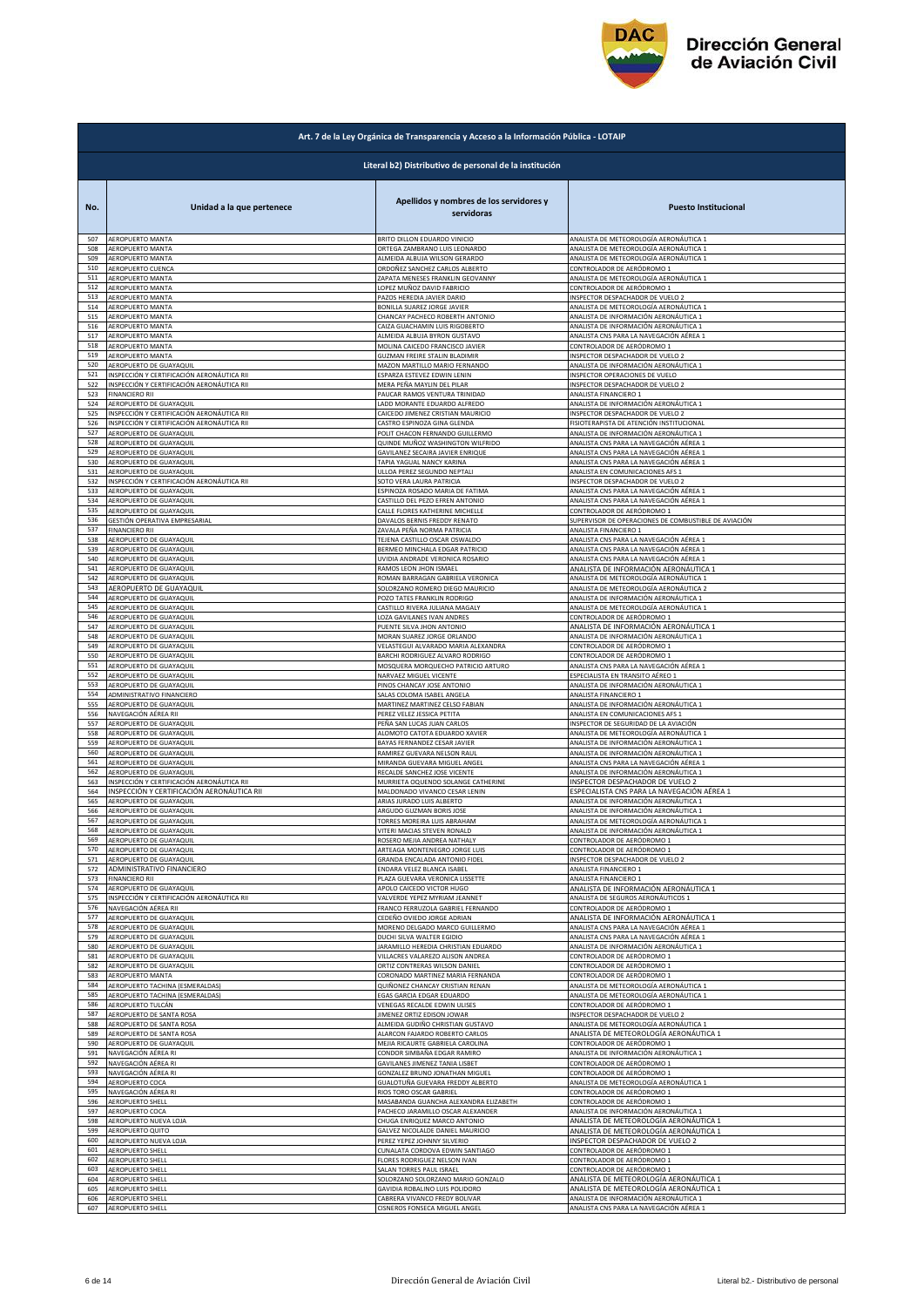

|            | Art. 7 de la Ley Orgánica de Transparencia y Acceso a la Información Pública - LOTAIP |                                                                |                                                                                  |  |
|------------|---------------------------------------------------------------------------------------|----------------------------------------------------------------|----------------------------------------------------------------------------------|--|
|            | Literal b2) Distributivo de personal de la institución                                |                                                                |                                                                                  |  |
| No.        | Unidad a la que pertenece                                                             | Apellidos y nombres de los servidores y<br>servidoras          | <b>Puesto Institucional</b>                                                      |  |
| 507        | AEROPUERTO MANTA                                                                      | BRITO DILLON EDUARDO VINICIO                                   | ANALISTA DE METEOROLOGÍA AERONÁUTICA 1                                           |  |
| 508        | AEROPUERTO MANTA                                                                      | ORTEGA ZAMBRANO LUIS LEONARDO                                  | ANALISTA DE METEOROLOGÍA AERONÁUTICA 1                                           |  |
| 509<br>510 | AEROPUERTO MANTA                                                                      | ALMEIDA ALBUJA WILSON GERARDO                                  | ANALISTA DE METEOROLOGÍA AERONÁUTICA 1                                           |  |
| 511        | AEROPUERTO CUENCA                                                                     | ORDOÑEZ SANCHEZ CARLOS ALBERTO                                 | CONTROLADOR DE AERÓDROMO 1                                                       |  |
|            | AEROPUERTO MANTA                                                                      | ZAPATA MENESES FRANKLIN GEOVANNY                               | ANALISTA DE METEOROLOGÍA AERONÁUTICA 1                                           |  |
| 512        | AEROPUERTO MANTA                                                                      | LOPEZ MUÑOZ DAVID FABRICIO                                     | CONTROLADOR DE AERÓDROMO 1                                                       |  |
| 513        | AEROPUERTO MANTA                                                                      | PAZOS HEREDIA JAVIER DARIO                                     | INSPECTOR DESPACHADOR DE VUELO 2                                                 |  |
| 514        | AEROPUERTO MANTA                                                                      | BONILLA SUAREZ JORGE JAVIER                                    | ANALISTA DE METEOROLOGÍA AERONÁUTICA 1                                           |  |
| 515        | AEROPUERTO MANTA                                                                      | CHANCAY PACHECO ROBERTH ANTONIO                                | ANALISTA DE INFORMACIÓN AERONÁUTICA 1                                            |  |
| 516        | AEROPUERTO MANTA                                                                      | CAIZA GUACHAMIN LUIS RIGOBERTO                                 | ANALISTA DE INFORMACIÓN AERONÁUTICA 1                                            |  |
| 517        | AEROPUERTO MANTA                                                                      | ALMEIDA ALBUJA BYRON GUSTAVO                                   | ANALISTA CNS PARA LA NAVEGACIÓN AÉREA 1                                          |  |
| 518        | AEROPUERTO MANTA                                                                      | MOLINA CAICEDO FRANCISCO JAVIER                                | CONTROLADOR DE AERÓDROMO 1                                                       |  |
| 519        | AEROPUERTO MANTA                                                                      | GUZMAN FREIRE STALIN BLADIMIR                                  | NSPECTOR DESPACHADOR DE VUELO 2                                                  |  |
| 520        | AEROPUERTO DE GUAYAQUIL                                                               | MAZON MARTILLO MARIO FERNANDO                                  | ANALISTA DE INFORMACIÓN AERONÁUTICA 1                                            |  |
| 521        | INSPECCIÓN Y CERTIFICACIÓN AERONÁUTICA RII                                            | ESPARZA ESTEVEZ EDWIN LENIN                                    | INSPECTOR OPERACIONES DE VUELO                                                   |  |
| 522        | INSPECCIÓN Y CERTIFICACIÓN AERONÁUTICA RII                                            | MERA PEÑA MAYLIN DEL PILAR                                     | INSPECTOR DESPACHADOR DE VUELO 2                                                 |  |
| 523        | <b>FINANCIERO RII</b>                                                                 | PAUCAR RAMOS VENTURA TRINIDAD                                  | ANALISTA FINANCIERO 1                                                            |  |
| 524        | AEROPUERTO DE GUAYAQUIL                                                               | LADD MORANTE EDUARDO ALFREDO                                   | ANALISTA DE INFORMACIÓN AERONÁUTICA 1                                            |  |
| 525        | INSPECCIÓN Y CERTIFICACIÓN AERONÁUTICA RII                                            | CAICEDO JIMENEZ CRISTIAN MAURICIO                              | INSPECTOR DESPACHADOR DE VUELO 2                                                 |  |
| 526        | INSPECCIÓN Y CERTIFICACIÓN AERONÁUTICA RII                                            | CASTRO ESPINOZA GINA GLENDA                                    | FISIOTERAPISTA DE ATENCIÓN INSTITUCIONAL                                         |  |
| 527        | AEROPUERTO DE GUAYAQUIL                                                               | POLIT CHACON FERNANDO GUILLERMO                                | ANALISTA DE INFORMACIÓN AERONÁUTICA 1                                            |  |
| 528        | AEROPUERTO DE GUAYAQUIL                                                               | QUINDE MUÑOZ WASHINGTON WILFRIDO                               | ANALISTA CNS PARA LA NAVEGACIÓN AÉREA 1                                          |  |
| 529        | AEROPUERTO DE GUAYAQUIL                                                               | GAVILANEZ SECAIRA JAVIER ENRIQUE                               | ANALISTA CNS PARA LA NAVEGACIÓN AÉREA 1                                          |  |
| 530        | AEROPUERTO DE GUAYAQUIL                                                               | TAPIA YAGUAL NANCY KARINA                                      | ANALISTA CNS PARA LA NAVEGACIÓN AÉREA 1                                          |  |
| 531        | AEROPUERTO DE GUAYAQUIL                                                               | ULLOA PEREZ SEGUNDO NEPTALI                                    | ANALISTA EN COMUNICACIONES AFS 1                                                 |  |
| 532        | INSPECCIÓN Y CERTIFICACIÓN AERONÁUTICA RII                                            | SOTO VERA LAURA PATRICIA                                       | INSPECTOR DESPACHADOR DE VUELO 2                                                 |  |
| 533        | AEROPUERTO DE GUAYAQUIL                                                               | ESPINOZA ROSADO MARIA DE FATIMA                                | ANALISTA CNS PARA LA NAVEGACIÓN AÉREA 1                                          |  |
| 534        | AEROPUERTO DE GUAYAQUII                                                               | CASTILLO DEL PEZO EFREN ANTONIO                                | ANALISTA CNS PARA LA NAVEGACIÓN AÉREA 1                                          |  |
| 535        | AEROPUERTO DE GUAYAQUII                                                               | CALLE FLORES KATHERINE MICHELLE                                | CONTROLADOR DE AERÓDROMO 1                                                       |  |
| 536        | GESTIÓN OPERATIVA EMPRESARIAL                                                         | DAVALOS BERNIS FREDDY RENATO                                   | SUPERVISOR DE OPERACIONES DE COMBUSTIBLE DE AVIACIÓN                             |  |
| 537        | <b>FINANCIERO RII</b>                                                                 | ZAVALA PEÑA NORMA PATRICIA                                     | ANALISTA FINANCIERO 1                                                            |  |
| 538        | AEROPUERTO DE GUAYAQUI<br>AEROPUERTO DE GUAYAQUIL                                     | TEJENA CASTILLO OSCAR OSWALDO                                  | ANALISTA CNS PARA LA NAVEGACIÓN AÉREA 1                                          |  |
| 539        | AEROPUERTO DE GUAYAQUII                                                               | BERMEO MINCHALA EDGAR PATRICIO                                 | ANALISTA CNS PARA LA NAVEGACIÓN AÉREA 1                                          |  |
| 540        |                                                                                       | UVIDIA ANDRADE VERONICA ROSARIO                                | ANALISTA CNS PARA LA NAVEGACIÓN AÉREA 1                                          |  |
| 541        | AEROPUERTO DE GUAYAQUIL                                                               | RAMOS LEON JHON ISMAEL                                         | ANALISTA DE INFORMACIÓN AERONÁUTICA 1                                            |  |
| 542        | AEROPUERTO DE GUAYAQUIL                                                               | ROMAN BARRAGAN GABRIELA VERONICA                               | ANALISTA DE METEOROLOGÍA AERONÁUTICA 1                                           |  |
| 543        | AEROPUERTO DE GUAYAQUIL                                                               | SOLORZANO ROMERO DIEGO MAURICIO                                | ANALISTA DE METEOROLOGÍA AERONÁUTICA 2                                           |  |
| 544        | AEROPUERTO DE GUAYAQUIL                                                               | POZO TATES FRANKLIN RODRIGO                                    | ANALISTA DE INFORMACIÓN AERONÁUTICA 1                                            |  |
| 545        | AEROPUERTO DE GUAYAQUIL                                                               | CASTILLO RIVERA JULIANA MAGALY                                 | ANALISTA DE METEOROLOGÍA AERONÁUTICA 1                                           |  |
| 546        | AEROPUERTO DE GUAYAQUIL                                                               | LOZA GAVILANES IVAN ANDRES                                     | CONTROLADOR DE AERÓDROMO 1                                                       |  |
| 547        | AEROPUERTO DE GUAYAQUIL                                                               | PUENTE SILVA JHON ANTONIO                                      | ANALISTA DE INFORMACIÓN AERONÁUTICA 1                                            |  |
| 548        | AEROPUERTO DE GUAYAQUIL                                                               | MORAN SUAREZ JORGE ORLANDO                                     | ANALISTA DE INFORMACIÓN AERONÁUTICA 1                                            |  |
| 549        | AEROPUERTO DE GUAYAQUIL                                                               | VELASTEGUI ALVARADO MARIA ALEXANDRA                            | CONTROLADOR DE AERÓDROMO 1                                                       |  |
| 550<br>551 | AEROPUERTO DE GUAYAQUIL                                                               | BARCHI RODRIGUEZ ALVARO RODRIGO                                | CONTROLADOR DE AERÓDROMO 1                                                       |  |
| 552        | AEROPUERTO DE GUAYAQUIL                                                               | MOSQUERA MORQUECHO PATRICIO ARTURO                             | ANALISTA CNS PARA LA NAVEGACIÓN AÉREA 1                                          |  |
|            | AEROPUERTO DE GUAYAQUIL                                                               | NARVAEZ MIGUEL VICENTE                                         | ESPECIALISTA EN TRANSITO AÉREO 1                                                 |  |
| 553        | AEROPUERTO DE GUAYAQUIL                                                               | PINOS CHANCAY JOSE ANTONIO                                     | ANALISTA DE INFORMACIÓN AERONÁUTICA 1                                            |  |
| 554        | ADMINISTRATIVO FINANCIERO                                                             | SALAS COLOMA ISABEL ANGELA                                     | ANALISTA FINANCIERO 1                                                            |  |
| 555        | AEROPUERTO DE GUAYAQUIL                                                               | MARTINEZ MARTINEZ CELSO FABIAN                                 | ANALISTA DE INFORMACIÓN AERONÁUTICA 1                                            |  |
| 556        | NAVEGACIÓN AÉREA RII                                                                  | PEREZ VELEZ JESSICA PETITA                                     | ANALISTA EN COMUNICACIONES AFS 1                                                 |  |
| 557        | AEROPUERTO DE GUAYAQUIL                                                               | PEÑA SAN LUCAS JUAN CARLOS                                     | INSPECTOR DE SEGURIDAD DE LA AVIACIÓN                                            |  |
| 558        | AEROPUERTO DE GUAYAQUIL                                                               | ALOMOTO CATOTA EDUARDO XAVIER                                  | ANALISTA DE METEOROLOGÍA AERONÁUTICA 1                                           |  |
| 559        | AEROPUERTO DE GUAYAQUIL                                                               | BAYAS FERNANDEZ CESAR JAVIER                                   | ANALISTA DE INFORMACIÓN AERONÁUTICA 1                                            |  |
| 560        | AEROPUERTO DE GUAYAQUII                                                               | RAMIREZ GUEVARA NELSON RAUL                                    | ANALISTA DE INFORMACIÓN AERONÁUTICA 1                                            |  |
| 561        | AEROPUERTO DE GUAYAQUIL                                                               | MIRANDA GUEVARA MIGUEL ANGEL                                   | ANALISTA CNS PARA LA NAVEGACIÓN AÉREA 1                                          |  |
| 562        | AEROPUERTO DE GUAYAQUIL                                                               | RECALDE SANCHEZ JOSE VICENTE                                   | ANALISTA DE INFORMACIÓN AERONÁUTICA 1                                            |  |
| 563        | INSPECCIÓN Y CERTIFICACIÓN AERONÁUTICA RII                                            | MURRIETA OQUENDO SOLANGE CATHERINE                             | INSPECTOR DESPACHADOR DE VUELO 2                                                 |  |
| 564        | INSPECCIÓN Y CERTIFICACIÓN AERONÁUTICA RII                                            | MALDONADO VIVANCO CESAR LENIN                                  | ESPECIALISTA CNS PARA LA NAVEGACIÓN AÉREA 1                                      |  |
| 565        | AEROPUERTO DE GUAYAQUIL                                                               | ARIAS JURADO LUIS ALBERTO                                      | ANALISTA DE INFORMACIÓN AERONÁUTICA 1                                            |  |
| 566        | AEROPUERTO DE GUAYAQUIL                                                               | ARGUDO GUZMAN BORIS JOSE                                       | ANALISTA DE INFORMACIÓN AERONÁUTICA 1                                            |  |
| 567        | AEROPUERTO DE GUAYAQUII                                                               | TORRES MOREIRA LUIS ABRAHAM                                    | ANALISTA DE METEOROLOGIA AERONAUTICA 1                                           |  |
| 568        | AEROPUERTO DE GUAYAQUIL                                                               | VITERI MACIAS STEVEN RONALD                                    | ANALISTA DE INFORMACIÓN AERONÁUTICA 1                                            |  |
| 569        | AEROPUERTO DE GUAYAQUIL                                                               | ROSERO MEJIA ANDREA NATHALY                                    | CONTROLADOR DE AERÓDROMO 1                                                       |  |
| 570        | AEROPUERTO DE GUAYAQUIL                                                               | ARTEAGA MONTENEGRO JORGE LUIS                                  | CONTROLADOR DE AERÓDROMO 1                                                       |  |
| 571        | AEROPUERTO DE GUAYAQUIL                                                               | GRANDA ENCALADA ANTONIO FIDEL                                  | INSPECTOR DESPACHADOR DE VUELO 2                                                 |  |
| 572        | ADMINISTRATIVO FINANCIERO                                                             | ENDARA VELEZ BLANCA ISABEL                                     | ANALISTA FINANCIERO 1                                                            |  |
| 573        | <b>FINANCIERO RII</b>                                                                 | PLAZA GUEVARA VERONICA LISSETTE                                | ANALISTA FINANCIERO 1                                                            |  |
| 574        | AEROPUERTO DE GUAYAQUII                                                               | APOLO CAICEDO VICTOR HUGO                                      | ANALISTA DE INFORMACIÓN AERONÁUTICA 1                                            |  |
| 575        | INSPECCIÓN Y CERTIFICACIÓN AERONÁUTICA RII                                            | VALVERDE YEPEZ MYRIAM JEANNET                                  | ANALISTA DE SEGUROS AERONÁUTICOS 1                                               |  |
| 576<br>577 | NAVEGACIÓN AÉREA RII<br>AEROPUERTO DE GUAYAQUII                                       | FRANCO FERRUZOLA GABRIEL FERNANDO                              | CONTROLADOR DE AERÓDROMO 1                                                       |  |
| 578        | AEROPUERTO DE GUAYAQUIL                                                               | CEDEÑO OVIEDO JORGE ADRIAN<br>MORENO DELGADO MARCO GUILLERMO   | ANALISTA DE INFORMACIÓN AERONÁUTICA 1<br>ANALISTA CNS PARA LA NAVEGACIÓN AÉREA 1 |  |
| 579        | AEROPUERTO DE GUAYAQUIL                                                               | DUCHI SILVA WALTER EGIDIO                                      | ANALISTA CNS PARA LA NAVEGACIÓN AÉREA 1                                          |  |
| 580        | AEROPUERTO DE GUAYAQUIL                                                               | JARAMILLO HEREDIA CHRISTIAN EDUARDO                            | ANALISTA DE INFORMACIÓN AERONÁUTICA 1                                            |  |
| 581        | AEROPUERTO DE GUAYAQUIL                                                               | VILLACRES VALAREZO ALISON ANDREA                               | CONTROLADOR DE AERÓDROMO 1                                                       |  |
| 582        | AEROPUERTO DE GUAYAQUIL                                                               | ORTIZ CONTRERAS WILSON DANIEL                                  | CONTROLADOR DE AERÓDROMO 1                                                       |  |
| 583        | AEROPUERTO MANTA                                                                      | CORONADO MARTINEZ MARIA FERNANDA                               | CONTROLADOR DE AERÓDROMO 1                                                       |  |
| 584        | AEROPUERTO TACHINA (ESMERALDAS)                                                       | QUIÑONEZ CHANCAY CRISTIAN RENAN                                | ANALISTA DE METEOROLOGÍA AERONÁUTICA 1                                           |  |
| 585        | AEROPUERTO TACHINA (ESMERALDAS)                                                       | EGAS GARCIA EDGAR EDUARDO                                      | ANALISTA DE METEOROLOGÍA AERONÁUTICA 1                                           |  |
| 586        | AEROPUERTO TULCÁN                                                                     | VENEGAS RECALDE EDWIN ULISES                                   | CONTROLADOR DE AERÓDROMO 1                                                       |  |
| 587        | AEROPUERTO DE SANTA ROSA                                                              | <b>IIMENEZ ORTIZ EDISON JOWAR</b>                              | INSPECTOR DESPACHADOR DE VUELO 2                                                 |  |
| 588        | AEROPUERTO DE SANTA ROSA                                                              | ALMEIDA GUDIÑO CHRISTIAN GUSTAVO                               | ANALISTA DE METEOROLOGÍA AERONÁUTICA 1                                           |  |
| 589        | AEROPUERTO DE SANTA ROSA                                                              | ALARCON FAJARDO ROBERTO CARLOS                                 | ANALISTA DE METEOROLOGÍA AERONÁUTICA 1                                           |  |
| 590        | AEROPUERTO DE GUAYAQUIL                                                               | MEJIA RICAURTE GABRIELA CAROLINA                               | CONTROLADOR DE AERÓDROMO 1                                                       |  |
| 591        | NAVEGACIÓN AÉREA RI                                                                   | CONDOR SIMBAÑA EDGAR RAMIRO                                    | ANALISTA DE INFORMACIÓN AERONÁUTICA 1                                            |  |
| 592        | NAVEGACIÓN AÉREA RI                                                                   | GAVILANES JIMENEZ TANIA LISBET                                 | CONTROLADOR DE AERÓDROMO 1                                                       |  |
| 593        | NAVEGACIÓN AÉREA RI                                                                   | GONZALEZ BRUNO JONATHAN MIGUEL                                 | CONTROLADOR DE AERÓDROMO 1                                                       |  |
| 594        | AEROPUERTO COCA                                                                       | GUALOTUÑA GUEVARA FREDDY ALBERTO                               | ANALISTA DE METEOROLOGÍA AERONÁUTICA 1                                           |  |
| 595        | NAVEGACIÓN AÉREA RI                                                                   | RIOS TORO OSCAR GABRIEL                                        | CONTROLADOR DE AERÓDROMO 1                                                       |  |
| 596        | AEROPUERTO SHELL                                                                      | MASABANDA GUANCHA ALEXANDRA ELIZABETH                          | CONTROLADOR DE AERÓDROMO 1                                                       |  |
| 597        | AEROPUERTO COCA                                                                       | PACHECO JARAMILLO OSCAR ALEXANDER                              | ANALISTA DE INFORMACIÓN AERONÁUTICA 1                                            |  |
| 598        | AEROPUERTO NUEVA LOJA                                                                 | CHUGA ENRIQUEZ MARCO ANTONIO                                   | ANALISTA DE METEOROLOGÍA AERONÁUTICA 1                                           |  |
| 599        | AEROPUERTO QUITO                                                                      | GALVEZ NICOLALDE DANIEL MAURICIO                               | ANALISTA DE METEOROLOGÍA AERONÁUTICA 1                                           |  |
| 600        | AEROPUERTO NUEVA LOJA                                                                 | PEREZ YEPEZ JOHNNY SILVERIO<br>CUNALATA CORDOVA EDWIN SANTIAGO | INSPECTOR DESPACHADOR DE VUELO 2<br>CONTROLADOR DE AERÓDROMO 1                   |  |
| 601<br>602 | AEROPUERTO SHELL<br>AEROPUERTO SHELL                                                  | FLORES RODRIGUEZ NELSON IVAN                                   | CONTROLADOR DE AERÓDROMO 1                                                       |  |
| 603        | <b>AEROPUERTO SHELL</b>                                                               | SALAN TORRES PAUL ISRAEL                                       | CONTROLADOR DE AERÓDROMO 1                                                       |  |
| 604        | <b>AEROPUERTO SHELL</b>                                                               | SOLORZANO SOLORZANO MARIO GONZALO                              | <u>ANALISTA DE METEOROLOGÍA AERONÁUTICA 1</u>                                    |  |
| 605        | AEROPUERTO SHELL                                                                      | GAVIDIA ROBALINO LUIS POLIDORO                                 | ANALISTA DE METEOROLOGÍA AERONÁUTICA 1                                           |  |
| 606        | AEROPUERTO SHELL                                                                      | CABRERA VIVANCO FREDY BOLIVAR                                  | ANALISTA DE INFORMACIÓN AERONÁUTICA 1                                            |  |
| 607        | AEROPUERTO SHELL                                                                      | CISNEROS FONSECA MIGUEL ANGEL                                  | ANALISTA CNS PARA LA NAVEGACIÓN AÉREA 1                                          |  |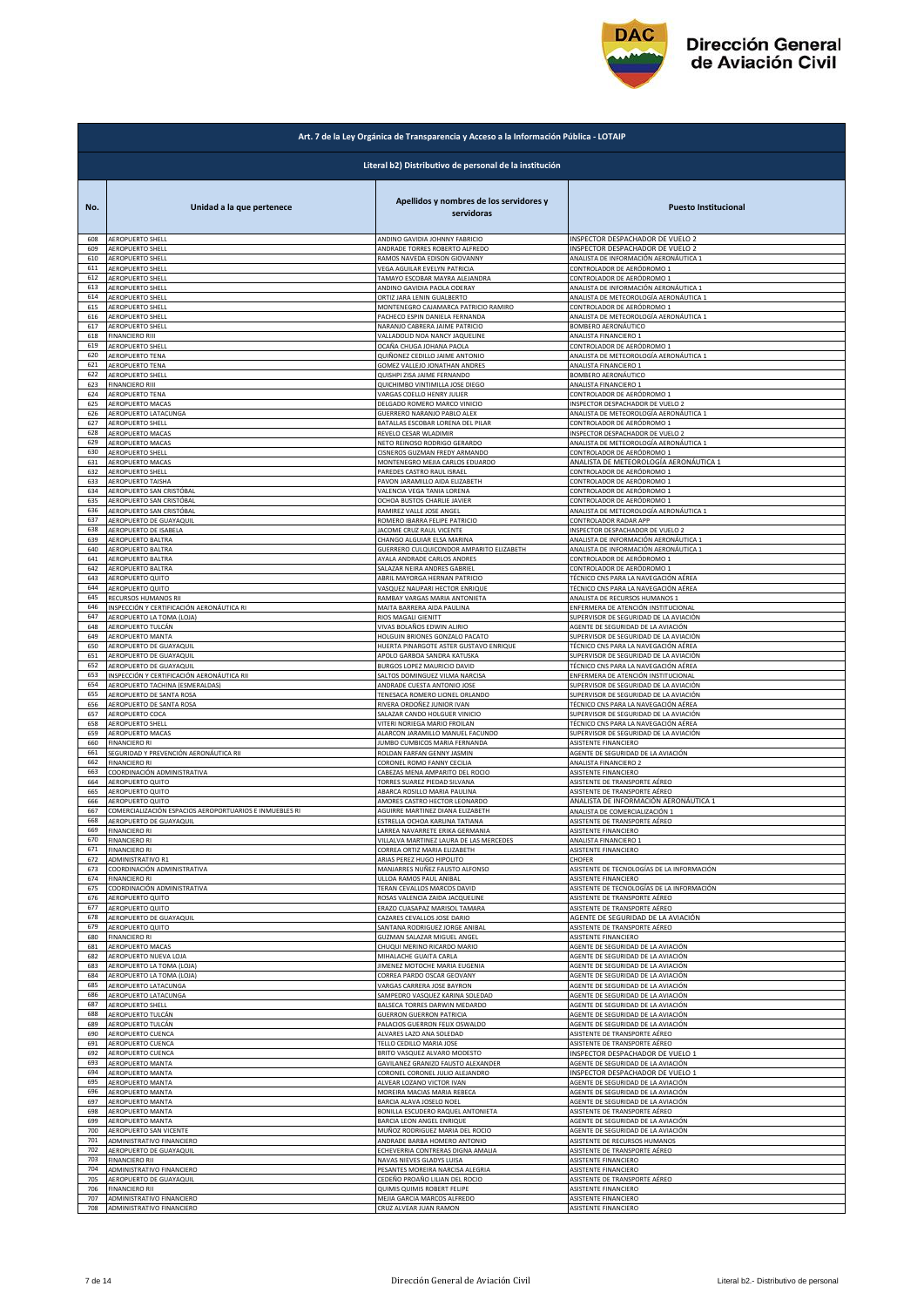

|            | Art. 7 de la Ley Orgánica de Transparencia y Acceso a la Información Pública - LOTAIP |                                                               |                                            |  |
|------------|---------------------------------------------------------------------------------------|---------------------------------------------------------------|--------------------------------------------|--|
|            | Literal b2) Distributivo de personal de la institución                                |                                                               |                                            |  |
| No.        | Unidad a la que pertenece                                                             | Apellidos y nombres de los servidores y<br>servidoras         | <b>Puesto Institucional</b>                |  |
| 608        | AEROPUERTO SHELL                                                                      | ANDINO GAVIDIA JOHNNY FABRICIO                                | INSPECTOR DESPACHADOR DE VUELO 2           |  |
| 609        | AEROPUERTO SHELL                                                                      | ANDRADE TORRES ROBERTO ALFREDO                                | INSPECTOR DESPACHADOR DE VUELO 2           |  |
| 610<br>611 | AEROPUERTO SHELL                                                                      | RAMOS NAVEDA EDISON GIOVANNY                                  | ANALISTA DE INFORMACIÓN AERONÁUTICA 1      |  |
| 612        | AEROPUERTO SHELL                                                                      | VEGA AGUILAR EVELYN PATRICIA                                  | CONTROLADOR DE AERÓDROMO 1                 |  |
|            | AEROPUERTO SHELL                                                                      | TAMAYO ESCOBAR MAYRA ALEJANDRA                                | CONTROLADOR DE AERÓDROMO 1                 |  |
| 613        | AEROPUERTO SHELL                                                                      | ANDINO GAVIDIA PAOLA ODERAY                                   | ANALISTA DE INFORMACIÓN AERONÁUTICA 1      |  |
| 614        | AEROPUERTO SHELL                                                                      | ORTIZ JARA LENIN GUALBERTO                                    | ANALISTA DE METEOROLOGÍA AERONÁUTICA 1     |  |
| 615        | AEROPUERTO SHELL                                                                      | MONTENEGRO CAJAMARCA PATRICIO RAMIRO                          | CONTROLADOR DE AERÓDROMO 1                 |  |
| 616        | AEROPUERTO SHELL                                                                      | PACHECO ESPIN DANIELA FERNANDA                                | ANALISTA DE METEOROLOGÍA AERONÁUTICA 1     |  |
| 617        | AEROPUERTO SHELL                                                                      | NARANJO CABRERA JAIME PATRICIO                                | BOMBERO AERONÁUTICO                        |  |
| 618        | <b>FINANCIERO RIII</b>                                                                | VALLADOLID NOA NANCY JAQUELINE                                | ANALISTA FINANCIERO 1                      |  |
| 619        | AEROPUERTO SHELL                                                                      | OCAÑA CHUGA JOHANA PAOLA                                      | CONTROLADOR DE AERÓDROMO 1                 |  |
| 620        | AEROPUERTO TENA                                                                       | QUIÑONEZ CEDILLO JAIME ANTONIO                                | ANALISTA DE METEOROLOGÍA AERONÁUTICA 1     |  |
| 621        | <b>AEROPUERTO TENA</b>                                                                | GOMEZ VALLEJO JONATHAN ANDRES                                 | ANALISTA FINANCIERO 1                      |  |
| 622        | AEROPUERTO SHELL                                                                      | QUISHPI ZISA JAIME FERNANDO                                   | BOMBERO AERONÁUTICO                        |  |
| 623        | <b>FINANCIERO RIII</b>                                                                | QUICHIMBO VINTIMILLA JOSE DIEGO                               | ANALISTA FINANCIERO 1                      |  |
| 624        | AEROPUERTO TENA                                                                       | VARGAS COELLO HENRY JULIER                                    | CONTROLADOR DE AERÓDROMO 1                 |  |
| 625        | AEROPUERTO MACAS                                                                      | DELGADO ROMERO MARCO VINICIO                                  | INSPECTOR DESPACHADOR DE VUELO 2           |  |
| 626        | AEROPUERTO LATACUNGA                                                                  | GUERRERO NARANJO PABLO ALEX                                   | ANALISTA DE METEOROLOGÍA AERONÁUTICA 1     |  |
| 627        | <b>AEROPUERTO SHELL</b>                                                               | BATALLAS ESCOBAR LORENA DEL PILAR                             | CONTROLADOR DE AERÓDROMO 1                 |  |
| 628        | AEROPUERTO MACAS                                                                      | REVELO CESAR WLADIMIR                                         | INSPECTOR DESPACHADOR DE VUELO 2           |  |
| 629        | AEROPUERTO MACAS                                                                      | NETO REINOSO RODRIGO GERARDO                                  | ANALISTA DE METEOROLOGÍA AERONÁUTICA 1     |  |
| 630        | AEROPUERTO SHELL                                                                      | CISNEROS GUZMAN FREDY ARMANDO                                 | CONTROLADOR DE AERÓDROMO 1                 |  |
| 631        | AEROPUERTO MACAS                                                                      | MONTENEGRO MEJIA CARLOS EDUARDO                               | ANALISTA DE METEOROLOGÍA AERONÁUTICA 1     |  |
| 632        | AEROPUERTO SHELL                                                                      | PAREDES CASTRO RAUL ISRAEL                                    | CONTROLADOR DE AERÓDROMO 1                 |  |
| 633        | <b>AEROPUERTO TAISHA</b>                                                              | PAVON JARAMILLO AIDA ELIZABETH                                | CONTROLADOR DE AERÓDROMO 1                 |  |
| 634        | AEROPUERTO SAN CRISTÓBAL                                                              | VALENCIA VEGA TANIA LORENA                                    | CONTROLADOR DE AERÓDROMO 1                 |  |
| 635        | AEROPUERTO SAN CRISTÓBAL                                                              | OCHOA BUSTOS CHARLIE JAVIER                                   | CONTROLADOR DE AERÓDROMO 1                 |  |
| 636        | AEROPUERTO SAN CRISTÓBAL                                                              | RAMIREZ VALLE JOSE ANGEL                                      | ANALISTA DE METEOROLOGÍA AERONÁUTICA 1     |  |
| 637        | AEROPUERTO DE GUAYAQUIL                                                               | ROMERO IBARRA FELIPE PATRICIO                                 | CONTROLADOR RADAR APP                      |  |
| 638        | AEROPUERTO DE ISABELA                                                                 | JACOME CRUZ RAUL VICENTE                                      | INSPECTOR DESPACHADOR DE VUELO 2           |  |
| 639        | AEROPUERTO BALTRA                                                                     | CHANGO ALGUIAR ELSA MARINA                                    | ANALISTA DE INFORMACIÓN AERONÁUTICA 1      |  |
| 640        | AEROPUERTO BALTRA                                                                     | GUERRERO CULQUICONDOR AMPARITO ELIZABETH                      | ANALISTA DE INFORMACIÓN AERONÁUTICA 1      |  |
| 641        | AEROPUERTO BALTRA                                                                     | AYALA ANDRADE CARLOS ANDRES                                   | CONTROLADOR DE AERÓDROMO 1                 |  |
| 642        | AEROPUERTO BALTRA                                                                     | SALAZAR NEIRA ANDRES GABRIEL                                  | CONTROLADOR DE AERÓDROMO 1                 |  |
| 643        | AEROPUERTO QUITO                                                                      | ABRIL MAYORGA HERNAN PATRICIO                                 | TÉCNICO CNS PARA LA NAVEGACIÓN AÉREA       |  |
| 644        | AEROPUERTO QUITO                                                                      | VASQUEZ NAUPARI HECTOR ENRIQUE                                | TÉCNICO CNS PARA LA NAVEGACIÓN AÉREA       |  |
| 645        | RECURSOS HUMANOS RII                                                                  | RAMBAY VARGAS MARIA ANTONIETA                                 | ANALISTA DE RECURSOS HUMANOS 1             |  |
| 646        | INSPECCIÓN Y CERTIFICACIÓN AERONÁUTICA RI                                             | MAITA BARRERA AIDA PAULINA                                    | ENFERMERA DE ATENCIÓN INSTITUCIONAL        |  |
| 647        | AEROPUERTO LA TOMA (LOJA)                                                             | RIOS MAGALI GIENITT                                           | SUPERVISOR DE SEGURIDAD DE LA AVIACIÓN     |  |
| 648        | AEROPUERTO TULCÁN                                                                     | VIVAS BOLAÑOS EDWIN ALIRIO                                    | AGENTE DE SEGURIDAD DE LA AVIACIÓN         |  |
| 649        | AEROPUERTO MANTA                                                                      | HOLGUIN BRIONES GONZALO PACATO                                | SUPERVISOR DE SEGURIDAD DE LA AVIACIÓN     |  |
| 650        | AEROPUERTO DE GUAYAQUIL                                                               | HUERTA PINARGOTE ASTER GUSTAVO ENRIQUE                        | TÉCNICO CNS PARA LA NAVEGACIÓN AÉREA       |  |
| 651        | AEROPUERTO DE GUAYAQUIL                                                               | APOLO GARBOA SANDRA KATUSKA                                   | SUPERVISOR DE SEGURIDAD DE LA AVIACIÓN     |  |
| 652        | AEROPUERTO DE GUAYAQUIL                                                               | BURGOS LOPEZ MAURICIO DAVID                                   | ÉCNICO CNS PARA LA NAVEGACIÓN AÉREA        |  |
| 653        | INSPECCIÓN Y CERTIFICACIÓN AERONÁUTICA RII                                            | SALTOS DOMINGUEZ VILMA NARCISA                                | INFERMERA DE ATENCIÓN INSTITUCIONAL        |  |
| 654        | AEROPUERTO TACHINA (ESMERALDAS)                                                       | ANDRADE CUESTA ANTONIO JOSE                                   | SUPERVISOR DE SEGURIDAD DE LA AVIACIÓN     |  |
| 655        | AEROPUERTO DE SANTA ROSA                                                              | TENESACA ROMERO LIONEL ORLANDO                                | SUPERVISOR DE SEGURIDAD DE LA AVIACIÓN     |  |
| 656        | AEROPUERTO DE SANTA ROSA                                                              | RIVERA ORDOÑEZ JUNIOR IVAN                                    | TÉCNICO CNS PARA LA NAVEGACIÓN AÉREA       |  |
| 657        | AEROPUERTO COCA                                                                       | SALAZAR CANDO HOLGUER VINICIO                                 | SUPERVISOR DE SEGURIDAD DE LA AVIACIÓN     |  |
| 658        | <b>AEROPUERTO SHELL</b>                                                               | VITERI NORIEGA MARIO FROILAN                                  | TÉCNICO CNS PARA LA NAVEGACIÓN AÉREA       |  |
| 659        | AEROPUERTO MACAS                                                                      | ALARCON JARAMILLO MANUEL FACUNDO                              | SUPERVISOR DE SEGURIDAD DE LA AVIACIÓN     |  |
| 660        | <b>FINANCIERO RI</b>                                                                  | JUMBO CUMBICOS MARIA FERNANDA                                 | ASISTENTE FINANCIERO                       |  |
| 661        | SEGURIDAD Y PREVENCIÓN AERONÁUTICA RII                                                | ROLDAN FARFAN GENNY JASMIN                                    | AGENTE DE SEGURIDAD DE LA AVIACIÓN         |  |
| 662        | <b>FINANCIERO RI</b>                                                                  | CORONEL ROMO FANNY CECILIA<br>CABEZAS MENA AMPARITO DEL ROCIO | ANALISTA FINANCIERO 2                      |  |
| 663        | COORDINACIÓN ADMINISTRATIVA                                                           | TORRES SUAREZ PIEDAD SILVANA                                  | ASISTENTE FINANCIERO                       |  |
| 664        | AEROPUERTO QUITO                                                                      |                                                               | ASISTENTE DE TRANSPORTE AÉREO              |  |
| 665        | AEROPUERTO QUITO                                                                      | ABARCA ROSILLO MARIA PAULINA                                  | SISTENTE DE TRANSPORTE AÉREO               |  |
| 666        | AEROPUERTO QUITO                                                                      | AMORES CASTRO HECTOR LEONARDO                                 | ANALISTA DE INFORMACIÓN AERONÁUTICA 1      |  |
| 667        | COMERCIALIZACIÓN ESPACIOS AEROPORTUARIOS E INMUEBLES RI                               | AGUIRRE MARTINEZ DIANA ELIZABETH                              | ANALISTA DE COMERCIALIZACIÓN 1             |  |
| 669        | AEROPUERTO DE GUAYAQUIL                                                               | ESTRELLA OCHOA KARLINA TATIANA                                | ASISTENTE DE TRANSPORTE AÉREO              |  |
|            | <b>FINANCIERO RI</b>                                                                  | LARREA NAVARRETE ERIKA GERMANIA                               | ASISTENTE FINANCIERO                       |  |
| 670        | <b>FINANCIERO RI</b>                                                                  | VILLALVA MARTINEZ LAURA DE LAS MERCEDES                       | ANALISTA FINANCIERO 1                      |  |
| 671        | <b>FINANCIERO RI</b>                                                                  | CORREA ORTIZ MARIA ELIZABETH                                  | ASISTENTE FINANCIERO                       |  |
| 672        | <b>ADMINISTRATIVO R1</b>                                                              | ARIAS PEREZ HUGO HIPOLITO                                     | CHOFER                                     |  |
| 673        | COORDINACIÓN ADMINISTRATIVA                                                           | MANJARRES NUÑEZ FAUSTO ALFONSO                                | ASISTENTE DE TECNOLOGÍAS DE LA INFORMACIÓN |  |
| 674        | <b>FINANCIERO RI</b>                                                                  | ULLOA RAMOS PAUL ANIBAL                                       | ASISTENTE FINANCIERO                       |  |
| 675        | COORDINACIÓN ADMINISTRATIVA                                                           | TERAN CEVALLOS MARCOS DAVID                                   | ASISTENTE DE TECNOLOGÍAS DE LA INFORMACIÓN |  |
| 676        | AEROPUERTO QUITO                                                                      | ROSAS VALENCIA ZAIDA JACQUELINE                               | ASISTENTE DE TRANSPORTE AÉREO              |  |
| 677        | AEROPUERTO QUITO                                                                      | ERAZO CUASAPAZ MARISOL TAMARA                                 | ASISTENTE DE TRANSPORTE AÉREO              |  |
| 678        | AEROPUERTO DE GUAYAQUIL                                                               | CAZARES CEVALLOS JOSE DARIO                                   | AGENTE DE SEGURIDAD DE LA AVIACIÓN         |  |
| 679        | AEROPUERTO QUITO                                                                      | SANTANA RODRIGUEZ JORGE ANIBAL                                | ASISTENTE DE TRANSPORTE AÉREO              |  |
| 680        | <b>FINANCIERO RI</b>                                                                  | GUZMAN SALAZAR MIGUEL ANGEL                                   | ASISTENTE FINANCIERO                       |  |
| 681        | AEROPUERTO MACAS                                                                      | CHUQUI MERINO RICARDO MARIO                                   | AGENTE DE SEGURIDAD DE LA AVIACIÓN         |  |
| 682        | AEROPUERTO NUEVA LOJA                                                                 | MIHALACHE GUAITA CARLA                                        | AGENTE DE SEGURIDAD DE LA AVIACIÓN         |  |
| 683        | AEROPUERTO LA TOMA (LOJA)                                                             | JIMENEZ MOTOCHE MARIA EUGENIA                                 | AGENTE DE SEGURIDAD DE LA AVIACIÓN         |  |
| 684        | AEROPUERTO LA TOMA (LOJA)                                                             | CORREA PARDO OSCAR GEOVANY                                    | AGENTE DE SEGURIDAD DE LA AVIACIÓN         |  |
| 685        | AEROPUERTO LATACUNGA                                                                  | VARGAS CARRERA JOSE BAYRON                                    | AGENTE DE SEGURIDAD DE LA AVIACIÓN         |  |
| 686        | AEROPUERTO LATACUNGA                                                                  | SAMPEDRO VASQUEZ KARINA SOLEDAD                               | AGENTE DE SEGURIDAD DE LA AVIACIÓN         |  |
| 687        | AEROPUERTO SHELL                                                                      | BALSECA TORRES DARWIN MEDARDO                                 | AGENTE DE SEGURIDAD DE LA AVIACIÓN         |  |
| 688        | AEROPUERTO TULCÁN                                                                     | <b>GUERRON GUERRON PATRICIA</b>                               | AGENTE DE SEGURIDAD DE LA AVIACIÓN         |  |
| 689        | AEROPUERTO TULCÁN                                                                     | PALACIOS GUERRON FELIX OSWALDO                                | GENTE DE SEGURIDAD DE LA AVIACIÓN          |  |
| 690        | AEROPUERTO CUENCA                                                                     | ALVARES LAZO ANA SOLEDAD                                      | ASISTENTE DE TRANSPORTE AÉREO              |  |
| 691        | AEROPUERTO CUENCA                                                                     | TELLO CEDILLO MARIA JOSE                                      | ASISTENTE DE TRANSPORTE AÉREO              |  |
| 692        | AEROPUERTO CUENCA                                                                     | BRITO VASQUEZ ALVARO MODESTO                                  | INSPECTOR DESPACHADOR DE VUELO 1           |  |
| 693        | AEROPUERTO MANTA                                                                      | GAVILANEZ GRANIZO FAUSTO ALEXANDER                            | AGENTE DE SEGURIDAD DE LA AVIACIÓN         |  |
| 694        | AEROPUERTO MANTA                                                                      | CORONEL CORONEL JULIO ALEJANDRO                               | INSPECTOR DESPACHADOR DE VUELO 1           |  |
| 695        | AEROPUERTO MANTA                                                                      | ALVEAR LOZANO VICTOR IVAN                                     | AGENTE DE SEGURIDAD DE LA AVIACIÓN         |  |
| 696        | AEROPUERTO MANTA                                                                      | MOREIRA MACIAS MARIA REBECA                                   | AGENTE DE SEGURIDAD DE LA AVIACIÓN         |  |
| 697        | AEROPUERTO MANTA                                                                      | BARCIA ALAVA JOSELO NOEL                                      | AGENTE DE SEGURIDAD DE LA AVIACIÓN         |  |
| 698        | AEROPUERTO MANTA                                                                      | BONILLA ESCUDERO RAQUEL ANTONIETA                             | ASISTENTE DE TRANSPORTE AÉREO              |  |
| 699        | AEROPUERTO MANTA                                                                      | BARCIA LEON ANGEL ENRIQUE                                     | AGENTE DE SEGURIDAD DE LA AVIACIÓN         |  |
| 700        | AEROPUERTO SAN VICENTE                                                                | MUÑOZ RODRIGUEZ MARIA DEL ROCIO                               | AGENTE DE SEGURIDAD DE LA AVIACIÓN         |  |
| 701        | ADMINISTRATIVO FINANCIERO                                                             | ANDRADE BARBA HOMERO ANTONIO                                  | ASISTENTE DE RECURSOS HUMANOS              |  |
| 702        | AEROPUERTO DE GUAYAQUIL                                                               | ECHEVERRIA CONTRERAS DIGNA AMALIA                             | ASISTENTE DE TRANSPORTE AÉREO              |  |
| 703        | <b>FINANCIERO RII</b>                                                                 | NAVAS NIEVES GLADYS LUISA                                     | ASISTENTE FINANCIERO                       |  |
| 704        | ADMINISTRATIVO FINANCIERO                                                             | PESANTES MOREIRA NARCISA ALEGRIA                              | ASISTENTE FINANCIERO                       |  |
| 705        | AEROPUERTO DE GUAYAQUIL                                                               | CEDEÑO PROAÑO LILIAN DEL ROCIO                                | ASISTENTE DE TRANSPORTE AÉREO              |  |
| 706        | <b>FINANCIERO RII</b>                                                                 | QUIMIS QUIMIS ROBERT FELIPE                                   | ASISTENTE FINANCIERO                       |  |
| 707        | ADMINISTRATIVO FINANCIERO                                                             | MEJIA GARCIA MARCOS ALFREDO                                   | ASISTENTE FINANCIERO                       |  |
| 708        | ADMINISTRATIVO FINANCIERO                                                             | CRUZ ALVEAR JUAN RAMON                                        | ASISTENTE FINANCIERO                       |  |
|            |                                                                                       |                                                               |                                            |  |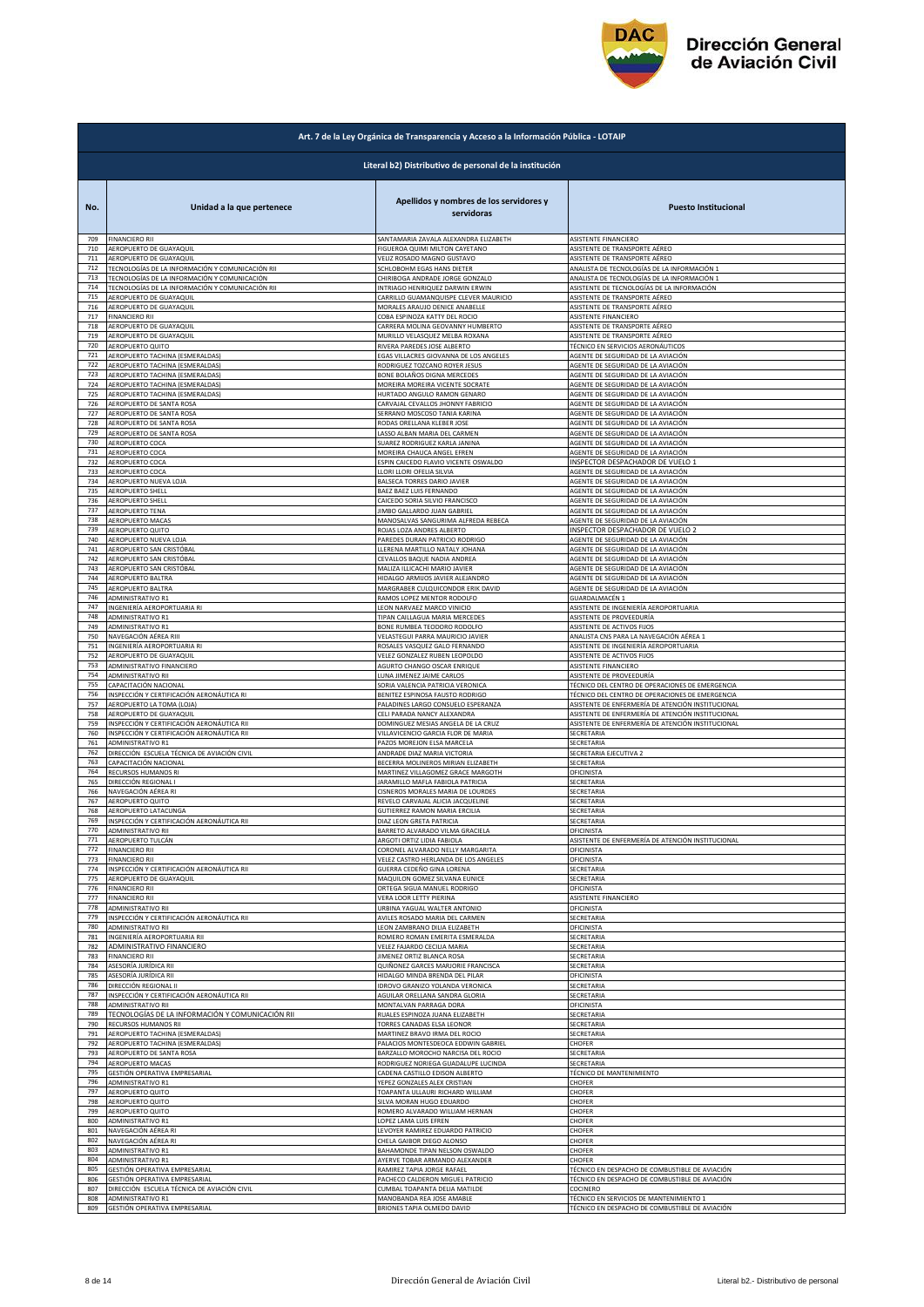

|            | Art. 7 de la Ley Orgánica de Transparencia y Acceso a la Información Pública - LOTAIP |                                                              |                                                                          |  |
|------------|---------------------------------------------------------------------------------------|--------------------------------------------------------------|--------------------------------------------------------------------------|--|
|            | Literal b2) Distributivo de personal de la institución                                |                                                              |                                                                          |  |
| No.        | Unidad a la que pertenece                                                             | Apellidos y nombres de los servidores y<br>servidoras        | <b>Puesto Institucional</b>                                              |  |
| 709        | <b>FINANCIERO RII</b>                                                                 | SANTAMARIA ZAVALA ALEXANDRA ELIZABETH                        | ASISTENTE FINANCIERO                                                     |  |
| 710        | AEROPUERTO DE GUAYAQUIL                                                               | FIGUEROA QUIMI MILTON CAYETANO                               | ASISTENTE DE TRANSPORTE AÉREO                                            |  |
| 711        | AEROPUERTO DE GUAYAQUIL                                                               | VELIZ ROSADO MAGNO GUSTAVO                                   | ASISTENTE DE TRANSPORTE AÉREO                                            |  |
| 712        | TECNOLOGÍAS DE LA INFORMACIÓN Y COMUNICACIÓN RII                                      | SCHLOBOHM EGAS HANS DIETER                                   | ANALISTA DE TECNOLOGÍAS DE LA INFORMACIÓN 1                              |  |
| 713        | TECNOLOGÍAS DE LA INFORMACIÓN Y COMUNICACIÓN                                          | CHIRIBOGA ANDRADE JORGE GONZALO                              | ANALISTA DE TECNOLOGÍAS DE LA INFORMACIÓN 1                              |  |
| 714        | TECNOLOGÍAS DE LA INFORMACIÓN Y COMUNICACIÓN RII                                      | INTRIAGO HENRIQUEZ DARWIN ERWIN                              | ASISTENTE DE TECNOLOGÍAS DE LA INFORMACIÓN                               |  |
| 715        | AEROPUERTO DE GUAYAQUIL                                                               | CARRILLO GUAMANQUISPE CLEVER MAURICIO                        | ASISTENTE DE TRANSPORTE AÉREO                                            |  |
| 716        | AEROPUERTO DE GUAYAQUIL                                                               | MORALES ARAUJO DENICE ANABELLE                               | ASISTENTE DE TRANSPORTE AÉREO                                            |  |
| 717        | <b>FINANCIERO RII</b>                                                                 | COBA ESPINOZA KATTY DEL ROCIO                                | ASISTENTE FINANCIERO                                                     |  |
| 718        | AEROPUERTO DE GUAYAQUIL                                                               | CARRERA MOLINA GEOVANNY HUMBERTO                             | ASISTENTE DE TRANSPORTE AÉREO                                            |  |
| 719        | AEROPUERTO DE GUAYAQUIL                                                               | MURILLO VELASQUEZ MELBA ROXANA                               | ASISTENTE DE TRANSPORTE AÉREO                                            |  |
| 720        | AEROPUERTO QUITO                                                                      | RIVERA PAREDES JOSE ALBERTO                                  | TÉCNICO EN SERVICIOS AERONÁUTICOS                                        |  |
| 721        | AEROPUERTO TACHINA (ESMERALDAS)                                                       | EGAS VILLACRES GIOVANNA DE LOS ANGELES                       | AGENTE DE SEGURIDAD DE LA AVIACIÓN                                       |  |
| 722        | AEROPUERTO TACHINA (ESMERALDAS)                                                       | RODRIGUEZ TOZCANO ROYER JESUS                                | AGENTE DE SEGURIDAD DE LA AVIACIÓN                                       |  |
| 723        | AEROPUERTO TACHINA (ESMERALDAS)                                                       | BONE BOLAÑOS DIGNA MERCEDES                                  | AGENTE DE SEGURIDAD DE LA AVIACIÓN                                       |  |
| 724        | AEROPUERTO TACHINA (ESMERALDAS)                                                       | MOREIRA MOREIRA VICENTE SOCRATE                              | AGENTE DE SEGURIDAD DE LA AVIACIÓN                                       |  |
| 725        | AEROPUERTO TACHINA (ESMERALDAS)                                                       | HURTADO ANGULO RAMON GENARO                                  | AGENTE DE SEGURIDAD DE LA AVIACIÓN                                       |  |
| 726        | AEROPUERTO DE SANTA ROSA                                                              | CARVAJAL CEVALLOS JHONNY FABRICIO                            | AGENTE DE SEGURIDAD DE LA AVIACIÓN                                       |  |
| 727        | AEROPUERTO DE SANTA ROSA                                                              | SERRANO MOSCOSO TANIA KARINA                                 | AGENTE DE SEGURIDAD DE LA AVIACIÓN                                       |  |
| 728        | AEROPUERTO DE SANTA ROSA                                                              | RODAS ORELLANA KLEBER JOSE                                   | AGENTE DE SEGURIDAD DE LA AVIACIÓN                                       |  |
| 729        | AEROPUERTO DE SANTA ROSA                                                              | LASSO ALBAN MARIA DEL CARMEN                                 | AGENTE DE SEGURIDAD DE LA AVIACIÓN                                       |  |
| 730        | AEROPUERTO COCA                                                                       | SUAREZ RODRIGUEZ KARLA JANINA                                | AGENTE DE SEGURIDAD DE LA AVIACIÓN                                       |  |
| 731        | AEROPUERTO COCA                                                                       | MOREIRA CHAUCA ANGEL EFREN                                   | AGENTE DE SEGURIDAD DE LA AVIACIÓN                                       |  |
| 732        | AEROPUERTO COCA                                                                       | ESPIN CAICEDO FLAVIO VICENTE OSWALDO                         | INSPECTOR DESPACHADOR DE VUELO 1                                         |  |
| 733        | AEROPUERTO COCA                                                                       | LLORI LLORI OFELIA SILVIA                                    | AGENTE DE SEGURIDAD DE LA AVIACIÓN                                       |  |
| 734        | AEROPUERTO NUEVA LOJA                                                                 | BALSECA TORRES DARIO JAVIER                                  | AGENTE DE SEGURIDAD DE LA AVIACIÓN                                       |  |
| 735        | AEROPUERTO SHELL                                                                      | BAEZ BAEZ LUIS FERNANDO                                      | AGENTE DE SEGURIDAD DE LA AVIACIÓN                                       |  |
| 736        | AEROPUERTO SHELL                                                                      | CAICEDO SORIA SILVIO FRANCISCO                               | AGENTE DE SEGURIDAD DE LA AVIACIÓN                                       |  |
| 737        | AEROPUERTO TENA                                                                       | JIMBO GALLARDO JUAN GABRIEL                                  | AGENTE DE SEGURIDAD DE LA AVIACIÓN                                       |  |
| 738        | AEROPUERTO MACAS                                                                      | MANOSALVAS SANGURIMA ALFREDA REBECA                          | AGENTE DE SEGURIDAD DE LA AVIACIÓN                                       |  |
| 739        | AEROPUERTO QUITO                                                                      | ROJAS LOZA ANDRES ALBERTO                                    | INSPECTOR DESPACHADOR DE VUELO 2                                         |  |
| 740        | AEROPUERTO NUEVA LOJA                                                                 | PAREDES DURAN PATRICIO RODRIGO                               | AGENTE DE SEGURIDAD DE LA AVIACIÓN                                       |  |
| 741<br>742 | AEROPUERTO SAN CRISTÓBAL<br>AEROPUERTO SAN CRISTÓBAL                                  | LLERENA MARTILLO NATALY JOHANA                               | AGENTE DE SEGURIDAD DE LA AVIACIÓN                                       |  |
| 743        | AEROPUERTO SAN CRISTÓBAL                                                              | CEVALLOS BAQUE NADIA ANDREA<br>MALIZA ILLICACHI MARIO JAVIER | AGENTE DE SEGURIDAD DE LA AVIACIÓN<br>AGENTE DE SEGURIDAD DE LA AVIACIÓN |  |
| 744        | AEROPUERTO BALTRA                                                                     | HIDALGO ARMIJOS JAVIER ALEJANDRO                             | AGENTE DE SEGURIDAD DE LA AVIACIÓN                                       |  |
| 745        | AEROPUERTO BALTRA                                                                     | MARGRABER CULQUICONDOR ERIK DAVID                            | AGENTE DE SEGURIDAD DE LA AVIACIÓN                                       |  |
| 746        | ADMINISTRATIVO R1                                                                     | RAMOS LOPEZ MENTOR RODOLFO                                   | GUARDALMACÉN 1                                                           |  |
| 747        | INGENIERÍA AEROPORTUARIA RI                                                           | LEON NARVAEZ MARCO VINICIO                                   | ASISTENTE DE INGENIERÍA AEROPORTUARIA                                    |  |
| 748        | ADMINISTRATIVO R1                                                                     | TIPAN CAILLAGUA MARIA MERCEDES                               | ASISTENTE DE PROVEEDURÍA                                                 |  |
| 749        | ADMINISTRATIVO R1                                                                     | BONE RUMBEA TEODORO RODOLFO                                  | ASISTENTE DE ACTIVOS FIJOS                                               |  |
| 750        | NAVEGACIÓN AÉREA RIII                                                                 | VELASTEGUI PARRA MAURICIO JAVIER                             | ANALISTA CNS PARA LA NAVEGACIÓN AÉREA 1                                  |  |
| 751        | INGENIERÍA AEROPORTUARIA RI                                                           | ROSALES VASQUEZ GALO FERNANDO                                | ASISTENTE DE INGENIERÍA AEROPORTUARIA                                    |  |
| 752        | AEROPUERTO DE GUAYAQUIL                                                               | VELEZ GONZALEZ RUBEN LEOPOLDO                                | ASISTENTE DE ACTIVOS FIJOS                                               |  |
| 753        | ADMINISTRATIVO FINANCIERO                                                             | AGURTO CHANGO OSCAR ENRIQUE                                  | ASISTENTE FINANCIERO                                                     |  |
| 754        | ADMINISTRATIVO RII                                                                    | LUNA JIMENEZ JAIME CARLOS                                    | ASISTENTE DE PROVEEDURÍA                                                 |  |
| 755        | CAPACITACIÓN NACIONAL                                                                 | SORIA VALENCIA PATRICIA VERONICA                             | TÉCNICO DEL CENTRO DE OPERACIONES DE EMERGENCIA                          |  |
| 756        | INSPECCIÓN Y CERTIFICACIÓN AERONÁUTICA RI                                             | BENITEZ ESPINOSA FAUSTO RODRIGO                              | TÉCNICO DEL CENTRO DE OPERACIONES DE EMERGENCIA                          |  |
| 757        | AEROPUERTO LA TOMA (LOJA)                                                             | PALADINES LARGO CONSUELO ESPERANZA                           | ASISTENTE DE ENFERMERÍA DE ATENCIÓN INSTITUCIONAL                        |  |
| 758        | AEROPUERTO DE GUAYAQUIL                                                               | CELI PARADA NANCY ALEXANDRA                                  | ASISTENTE DE ENFERMERÍA DE ATENCIÓN INSTITUCIONAL                        |  |
| 759        | INSPECCIÓN Y CERTIFICACIÓN AERONÁUTICA RII                                            | DOMINGUEZ MESIAS ANGELA DE LA CRUZ                           | ASISTENTE DE ENFERMERÍA DE ATENCIÓN INSTITUCIONAL                        |  |
| 760        | INSPECCIÓN Y CERTIFICACIÓN AERONÁUTICA RII                                            | VILLAVICENCIO GARCIA FLOR DE MARIA                           | SECRETARIA                                                               |  |
| 761        | ADMINISTRATIVO R1                                                                     | PAZOS MOREJON ELSA MARCELA                                   | SECRETARIA                                                               |  |
| 762        | DIRECCIÓN ESCUELA TÉCNICA DE AVIACIÓN CIVIL                                           | ANDRADE DIAZ MARIA VICTORIA                                  | SECRETARIA EJECUTIVA 2                                                   |  |
| 763        | CAPACITACIÓN NACIONAL                                                                 | BECERRA MOLINEROS MIRIAN ELIZABETH                           | SECRETARIA                                                               |  |
| 764        | RECURSOS HUMANOS RI                                                                   | MARTINEZ VILLAGOMEZ GRACE MARGOTH                            | DFICINISTA                                                               |  |
| 765        | DIRECCIÓN REGIONAL I                                                                  | JARAMILLO MAFLA FABIOLA PATRICIA                             | SECRETARIA                                                               |  |
| 766        | NAVEGACIÓN AÉREA RI                                                                   | CISNEROS MORALES MARIA DE LOURDES                            | SECRETARIA                                                               |  |
| 767        | AEROPUERTO QUITO                                                                      | REVELO CARVAJAL ALICIA JACQUELINE                            | SECRETARIA                                                               |  |
| 768        | AEROPUERTO LATACUNGA                                                                  | GUTIERREZ RAMON MARIA ERCILIA                                | SECRETARIA                                                               |  |
| 769        | INSPECCIÓN Y CERTIFICACIÓN AERONÁUTICA RII                                            | DIAZ LEON GRETA PATRICIA                                     | SECRETARIA                                                               |  |
| 770        | ADMINISTRATIVO RII                                                                    | BARRETO ALVARADO VILMA GRACIELA                              | OFICINISTA                                                               |  |
| 771        | AEROPUERTO TULCÁN                                                                     | ARGOTI ORTIZ LIDIA FABIOLA                                   | ASISTENTE DE ENFERMERÍA DE ATENCIÓN INSTITUCIONAL                        |  |
| 772        | <b>FINANCIERO RII</b>                                                                 | CORONEL ALVARADO NELLY MARGARITA                             | OFICINISTA                                                               |  |
| 773        | <b>FINANCIERO RII</b>                                                                 | VELEZ CASTRO HERLANDA DE LOS ANGELES                         | OFICINISTA                                                               |  |
| 774        | INSPECCIÓN Y CERTIFICACIÓN AERONÁUTICA RII                                            | GUERRA CEDEÑO GINA LORENA                                    | SECRETARIA                                                               |  |
| 775        | AEROPUERTO DE GUAYAQUIL                                                               | MAQUILON GOMEZ SILVANA EUNICE                                | SECRETARIA                                                               |  |
| 776        | <b>FINANCIERO RII</b>                                                                 | ORTEGA SIGUA MANUEL RODRIGO                                  | OFICINISTA                                                               |  |
| 777        | <b>FINANCIERO RII</b>                                                                 | VERA LOOR LETTY PIERINA                                      | ASISTENTE FINANCIERO                                                     |  |
| 778        | ADMINISTRATIVO RII                                                                    | URBINA YAGUAL WALTER ANTONIO                                 | OFICINISTA                                                               |  |
| 779        | INSPECCIÓN Y CERTIFICACIÓN AERONÁUTICA RII                                            | AVILES ROSADO MARIA DEL CARMEN                               | SECRETARIA                                                               |  |
| 780        | <b>ADMINISTRATIVO RII</b>                                                             | LEON ZAMBRANO DILIA ELIZABETH                                | OFICINISTA                                                               |  |
| 781        | INGENIERÍA AEROPORTUARIA RII                                                          | ROMERO ROMAN EMERITA ESMERALDA                               | SECRETARIA                                                               |  |
| 782        | ADMINISTRATIVO FINANCIERO                                                             | VELEZ FAJARDO CECILIA MARIA                                  | SECRETARIA                                                               |  |
| 783        | <b>FINANCIERO RII</b>                                                                 | JIMENEZ ORTIZ BLANCA ROSA                                    | SECRETARIA                                                               |  |
| 784        | ASESORÍA JURÍDICA RII                                                                 | QUIÑONEZ GARCES MARJORIE FRANCISCA                           | SECRETARIA                                                               |  |
| 785        | ASESORÍA JURÍDICA RII                                                                 | HIDALGO MINDA BRENDA DEL PILAR                               | OFICINISTA                                                               |  |
| 786        | DIRECCIÓN REGIONAL II                                                                 | IDROVO GRANIZO YOLANDA VERONICA                              | SECRETARIA                                                               |  |
| 787        | INSPECCIÓN Y CERTIFICACIÓN AERONÁUTICA RII                                            | AGUILAR ORELLANA SANDRA GLORIA                               | SECRETARIA                                                               |  |
| 788        | ADMINISTRATIVO RII                                                                    | MONTALVAN PARRAGA DORA                                       | OFICINISTA                                                               |  |
| 789        | TECNOLOGÍAS DE LA INFORMACIÓN Y COMUNICACIÓN RII                                      | RUALES ESPINOZA JUANA ELIZABETH                              | SECRETARIA                                                               |  |
| 790        | RECURSOS HUMANOS RII                                                                  | TORRES CANADAS ELSA LEONOR                                   | SECRETARIA                                                               |  |
| 791        | AEROPUERTO TACHINA (ESMERALDAS)                                                       | MARTINEZ BRAVO IRMA DEL ROCIO                                | SECRETARIA                                                               |  |
| 792        | AEROPUERTO TACHINA (ESMERALDAS)                                                       | PALACIOS MONTESDEOCA EDDWIN GABRIEL                          | CHOFER                                                                   |  |
| 793        | AEROPUERTO DE SANTA ROSA                                                              | BARZALLO MOROCHO NARCISA DEL ROCIO                           | SECRETARIA                                                               |  |
| 794        | AEROPUERTO MACAS                                                                      | RODRIGUEZ NORIEGA GUADALUPE LUCINDA                          | SECRETARIA                                                               |  |
| 795        | GESTIÓN OPERATIVA EMPRESARIAL                                                         | CADENA CASTILLO EDISON ALBERTO                               | <b>TÉCNICO DE MANTENIMIENTO</b>                                          |  |
| 796        | ADMINISTRATIVO R1                                                                     | YEPEZ GONZALES ALEX CRISTIAN                                 | CHOFER                                                                   |  |
| 797        | AEROPUERTO QUITO                                                                      | TOAPANTA ULLAURI RICHARD WILLIAM                             | CHOFER                                                                   |  |
| 798        | AEROPUERTO QUITO                                                                      | SILVA MORAN HUGO EDUARDO                                     | CHOFER                                                                   |  |
| 799        | AEROPUERTO QUITO                                                                      | ROMERO ALVARADO WILLIAM HERNAN                               | CHOFER                                                                   |  |
| 800        | ADMINISTRATIVO R1                                                                     | LOPEZ LAMA LUIS EFREN                                        | CHOFER                                                                   |  |
| 801        | NAVEGACIÓN AÉREA RI                                                                   | LEVOYER RAMIREZ EDUARDO PATRICIO                             | <b>CHOFER</b>                                                            |  |
| 802        | NAVEGACIÓN AÉREA RI                                                                   | CHELA GAIBOR DIEGO ALONSO                                    | CHOFER                                                                   |  |
| 803        | ADMINISTRATIVO R1                                                                     | BAHAMONDE TIPAN NELSON OSWALDO                               | CHOFER                                                                   |  |
| 804        | ADMINISTRATIVO R1                                                                     | AYERVE TOBAR ARMANDO ALEXANDER                               | CHOFER                                                                   |  |
| 805        | GESTIÓN OPERATIVA EMPRESARIAL                                                         | RAMIREZ TAPIA JORGE RAFAEL                                   | TÉCNICO EN DESPACHO DE COMBUSTIBLE DE AVIACIÓN                           |  |
| 806        | GESTIÓN OPERATIVA EMPRESARIAL                                                         | PACHECO CALDERON MIGUEL PATRICIO                             | TÉCNICO EN DESPACHO DE COMBUSTIBLE DE AVIACIÓN                           |  |
| 807        | DIRECCIÓN ESCUELA TÉCNICA DE AVIACIÓN CIVIL                                           | CUMBAL TOAPANTA DELIA MATILDE                                | COCINERO                                                                 |  |
| 808        | ADMINISTRATIVO R1                                                                     | MANOBANDA REA JOSE AMABLE                                    | TÉCNICO EN SERVICIOS DE MANTENIMIENTO 1                                  |  |
| 809        | GESTIÓN OPERATIVA EMPRESARIAL                                                         | BRIONES TAPIA OLMEDO DAVID                                   | TÉCNICO EN DESPACHO DE COMBUSTIBLE DE AVIACIÓN                           |  |
|            |                                                                                       |                                                              |                                                                          |  |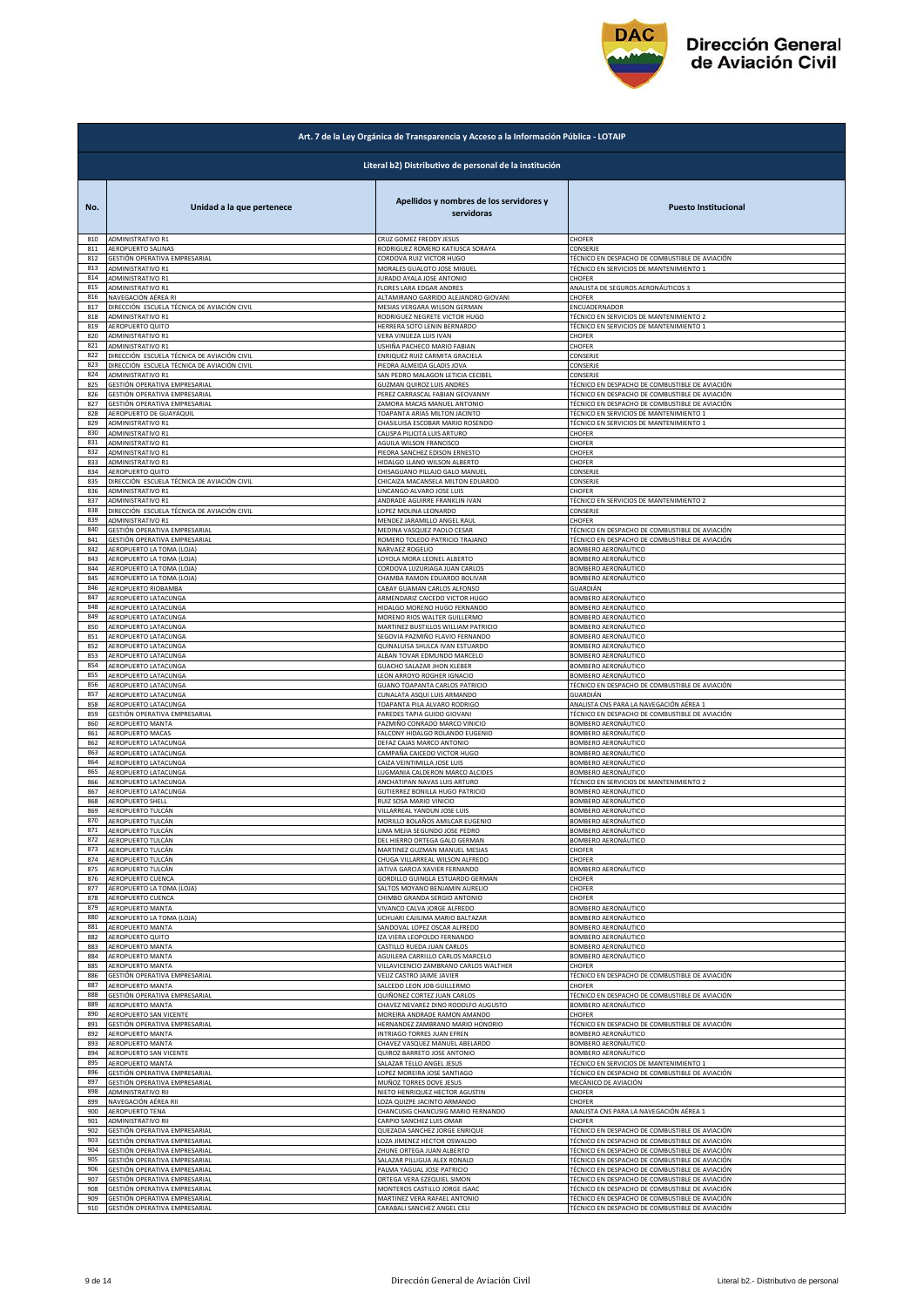

|            | Art. 7 de la Ley Orgánica de Transparencia y Acceso a la Información Pública - LOTAIP |                                                            |                                                |  |
|------------|---------------------------------------------------------------------------------------|------------------------------------------------------------|------------------------------------------------|--|
|            | Literal b2) Distributivo de personal de la institución                                |                                                            |                                                |  |
| No.        | Unidad a la que pertenece                                                             | Apellidos y nombres de los servidores y<br>servidoras      | <b>Puesto Institucional</b>                    |  |
| 810        | <b>ADMINISTRATIVO R1</b>                                                              | CRUZ GOMEZ FREDDY JESUS                                    | CHOFER                                         |  |
| 811        | <b>AEROPUERTO SALINAS</b>                                                             | RODRIGUEZ ROMERO KATIUSCA SORAYA                           | CONSERJE                                       |  |
| 812        | <b>GESTIÓN OPERATIVA EMPRESARIAL</b>                                                  | CORDOVA RUIZ VICTOR HUGO                                   | TÉCNICO EN DESPACHO DE COMBUSTIBLE DE AVIACIÓN |  |
| 813        | ADMINISTRATIVO R1                                                                     | MORALES GUALOTO JOSE MIGUEL                                | TÉCNICO EN SERVICIOS DE MANTENIMIENTO 1        |  |
| 814        | ADMINISTRATIVO R1                                                                     | JURADO AYALA JOSE ANTONIO                                  | CHOFER                                         |  |
| 815        | <b>ADMINISTRATIVO R1</b>                                                              | <b>FLORES LARA EDGAR ANDRES</b>                            | ANALISTA DE SEGUROS AERONÁUTICOS 3             |  |
| 816        | NAVEGACIÓN AÉREA RI                                                                   | ALTAMIRANO GARRIDO ALEJANDRO GIOVANI                       | <b>CHOFER</b>                                  |  |
| 817        | DIRECCIÓN ESCUELA TÉCNICA DE AVIACIÓN CIVIL                                           | MESIAS VERGARA WILSON GERMAN                               | ENCUADERNADOR                                  |  |
| 818        | ADMINISTRATIVO R1                                                                     | RODRIGUEZ NEGRETE VICTOR HUGO                              | TÉCNICO EN SERVICIOS DE MANTENIMIENTO 2        |  |
| 819        | AEROPUERTO QUITO                                                                      | HERRERA SOTO LENIN BERNARDO                                | TÉCNICO EN SERVICIOS DE MANTENIMIENTO 1        |  |
| 820        | ADMINISTRATIVO R1                                                                     | VERA VINUEZA LUIS IVAN                                     | CHOFER                                         |  |
| 821        | <b>ADMINISTRATIVO R1</b>                                                              | USHIÑA PACHECO MARIO FABIAN                                | CHOFER                                         |  |
| 822        | DIRECCIÓN ESCUELA TÉCNICA DE AVIACIÓN CIVIL                                           | ENRIQUEZ RUIZ CARMITA GRACIELA                             | CONSERJE                                       |  |
| 823        | DIRECCIÓN ESCUELA TÉCNICA DE AVIACIÓN CIVIL                                           | PIEDRA ALMEIDA GLADIS JOVA                                 | CONSERJE                                       |  |
| 824        | ADMINISTRATIVO R1                                                                     | SAN PEDRO MALAGON LETICIA CECIBEL                          | CONSERJE                                       |  |
| 825        | GESTIÓN OPERATIVA EMPRESARIAL                                                         | GUZMAN QUIROZ LUIS ANDRES                                  | TÉCNICO EN DESPACHO DE COMBUSTIBLE DE AVIACIÓN |  |
| 826        | GESTIÓN OPERATIVA EMPRESARIAL                                                         | PEREZ CARRASCAL FABIAN GEOVANNY                            | TÉCNICO EN DESPACHO DE COMBUSTIBLE DE AVIACIÓN |  |
| 827        | GESTIÓN OPERATIVA EMPRESARIAL                                                         | ZAMORA MACAS MANUEL ANTONIO                                | TÉCNICO EN DESPACHO DE COMBUSTIBLE DE AVIACIÓN |  |
| 828        | AEROPUERTO DE GUAYAQUIL                                                               | TOAPANTA ARIAS MILTON JACINTO                              | TÉCNICO EN SERVICIOS DE MANTENIMIENTO 1        |  |
| 829        | ADMINISTRATIVO R1                                                                     | CHASILUISA ESCOBAR MARIO ROSENDO                           | TÉCNICO EN SERVICIOS DE MANTENIMIENTO 1        |  |
| 830        | ADMINISTRATIVO R1                                                                     | CALISPA PILICITA LUIS ARTURO                               | CHOFER                                         |  |
| 831        | ADMINISTRATIVO R1                                                                     | AGUILA WILSON FRANCISCO                                    | CHOFER                                         |  |
| 832        | ADMINISTRATIVO R1                                                                     | PIEDRA SANCHEZ EDISON ERNESTO                              | CHOFER                                         |  |
| 833        | ADMINISTRATIVO R1                                                                     | HIDALGO LLANO WILSON ALBERTO                               | CHOFER                                         |  |
| 834        | AEROPUERTO QUITO                                                                      | CHISAGUANO PILLAJO GALO MANUEL                             | CONSERJE                                       |  |
| 835        | DIRECCIÓN ESCUELA TÉCNICA DE AVIACIÓN CIVIL                                           | CHICAIZA MACANSELA MILTON EDUARDO                          | CONSERJE                                       |  |
| 836        | ADMINISTRATIVO R1                                                                     | LINCANGO ALVARO JOSE LUIS                                  | CHOFER                                         |  |
| 837        | <b>ADMINISTRATIVO R1</b>                                                              | ANDRADE AGUIRRE FRANKLIN IVAN                              | TÉCNICO EN SERVICIOS DE MANTENIMIENTO 2        |  |
| 838        | DIRECCIÓN ESCUELA TÉCNICA DE AVIACIÓN CIVIL                                           | LOPEZ MOLINA LEONARDO                                      | CONSERJE                                       |  |
| 839        | <b>ADMINISTRATIVO R1</b>                                                              | MENDEZ JARAMILLO ANGEL RAUL                                | CHOFER                                         |  |
| 840        | GESTIÓN OPERATIVA EMPRESARIAL                                                         | MEDINA VASQUEZ PAOLO CESAR                                 | TÉCNICO EN DESPACHO DE COMBUSTIBLE DE AVIACIÓN |  |
| 841        | GESTIÓN OPERATIVA EMPRESARIAL                                                         | ROMERO TOLEDO PATRICIO TRAJANO                             | TÉCNICO EN DESPACHO DE COMBUSTIBLE DE AVIACIÓN |  |
| 842        | AEROPUERTO LA TOMA (LOJA)                                                             | NARVAEZ ROGELIO                                            | BOMBERO AERONÁUTICO                            |  |
| 843<br>844 | AEROPUERTO LA TOMA (LOJA)                                                             | LOYOLA MORA LEONEL ALBERTO                                 | BOMBERO AERONÁUTICO                            |  |
| 845        | AEROPUERTO LA TOMA (LOJA)                                                             | CORDOVA LUZURIAGA JUAN CARLOS                              | BOMBERO AERONÁUTICO                            |  |
|            | AEROPUERTO LA TOMA (LOJA)                                                             | CHAMBA RAMON EDUARDO BOLIVAR                               | BOMBERO AERONÁUTICO                            |  |
| 846        | AEROPUERTO RIOBAMBA                                                                   | CABAY GUAMAN CARLOS ALFONSO                                | GUARDIÁN                                       |  |
| 847        | AEROPUERTO LATACUNGA                                                                  | ARMENDARIZ CAICEDO VICTOR HUGO                             | BOMBERO AERONÁUTICO                            |  |
| 848        | AEROPUERTO LATACUNGA                                                                  | HIDALGO MORENO HUGO FERNANDO                               | BOMBERO AERONÁUTICO                            |  |
| 849        | AEROPUERTO LATACUNGA                                                                  | MORENO RIOS WALTER GUILLERMO                               | BOMBERO AERONÁUTICO                            |  |
| 850        | AEROPUERTO LATACUNGA                                                                  | MARTINEZ BUSTILLOS WILLIAM PATRICIO                        | BOMBERO AERONÁUTICO                            |  |
| 851        | AEROPUERTO LATACUNGA                                                                  | SEGOVIA PAZMIÑO FLAVIO FERNANDO                            | BOMBERO AERONÁUTICO                            |  |
| 852        | AEROPUERTO LATACUNGA                                                                  | QUINALUISA SHULCA IVAN ESTUARDO                            | BOMBERO AERONÁUTICO                            |  |
| 853        | AEROPUERTO LATACUNGA                                                                  | ALBAN TOVAR EDMUNDO MARCELO                                | 3OMBERO AERONÁUTICO                            |  |
| 854        | AEROPUERTO LATACUNGA                                                                  | GUACHO SALAZAR JHON KLEBER                                 | BOMBERO AERONÁUTICO                            |  |
| 855        | AEROPUERTO LATACUNGA                                                                  | LEON ARROYO ROGHER IGNACIO                                 | BOMBERO AERONÁUTICO                            |  |
| 856        | AEROPUERTO LATACUNGA                                                                  | GUANO TOAPANTA CARLOS PATRICIO                             | TÉCNICO EN DESPACHO DE COMBUSTIBLE DE AVIACIÓN |  |
| 857        | AEROPUERTO LATACUNGA                                                                  | CUNALATA ASQUI LUIS ARMANDO                                | GUARDIÁN                                       |  |
| 858        | AEROPUERTO LATACUNGA                                                                  | TOAPANTA PILA ALVARO RODRIGO                               | ANALISTA CNS PARA LA NAVEGACIÓN AÉREA 1        |  |
| 859        | GESTIÓN OPERATIVA EMPRESARIAL                                                         | PAREDES TAPIA GUIDO GIOVANI                                | TÉCNICO EN DESPACHO DE COMBUSTIBLE DE AVIACIÓN |  |
| 860        | AEROPUERTO MANTA                                                                      | PAZMIÑO CONRADO MARCO VINICIO                              | BOMBERO AERONÁUTICO                            |  |
| 861        | AEROPUERTO MACAS                                                                      | FALCONY HIDALGO ROLANDO EUGENIO                            | BOMBERO AERONÁUTICO                            |  |
| 862<br>863 | AEROPUERTO LATACUNGA                                                                  | DEFAZ CAJAS MARCO ANTONIO                                  | BOMBERO AERONÁUTICO<br>BOMBERO AERONÁUTICO     |  |
| 864        | AEROPUERTO LATACUNGA<br>AEROPUERTO LATACUNGA                                          | CAMPAÑA CAICEDO VICTOR HUGO<br>CAIZA VEINTIMILLA JOSE LUIS | BOMBERO AERONÁUTICO                            |  |
| 865        | AEROPUERTO LATACUNGA                                                                  | LUGMANIA CALDERON MARCO ALCIDES                            | <b>SOMBERO AERONÁUTICO</b>                     |  |
| 866        | AEROPUERTO LATACUNGA                                                                  | ANCHATIPAN NAVAS LUIS ARTURO                               | TÉCNICO EN SERVICIOS DE MANTENIMIENTO 2        |  |
| 867        | AEROPUERTO LATACUNGA                                                                  | GUTIERREZ BONILLA HUGO PATRICIO                            | <b>3OMBERO AERONÁUTICO</b>                     |  |
| 868        | AEROPUERTO SHELL                                                                      | RUIZ SOSA MARIO VINICIO                                    | BOMBERO AERONÁUTICO                            |  |
| 869        | AEROPUERTO TULCÁN                                                                     | VILLARREAL YANDUN JOSE LUIS                                | BOMBERO AERONÁUTICO                            |  |
| 870        | AEROPUERTO TULCÁN                                                                     | MORILLO BOLAÑOS AMILCAR EUGENIO                            | BOMBERO AERONÁUTICO                            |  |
| 871        | AEROPUERTO TULCÁN                                                                     | LIMA MEJIA SEGUNDO JOSE PEDRO                              | <b>BOMBERO AERONÁUTICO</b>                     |  |
| 872        | AEROPUERTO TULCÁN                                                                     | DEL HIERRO ORTEGA GALO GERMAN                              | BOMBERO AERONÁUTICO                            |  |
| 873        | AEROPUERTO TULCÁN                                                                     | MARTINEZ GUZMAN MANUEL MESIAS                              | CHOFER                                         |  |
| 874        | AEROPUERTO TULCÁN                                                                     | CHUGA VILLARREAL WILSON ALFREDO                            | CHOFER                                         |  |
| 875        | AEROPUERTO TULCÁN                                                                     | JATIVA GARCIA XAVIER FERNANDO                              | BOMBERO AERONÁUTICO                            |  |
| 876        | AEROPUERTO CUENCA                                                                     | GORDILLO GUINGLA ESTUARDO GERMAN                           | CHOFER                                         |  |
| 877        | AEROPUERTO LA TOMA (LOJA)                                                             | SALTOS MOYANO BENJAMIN AURELIO                             | CHOFER                                         |  |
| 878        | AEROPUERTO CUENCA                                                                     | CHIMBO GRANDA SERGIO ANTONIO                               | CHOFER                                         |  |
| 879        | AEROPUERTO MANTA                                                                      | VIVANCO CALVA JORGE ALFREDO                                | BOMBERO AERONÁUTICO                            |  |
| 880        | AEROPUERTO LA TOMA (LOJA)                                                             | UCHUARI CAJILIMA MARIO BALTAZAR                            | BOMBERO AERONÁUTICO                            |  |
| 881<br>882 | AEROPUERTO MANTA                                                                      | SANDOVAL LOPEZ OSCAR ALFREDO                               | BOMBERO AERONÁUTICO                            |  |
| 883        | AEROPUERTO QUITO                                                                      | IZA VIERA LEOPOLDO FERNANDO                                | BOMBERO AERONÁUTICO                            |  |
|            | AEROPUERTO MANTA                                                                      | CASTILLO RUEDA JUAN CARLOS                                 | BOMBERO AERONÁUTICO                            |  |
| 884        | AEROPUERTO MANTA                                                                      | AGUILERA CARRILLO CARLOS MARCELO                           | BOMBERO AERONÁUTICO                            |  |
| 885        | AEROPUERTO MANTA                                                                      | VILLAVICENCIO ZAMBRANO CARLOS WALTHER                      | CHOFER                                         |  |
| 886        | GESTIÓN OPERATIVA EMPRESARIAL                                                         | VELIZ CASTRO JAIME JAVIER                                  | TÉCNICO EN DESPACHO DE COMBUSTIBLE DE AVIACIÓN |  |
| 887        | AEROPUERTO MANTA                                                                      | SALCEDO LEON JOB GUILLERMO                                 | CHOFER                                         |  |
| 888        | GESTIÓN OPERATIVA EMPRESARIAL                                                         | QUIÑONEZ CORTEZ JUAN CARLOS                                | TÉCNICO EN DESPACHO DE COMBUSTIBLE DE AVIACIÓN |  |
| 889        | AEROPUERTO MANTA                                                                      | CHAVEZ NEVAREZ DINO RODOLFO AUGUSTO                        | BOMBERO AERONÁUTICO                            |  |
| 890        | AEROPUERTO SAN VICENTE                                                                | MOREIRA ANDRADE RAMON AMANDO                               | <b>HOFER</b>                                   |  |
| 891        | GESTIÓN OPERATIVA EMPRESARIAL                                                         | HERNANDEZ ZAMBRANO MARIO HONORIO                           | TÉCNICO EN DESPACHO DE COMBUSTIBLE DE AVIACIÓN |  |
| 892        | AEROPUERTO MANTA                                                                      | INTRIAGO TORRES JUAN EFREN                                 | BOMBERO AERONÁUTICO                            |  |
| 893        | AEROPUERTO MANTA                                                                      | CHAVEZ VASQUEZ MANUEL ABELARDO                             | BOMBERO AERONÁUTICO                            |  |
| 894        | AEROPUERTO SAN VICENTE                                                                | QUIROZ BARRETO JOSE ANTONIO                                | BOMBERO AERONÁUTICO                            |  |
| 895        | AEROPUERTO MANTA                                                                      | SALAZAR TELLO ANGEL JESUS                                  | TÉCNICO EN SERVICIOS DE MANTENIMIENTO 1        |  |
| 896        | GESTIÓN OPERATIVA EMPRESARIAL                                                         | LOPEZ MOREIRA JOSE SANTIAGO                                | TÉCNICO EN DESPACHO DE COMBUSTIBLE DE AVIACIÓN |  |
| 897        | GESTIÓN OPERATIVA EMPRESARIAL                                                         | MUÑOZ TORRES DOVE JESUS                                    | MECÁNICO DE AVIACIÓN                           |  |
| 898        | ADMINISTRATIVO RII                                                                    | NIETO HENRIQUEZ HECTOR AGUSTIN                             | CHOFER                                         |  |
| 899        | NAVEGACIÓN AÉREA RII                                                                  | LOZA QUIZPE JACINTO ARMANDO                                | CHOFER                                         |  |
| 900        | AEROPUERTO TENA                                                                       | CHANCUSIG CHANCUSIG MARIO FERNANDO                         | ANALISTA CNS PARA LA NAVEGACIÓN AÉREA 1        |  |
| 901        | ADMINISTRATIVO RII                                                                    | CARPIO SANCHEZ LUIS OMAR                                   | CHOFER                                         |  |
| 902        | GESTIÓN OPERATIVA EMPRESARIAL                                                         | QUEZADA SANCHEZ JORGE ENRIQUE                              | TÉCNICO EN DESPACHO DE COMBUSTIBLE DE AVIACIÓN |  |
| 903        | GESTIÓN OPERATIVA EMPRESARIAL                                                         | LOZA JIMENEZ HECTOR OSWALDO                                | TÉCNICO EN DESPACHO DE COMBUSTIBLE DE AVIACIÓN |  |
| 904        | GESTIÓN OPERATIVA EMPRESARIAL                                                         | ZHUNE ORTEGA JUAN ALBERTO                                  | TÉCNICO EN DESPACHO DE COMBUSTIBLE DE AVIACIÓN |  |
| 905        | GESTIÓN OPERATIVA EMPRESARIAL                                                         | SALAZAR PILLIGUA ALEX RONALD                               | TÉCNICO EN DESPACHO DE COMBUSTIBLE DE AVIACIÓN |  |
| 906        | GESTIÓN OPERATIVA EMPRESARIAL                                                         | PALMA YAGUAL JOSE PATRICIO                                 | TÉCNICO EN DESPACHO DE COMBUSTIBLE DE AVIACIÓN |  |
| 907        | GESTIÓN OPERATIVA EMPRESARIAL                                                         | ORTEGA VERA EZEQUIEL SIMON                                 | TÉCNICO EN DESPACHO DE COMBUSTIBLE DE AVIACIÓN |  |
| 908        | GESTIÓN OPERATIVA EMPRESARIAL                                                         | MONTEROS CASTILLO JORGE ISAAC                              | TÉCNICO EN DESPACHO DE COMBUSTIBLE DE AVIACIÓN |  |
| 909        | GESTIÓN OPERATIVA EMPRESARIAL                                                         | MARTINEZ VERA RAFAEL ANTONIO                               | TÉCNICO EN DESPACHO DE COMBUSTIBLE DE AVIACIÓN |  |
| 910        | GESTIÓN OPERATIVA EMPRESARIAL                                                         | CARABALI SANCHEZ ANGEL CELI                                | TÉCNICO EN DESPACHO DE COMBUSTIBLE DE AVIACIÓN |  |
|            |                                                                                       |                                                            |                                                |  |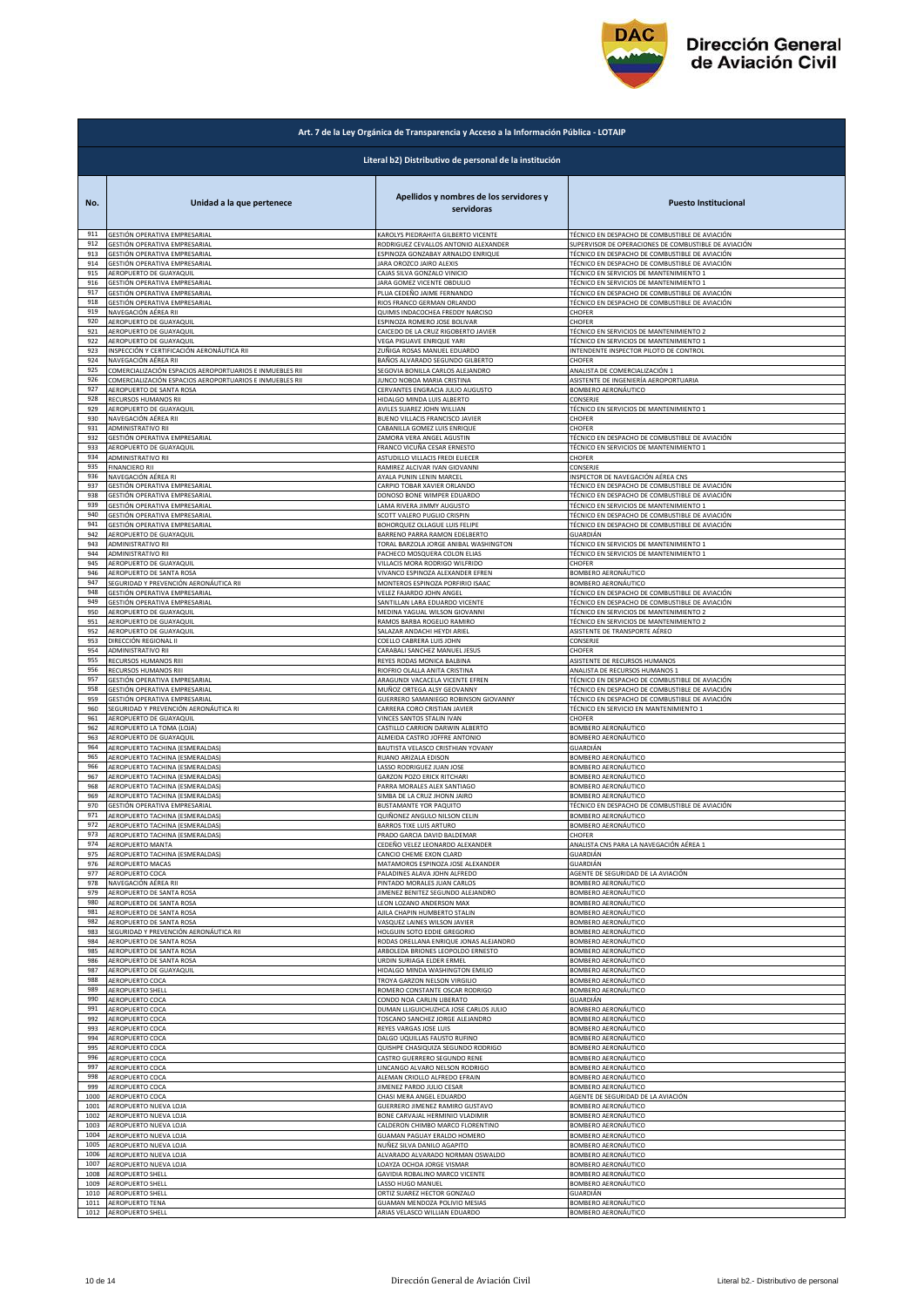

|              | Art. 7 de la Ley Orgánica de Transparencia y Acceso a la Información Pública - LOTAIP |                                                                    |                                                      |  |
|--------------|---------------------------------------------------------------------------------------|--------------------------------------------------------------------|------------------------------------------------------|--|
|              |                                                                                       | Literal b2) Distributivo de personal de la institución             |                                                      |  |
| No.          | Unidad a la que pertenece                                                             | Apellidos y nombres de los servidores y<br>servidoras              | <b>Puesto Institucional</b>                          |  |
| 911          | GESTIÓN OPERATIVA EMPRESARIAL                                                         | <b>KAROLYS PIEDRAHITA GILBERTO VICENTE</b>                         | TÉCNICO EN DESPACHO DE COMBUSTIBLE DE AVIACIÓN       |  |
| 912          | GESTIÓN OPERATIVA EMPRESARIAL                                                         | RODRIGUEZ CEVALLOS ANTONIO ALEXANDER                               | SUPERVISOR DE OPERACIONES DE COMBUSTIBLE DE AVIACIÓN |  |
| 913          | GESTIÓN OPERATIVA EMPRESARIAL                                                         | ESPINOZA GONZABAY ARNALDO ENRIQUE                                  | TÉCNICO EN DESPACHO DE COMBUSTIBLE DE AVIACIÓN       |  |
| 914          | GESTIÓN OPERATIVA EMPRESARIAL                                                         | JARA OROZCO JAIRO ALEXIS                                           | TÉCNICO EN DESPACHO DE COMBUSTIBLE DE AVIACIÓN       |  |
| 915          | AEROPUERTO DE GUAYAQUIL                                                               | CAJAS SILVA GONZALO VINICIO                                        | TÉCNICO EN SERVICIOS DE MANTENIMIENTO 1              |  |
| 916          | SESTIÓN OPERATIVA EMPRESARIAL                                                         | ARA GOMEZ VICENTE OBDULIO                                          | <b>FÉCNICO EN SERVICIOS DE MANTENIMIENTO 1</b>       |  |
| 917          | GESTIÓN OPERATIVA EMPRESARIAL                                                         | PLUA CEDEÑO JAIME FERNANDO                                         | TÉCNICO EN DESPACHO DE COMBUSTIBLE DE AVIACIÓN       |  |
| 918          | GESTIÓN OPERATIVA EMPRESARIAL                                                         | RIOS FRANCO GERMAN ORLANDO                                         | TÉCNICO EN DESPACHO DE COMBUSTIBLE DE AVIACIÓN       |  |
| 919          | NAVEGACIÓN AÉREA RII                                                                  | QUIMIS INDACOCHEA FREDDY NARCISO                                   | CHOFER                                               |  |
| 920          | AEROPUERTO DE GUAYAQUIL                                                               | ESPINOZA ROMERO JOSE BOLIVAR                                       | CHOFER                                               |  |
| 921          | AEROPUERTO DE GUAYAQUIL                                                               | CAICEDO DE LA CRUZ RIGOBERTO JAVIER                                | TÉCNICO EN SERVICIOS DE MANTENIMIENTO 2              |  |
| 922          | AEROPUERTO DE GUAYAQUIL                                                               | VEGA PIGUAVE ENRIQUE YARI                                          | TÉCNICO EN SERVICIOS DE MANTENIMIENTO 1              |  |
| 923          | INSPECCIÓN Y CERTIFICACIÓN AERONÁUTICA RII                                            | ZUÑIGA ROSAS MANUEL EDUARDO                                        | INTENDENTE INSPECTOR PILOTO DE CONTROL               |  |
| 924          | NAVEGACIÓN AÉREA RII                                                                  | BAÑOS ALVARADO SEGUNDO GILBERTO                                    | CHOFER                                               |  |
| 925          | COMERCIALIZACIÓN ESPACIOS AEROPORTUARIOS E INMUEBLES RII                              | SEGOVIA BONILLA CARLOS ALEJANDRO                                   | ANALISTA DE COMERCIALIZACIÓN 1                       |  |
| 926          | COMERCIALIZACIÓN ESPACIOS AEROPORTUARIOS E INMUEBLES RII                              | JUNCO NOBOA MARIA CRISTINA                                         | ASISTENTE DE INGENIERÍA AEROPORTUARIA                |  |
| 927          | AEROPUERTO DE SANTA ROSA                                                              | CERVANTES ENGRACIA JULIO AUGUSTO                                   | BOMBERO AERONÁUTICO                                  |  |
| 928          | RECURSOS HUMANOS RII                                                                  | HIDALGO MINDA LUIS ALBERTO                                         | CONSERJE                                             |  |
| 929          | AEROPUERTO DE GUAYAQUIL                                                               | AVILES SUAREZ JOHN WILLIAN                                         | TÉCNICO EN SERVICIOS DE MANTENIMIENTO 1              |  |
| 930          | NAVEGACIÓN AÉREA RII                                                                  | BUENO VILLACIS FRANCISCO JAVIER                                    | CHOFER                                               |  |
| 931          | ADMINISTRATIVO RII                                                                    | CABANILLA GOMEZ LUIS ENRIQUE                                       | CHOFER                                               |  |
| 932          | GESTIÓN OPERATIVA EMPRESARIAL                                                         | ZAMORA VERA ANGEL AGUSTIN                                          | TÉCNICO EN DESPACHO DE COMBUSTIBLE DE AVIACIÓN       |  |
| 933          | AEROPUERTO DE GUAYAQUIL                                                               | FRANCO VICUÑA CESAR ERNESTO                                        | TÉCNICO EN SERVICIOS DE MANTENIMIENTO 1              |  |
| 934          | ADMINISTRATIVO RII                                                                    | ASTUDILLO VILLACIS FREDI ELIECER                                   | CHOFER                                               |  |
| 935          | <b>FINANCIERO RII</b>                                                                 | RAMIREZ ALCIVAR IVAN GIOVANNI                                      | CONSERJE                                             |  |
| 936          | NAVEGACIÓN AÉREA RI                                                                   | AYALA PUNIN LENIN MARCEL                                           | INSPECTOR DE NAVEGACIÓN AÉREA CNS                    |  |
| 937          | GESTIÓN OPERATIVA EMPRESARIAL                                                         | CARPIO TOBAR XAVIER ORLANDO                                        | TÉCNICO EN DESPACHO DE COMBUSTIBLE DE AVIACIÓN       |  |
| 938          | GESTIÓN OPERATIVA EMPRESARIAL                                                         | DONOSO BONE WIMPER EDUARDO                                         | TÉCNICO EN DESPACHO DE COMBUSTIBLE DE AVIACIÓN       |  |
| 939          | GESTIÓN OPERATIVA EMPRESARIAL                                                         | LAMA RIVERA JIMMY AUGUSTO                                          | TÉCNICO EN SERVICIOS DE MANTENIMIENTO 1              |  |
| 940          | GESTIÓN OPERATIVA EMPRESARIAL                                                         | SCOTT VALERO PUGLIO CRISPIN                                        | TÉCNICO EN DESPACHO DE COMBUSTIBLE DE AVIACIÓN       |  |
| 941          | GESTIÓN OPERATIVA EMPRESARIAL                                                         | BOHORQUEZ OLLAGUE LUIS FELIPE                                      | TÉCNICO EN DESPACHO DE COMBUSTIBLE DE AVIACIÓN       |  |
| 942          | AEROPUERTO DE GUAYAQUIL                                                               | BARRENO PARRA RAMON EDELBERTO                                      | GUARDIÁN                                             |  |
| 943          | ADMINISTRATIVO RII                                                                    | <b>TORAL BARZOLA JORGE ANIBAL WASHINGTON</b>                       | <b>FÉCNICO EN SERVICIOS DE MANTENIMIENTO 1</b>       |  |
| 944          | ADMINISTRATIVO RIL                                                                    | PACHECO MOSQUERA COLON ELIAS                                       | TÉCNICO EN SERVICIOS DE MANTENIMIENTO 1              |  |
| 945          | AEROPUERTO DE GUAYAQUIL                                                               | VILLACIS MORA RODRIGO WILFRIDO<br>VIVANCO ESPINOZA ALEXANDER EFREN | CHOFER<br>BOMBERO AERONÁUTICO                        |  |
| 946<br>947   | AEROPUERTO DE SANTA ROSA<br>SEGURIDAD Y PREVENCIÓN AERONÁUTICA RII                    | MONTEROS ESPINOZA PORFIRIO ISAAC                                   | BOMBERO AERONÁUTICO                                  |  |
| 948          | GESTIÓN OPERATIVA EMPRESARIAL                                                         | VELEZ FAJARDO JOHN ANGEL                                           | TÉCNICO EN DESPACHO DE COMBUSTIBLE DE AVIACIÓN       |  |
| 949          | GESTIÓN OPERATIVA EMPRESARIAL                                                         | SANTILLAN LARA EDUARDO VICENTE                                     | TÉCNICO EN DESPACHO DE COMBUSTIBLE DE AVIACIÓN       |  |
| 950          | AEROPUERTO DE GUAYAQUII                                                               | MEDINA YAGUAL WILSON GIOVANNI                                      | TÉCNICO EN SERVICIOS DE MANTENIMIENTO 2              |  |
| 951          | AEROPUERTO DE GUAYAQUIL                                                               | RAMOS BARBA ROGELIO RAMIRO                                         | TÉCNICO EN SERVICIOS DE MANTENIMIENTO 2              |  |
| 952          | AEROPUERTO DE GUAYAQUIL                                                               | SALAZAR ANDACHI HEYDI ARIEL                                        | ASISTENTE DE TRANSPORTE AÉREO                        |  |
| 953          | DIRECCIÓN REGIONAL II                                                                 | COELLO CABRERA LUIS JOHN                                           | CONSERJE                                             |  |
| 954          | ADMINISTRATIVO RII                                                                    | CARABALI SANCHEZ MANUEL JESUS                                      | CHOFER                                               |  |
| 955          | RECURSOS HUMANOS RIII                                                                 | REYES RODAS MONICA BALBINA                                         | ASISTENTE DE RECURSOS HUMANOS                        |  |
| 956          | RECURSOS HUMANOS RIII                                                                 | RIOFRIO OLALLA ANITA CRISTINA                                      | ANALISTA DE RECURSOS HUMANOS 1                       |  |
| 957          | GESTIÓN OPERATIVA EMPRESARIAL                                                         | ARAGUNDI VACACELA VICENTE EFREN                                    | TÉCNICO EN DESPACHO DE COMBUSTIBLE DE AVIACIÓN       |  |
| 958          | GESTIÓN OPERATIVA EMPRESARIAL                                                         | MUÑOZ ORTEGA ALSY GEOVANNY                                         | TÉCNICO EN DESPACHO DE COMBUSTIBLE DE AVIACIÓN       |  |
| 959          | GESTIÓN OPERATIVA EMPRESARIAL                                                         | GUERRERO SAMANIEGO ROBINSON GIOVANNY                               | TÉCNICO EN DESPACHO DE COMBUSTIBLE DE AVIACIÓN       |  |
| 960          | SEGURIDAD Y PREVENCIÓN AERONÁUTICA RI                                                 | CARRERA CORO CRISTIAN JAVIER                                       | TÉCNICO EN SERVICIO EN MANTENIMIENTO 1               |  |
| 961          | AEROPUERTO DE GUAYAQUIL                                                               | VINCES SANTOS STALIN IVAN                                          | CHOFER                                               |  |
| 962          | AEROPUERTO LA TOMA (LOJA)                                                             | CASTILLO CARRION DARWIN ALBERTO                                    | BOMBERO AERONÁUTICO                                  |  |
| 963          | AEROPUERTO DE GUAYAQUIL                                                               | ALMEIDA CASTRO JOFFRE ANTONIO                                      | BOMBERO AERONÁUTICO                                  |  |
| 964          | AEROPUERTO TACHINA (ESMERALDAS)                                                       | BAUTISTA VELASCO CRISTHIAN YOVANY                                  | GUARDIÁN                                             |  |
| 965          | AEROPUERTO TACHINA (ESMERALDAS)                                                       | RUANO ARIZALA EDISON                                               | BOMBERO AERONÁUTICO                                  |  |
| 966          | AEROPUERTO TACHINA (ESMERALDAS)                                                       | LASSO RODRIGUEZ JUAN JOSE                                          | BOMBERO AERONÁUTICO                                  |  |
| 967          | AEROPUERTO TACHINA (ESMERALDAS)                                                       | GARZON POZO ERICK RITCHARI                                         | <b>SOMBERO AERONÁUTICO</b>                           |  |
| 968          | AEROPUERTO TACHINA (ESMERALDAS)                                                       | PARRA MORALES ALEX SANTIAGO                                        | <b>BOMBERO AERONÁUTICO</b>                           |  |
| 969          | AEROPUERTO TACHINA (ESMERALDAS)                                                       | SIMBA DE LA CRUZ JHONN JAIRO                                       | BOMBERO AERONÁUTICO                                  |  |
| 970          | GESTIÓN OPERATIVA EMPRESARIAL                                                         | BUSTAMANTE YOR PAQUITO                                             | TÉCNICO EN DESPACHO DE COMBUSTIBLE DE AVIACIÓN       |  |
| 971<br>972   | AEROPUERTO TACHINA (ESMERALDAS)                                                       | QUIÑONEZ ANGULO NILSON CELIN<br><b>BARROS TIXE LUIS ARTURO</b>     | BOMBERO AERONÁUTICO                                  |  |
| 973          | AEROPUERTO TACHINA (ESMERALDAS)<br>AEROPUERTO TACHINA (ESMERALDAS)                    | PRADO GARCIA DAVID BALDEMAR                                        | BOMBERO AERONÁUTICO<br>CHOFER                        |  |
| 974          | AEROPUERTO MANTA                                                                      | CEDEÑO VELEZ LEONARDO ALEXANDER                                    | ANALISTA CNS PARA LA NAVEGACIÓN AÉREA 1              |  |
| 975          | <b>AEROPUERTO TACHINA (ESMERALDAS)</b>                                                | CANCIO CHEME EXON CLARD                                            | GUARDIÁN                                             |  |
| 976          | AEROPUERTO MACAS                                                                      | MATAMOROS ESPINOZA JOSE ALEXANDER                                  | GUARDIÁN                                             |  |
| 977          | AEROPUERTO COCA                                                                       | PALADINES ALAVA JOHN ALFREDO                                       | AGENTE DE SEGURIDAD DE LA AVIACIÓN                   |  |
| 978          | NAVEGACIÓN AÉREA RII                                                                  | PINTADO MORALES JUAN CARLOS                                        | BOMBERO AERONÁUTICO                                  |  |
| 979          | AEROPUERTO DE SANTA ROSA                                                              | IIMENEZ BENITEZ SEGUNDO ALEJANDRO                                  | BOMBERO AERONÁUTICO                                  |  |
| 980          | AEROPUERTO DE SANTA ROSA                                                              | LEON LOZANO ANDERSON MAX                                           | <b>3OMBERO AERONÁUTICO</b>                           |  |
| 981          | AEROPUERTO DE SANTA ROSA                                                              | AJILA CHAPIN HUMBERTO STALIN                                       | BOMBERO AERONÁUTICO                                  |  |
| 982          | AEROPUERTO DE SANTA ROSA                                                              | VASQUEZ LAINES WILSON JAVIER                                       | BOMBERO AERONÁUTICO                                  |  |
| 983          | SEGURIDAD Y PREVENCIÓN AERONÁUTICA RII                                                | HOLGUIN SOTO EDDIE GREGORIO                                        | BOMBERO AERONÁUTICO                                  |  |
| 984          | AEROPUERTO DE SANTA ROSA                                                              | RODAS ORELLANA ENRIQUE JONAS ALEJANDRO                             | BOMBERO AERONÁUTICO                                  |  |
| 985          | AEROPUERTO DE SANTA ROSA                                                              | ARBOLEDA BRIONES LEOPOLDO ERNESTO                                  | BOMBERO AERONÁUTICO                                  |  |
| 986          | AEROPUERTO DE SANTA ROSA                                                              | URDIN SURIAGA ELDER ERMEL                                          | <b>BOMBERO AERONÁUTICO</b>                           |  |
| 987          | AEROPUERTO DE GUAYAQUIL                                                               | HIDALGO MINDA WASHINGTON EMILIO                                    | BOMBERO AERONÁUTICO                                  |  |
| 988          | AEROPUERTO COCA                                                                       | TROYA GARZON NELSON VIRGILIO                                       | BOMBERO AERONÁUTICO                                  |  |
| 989          | AEROPUERTO SHELL                                                                      | ROMERO CONSTANTE OSCAR RODRIGO                                     | BOMBERO AERONÁUTICO                                  |  |
| 990          | AEROPUERTO COCA                                                                       | CONDO NOA CARLIN LIBERATO                                          | GUARDIÁN                                             |  |
| 991          | AEROPUERTO COCA                                                                       | DUMAN LLIGUICHUZHCA JOSE CARLOS JULIO                              | BOMBERO AERONÁUTICO                                  |  |
| 992<br>993   | <b>AEROPUERTO COCA</b>                                                                | <b>TOSCANO SANCHEZ JORGE ALEJANDRO</b>                             | <b>SOMBERO AERONÁUTICO</b><br>BOMBERO AERONÁUTICO    |  |
| 994          | AEROPUERTO COCA<br>AEROPUERTO COCA                                                    | REYES VARGAS JOSE LUIS<br>DALGO UQUILLAS FAUSTO RUFINO             | <b>3OMBERO AERONÁUTICO</b>                           |  |
| 995          | AEROPUERTO COCA                                                                       | QUISHPE CHASIQUIZA SEGUNDO RODRIGO                                 | BOMBERO AERONÁUTICO                                  |  |
| 996          | AEROPUERTO COCA                                                                       | CASTRO GUERRERO SEGUNDO RENE                                       | BOMBERO AERONÁUTICO                                  |  |
| 997          | AEROPUERTO COCA                                                                       | LINCANGO ALVARO NELSON RODRIGO                                     | BOMBERO AERONÁUTICO                                  |  |
| 998          | AEROPUERTO COCA                                                                       | ALEMAN CRIOLLO ALFREDO EFRAIN                                      | BOMBERO AERONÁUTICO                                  |  |
| 999          | AEROPUERTO COCA                                                                       | <b>IIMENEZ PARDO JULIO CESAR</b>                                   | BOMBERO AERONÁUTICO                                  |  |
| 1000         | AEROPUERTO COCA                                                                       | CHASI MERA ANGEL EDUARDO                                           | AGENTE DE SEGURIDAD DE LA AVIACIÓN                   |  |
| 1001         | AEROPUERTO NUEVA LOJA                                                                 | GUERRERO JIMENEZ RAMIRO GUSTAVO                                    | BOMBERO AERONÁUTICO                                  |  |
| 1002         | AEROPUERTO NUEVA LOJA                                                                 | BONE CARVAJAL HERMINIO VLADIMIR                                    | BOMBERO AERONÁUTICO                                  |  |
| 1003         | AEROPUERTO NUEVA LOJA                                                                 | CALDERON CHIMBO MARCO FLORENTINO                                   | BOMBERO AERONÁUTICO                                  |  |
| 1004         | AEROPUERTO NUEVA LOJA                                                                 | GUAMAN PAGUAY ERALDO HOMERO                                        | <b>3OMBERO AERONÁUTICO</b>                           |  |
| 1005<br>1006 | AEROPUERTO NUEVA LOJA                                                                 | NUÑEZ SILVA DANILO AGAPITO                                         | 3OMBERO AERONÁUTICO                                  |  |
| 1007         | AEROPUERTO NUEVA LOJA                                                                 | ALVARADO ALVARADO NORMAN OSWALDO                                   | BOMBERO AERONÁUTICO                                  |  |
|              | AEROPUERTO NUEVA LOJA                                                                 | LOAYZA OCHOA JORGE VISMAR                                          | BOMBERO AERONÁUTICO                                  |  |
| 1008         | AEROPUERTO SHELL                                                                      | GAVIDIA ROBALINO MARCO VICENTE                                     | BOMBERO AERONÁUTICO                                  |  |
| 1009         | AEROPUERTO SHELL                                                                      | LASSO HUGO MANUEL                                                  | BOMBERO AERONÁUTICO                                  |  |
| 1010         | AEROPUERTO SHELL                                                                      | ORTIZ SUAREZ HECTOR GONZALO                                        | GUARDIÁN                                             |  |
| 1011         | AEROPUERTO TENA                                                                       | GUAMAN MENDOZA POLIVIO MESIAS                                      | BOMBERO AERONÁUTICO                                  |  |
| 1012         | <b>AEROPUERTO SHELL</b>                                                               | ARIAS VELASCO WILLIAN EDUARDO                                      | BOMBERO AERONÁUTICO                                  |  |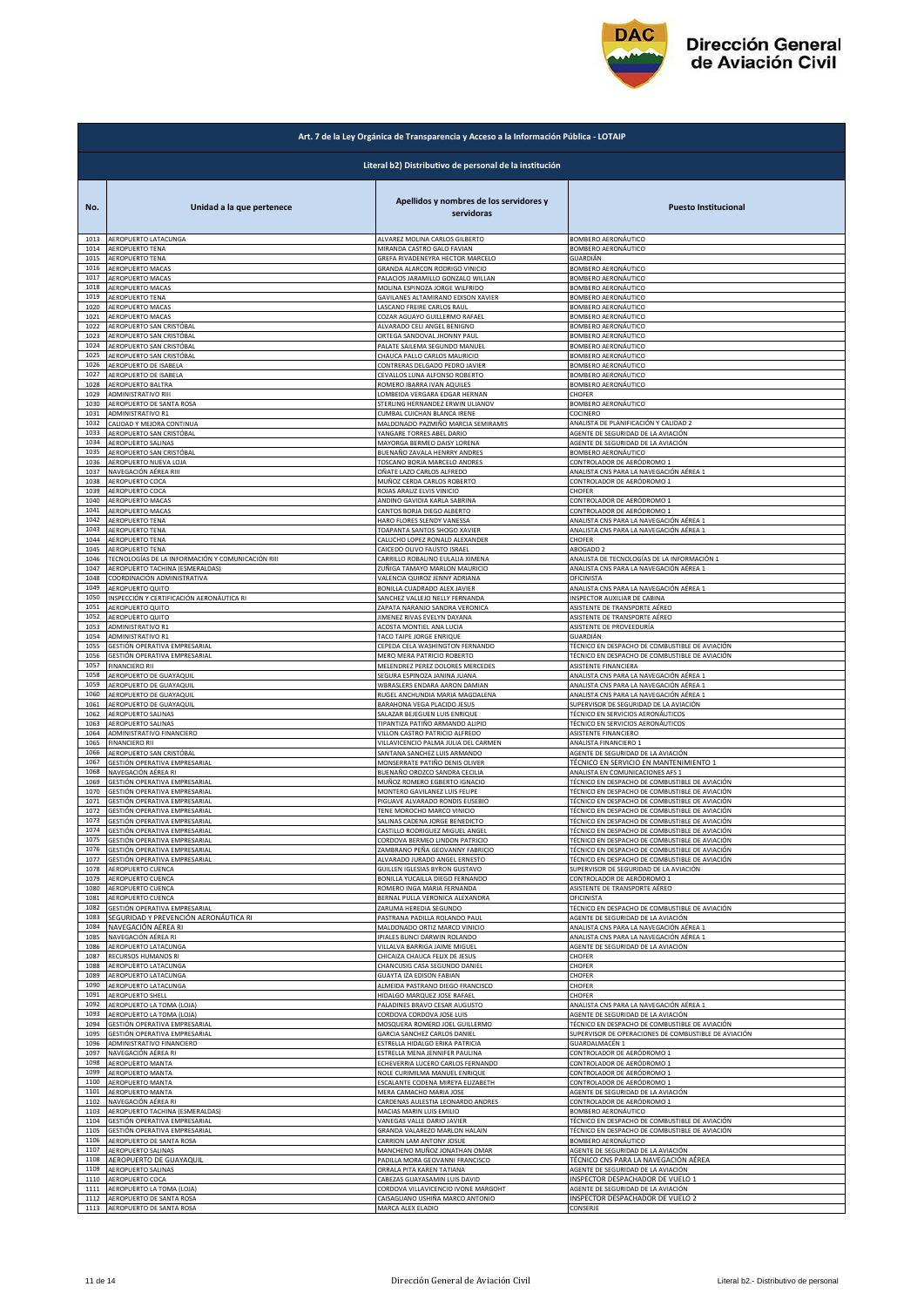

|              | Art. 7 de la Ley Orgánica de Transparencia y Acceso a la Información Pública - LOTAIP |                                                                  |                                                                                                  |  |
|--------------|---------------------------------------------------------------------------------------|------------------------------------------------------------------|--------------------------------------------------------------------------------------------------|--|
|              | Literal b2) Distributivo de personal de la institución                                |                                                                  |                                                                                                  |  |
| No.          | Unidad a la que pertenece                                                             | Apellidos y nombres de los servidores y<br>servidoras            | <b>Puesto Institucional</b>                                                                      |  |
| 1013         | AEROPUERTO LATACUNGA                                                                  | ALVAREZ MOLINA CARLOS GILBERTO                                   | BOMBERO AERONÁUTICO                                                                              |  |
| 1014         | AEROPUERTO TENA                                                                       | MIRANDA CASTRO GALO FAVIAN                                       | BOMBERO AERONÁUTICO                                                                              |  |
| 1015         | AEROPUERTO TENA                                                                       | GREFA RIVADENEYRA HECTOR MARCELO                                 | iUARDIÁN                                                                                         |  |
| 1016         | AEROPUERTO MACAS                                                                      | GRANDA ALARCON RODRIGO VINICIO                                   | <b>SOMBERO AERONÁUTICO</b>                                                                       |  |
| 1017         | AEROPUERTO MACAS                                                                      | PALACIOS JARAMILLO GONZALO WILLAN                                | <b>3OMBERO AERONÁUTICO</b>                                                                       |  |
| 1018         | AEROPUERTO MACAS                                                                      | MOLINA ESPINOZA JORGE WILFRIDO                                   | BOMBERO AERONÁUTICO                                                                              |  |
| 1019         | AEROPUERTO TENA                                                                       | GAVILANES ALTAMIRANO EDISON XAVIER                               | BOMBERO AERONÁUTICO                                                                              |  |
| 1020         | AEROPUERTO MACAS                                                                      | LASCANO FREIRE CARLOS RAUL                                       | BOMBERO AERONÁUTICO                                                                              |  |
| 1021         | <b>AEROPUERTO MACAS</b>                                                               | COZAR AGUAYO GUILLERMO RAFAEL                                    | BOMBERO AERONÁUTICO                                                                              |  |
| 1022         | AEROPUERTO SAN CRISTÓBAL                                                              | ALVARADO CELI ANGEL BENIGNO                                      | <b>3OMBERO AERONÁUTICO</b>                                                                       |  |
| 1023         | AEROPUERTO SAN CRISTÓBAL                                                              | ORTEGA SANDOVAL JHONNY PAU                                       | <b>3OMBERO AERONÁUTICO</b>                                                                       |  |
| 1024         | AEROPUERTO SAN CRISTÓBAL                                                              | PALATE SAILEMA SEGUNDO MANUEL                                    | <b>3OMBERO AERONÁUTICO</b>                                                                       |  |
| 1025         | AEROPUERTO SAN CRISTÓBAL                                                              | CHAUCA PALLO CARLOS MAURICIO                                     | BOMBERO AERONÁUTICO                                                                              |  |
| 1026         | AEROPUERTO DE ISABELA                                                                 | CONTRERAS DELGADO PEDRO JAVIER                                   | BOMBERO AERONÁUTICO                                                                              |  |
| 1027         | AEROPUERTO DE ISABELA                                                                 | CEVALLOS LUNA ALFONSO ROBERTO                                    | BOMBERO AERONÁUTICO                                                                              |  |
| 1028         | AEROPUERTO BALTRA                                                                     | ROMERO IBARRA IVAN AQUILES                                       | <b>3OMBERO AERONÁUTICO</b>                                                                       |  |
| 1029         | ADMINISTRATIVO RIII                                                                   | LOMBEIDA VERGARA EDGAR HERNAN                                    | CHOFER                                                                                           |  |
| 1030         | AEROPUERTO DE SANTA ROSA                                                              | STERLING HERNANDEZ ERWIN ULIANOV                                 | BOMBERO AERONÁUTICO                                                                              |  |
| 1031         | ADMINISTRATIVO R1                                                                     | CUMBAL CUICHAN BLANCA IRENE                                      | COCINERO                                                                                         |  |
| 1032         | CALIDAD Y MEJORA CONTINUA                                                             | MALDONADO PAZMIÑO MARCIA SEMIRAMIS                               | ANALISTA DE PLANIFICACIÓN Y CALIDAD 2                                                            |  |
| 1033         | AEROPUERTO SAN CRISTÓBAL                                                              | YANGARE TORRES ABEL DARIO                                        | AGENTE DE SEGURIDAD DE LA AVIACIÓN                                                               |  |
| 1034         | AEROPUERTO SALINAS                                                                    | MAYORGA BERMEO DAISY LORENA                                      | AGENTE DE SEGURIDAD DE LA AVIACIÓN                                                               |  |
| 1035         | AEROPUERTO SAN CRISTÓBAL                                                              | BUENAÑO ZAVALA HENRRY ANDRES                                     | BOMBERO AERONÁUTICO                                                                              |  |
| 1036         | AEROPUERTO NUEVA LOJA                                                                 | TOSCANO BORJA MARCELO ANDRES                                     | CONTROLADOR DE AERÓDROMO 1                                                                       |  |
| 1037         | NAVEGACIÓN AÉREA RIII                                                                 | OÑATE LAZO CARLOS ALFREDO                                        | ANALISTA CNS PARA LA NAVEGACIÓN AÉREA 1                                                          |  |
| 1038         | AEROPUERTO COCA                                                                       | MUÑOZ CERDA CARLOS ROBERTO                                       | CONTROLADOR DE AERÓDROMO 1                                                                       |  |
| 1039         | AEROPUERTO COCA                                                                       | ROJAS ARAUZ ELVIS VINICIO                                        | CHOFER                                                                                           |  |
| 1040         | AEROPUERTO MACAS                                                                      | ANDINO GAVIDIA KARLA SABRINA                                     | CONTROLADOR DE AERÓDROMO 1                                                                       |  |
| 1041         | AEROPUERTO MACAS                                                                      | CANTOS BORJA DIEGO ALBERTO                                       | CONTROLADOR DE AERÓDROMO 1                                                                       |  |
| 1042         | AEROPUERTO TENA                                                                       | HARO FLORES SLENDY VANESSA                                       | ANALISTA CNS PARA LA NAVEGACIÓN AÉREA 1                                                          |  |
| 1043         | AEROPUERTO TENA                                                                       | TOAPANTA SANTOS SHOGO XAVIER                                     | ANALISTA CNS PARA LA NAVEGACIÓN AÉREA 1                                                          |  |
| 1044         | AEROPUERTO TENA                                                                       | CALUCHO LOPEZ RONALD ALEXANDER                                   | CHOFER                                                                                           |  |
| 1045         | AEROPUERTO TENA                                                                       | CAICEDO OLIVO FAUSTO ISRAEL                                      | ABOGADO 2                                                                                        |  |
| 1046         | TECNOLOGÍAS DE LA INFORMACIÓN Y COMUNICACIÓN RIII                                     | CARRILLO ROBALINO EULALIA XIMENA                                 | ANALISTA DE TECNOLOGÍAS DE LA INFORMACIÓN 1                                                      |  |
| 1047         | AEROPUERTO TACHINA (ESMERALDAS)                                                       | ZUÑIGA TAMAYO MARLON MAURICIO                                    | ANALISTA CNS PARA LA NAVEGACIÓN AÉREA 1                                                          |  |
| 1048         | COORDINACIÓN ADMINISTRATIVA                                                           | VALENCIA QUIROZ JENNY ADRIANA                                    | OFICINISTA                                                                                       |  |
| 1049         | AEROPUERTO QUITO                                                                      | BONILLA CUADRADO ALEX JAVIER                                     | ANALISTA CNS PARA LA NAVEGACIÓN AÉREA 1                                                          |  |
| 1050         | INSPECCIÓN Y CERTIFICACIÓN AERONÁUTICA RI                                             | SANCHEZ VALLEJO NELLY FERNANDA                                   | INSPECTOR AUXILIAR DE CABINA                                                                     |  |
| 1051         | AEROPUERTO QUITO                                                                      | ZAPATA NARANJO SANDRA VERONICA                                   | ASISTENTE DE TRANSPORTE AÉREO                                                                    |  |
| 1052         | AEROPUERTO QUITO                                                                      | JIMENEZ RIVAS EVELYN DAYANA                                      | ASISTENTE DE TRANSPORTE AÉREO                                                                    |  |
| 1053         | ADMINISTRATIVO R1                                                                     | ACOSTA MONTIEL ANA LUCIA                                         | ASISTENTE DE PROVEEDURÍA                                                                         |  |
| 1054         | ADMINISTRATIVO R1                                                                     | TACO TAIPE JORGE ENRIQUE                                         | GUARDIÁN                                                                                         |  |
| 1055         | GESTIÓN OPERATIVA EMPRESARIAL                                                         | CEPEDA CELA WASHINGTON FERNANDO                                  | TÉCNICO EN DESPACHO DE COMBUSTIBLE DE AVIACIÓN                                                   |  |
| 1056         | GESTIÓN OPERATIVA EMPRESARIAL                                                         | MERO MERA PATRICIO ROBERTO                                       | TÉCNICO EN DESPACHO DE COMBUSTIBLE DE AVIACIÓN                                                   |  |
| 1057         | <b>FINANCIERO RII</b>                                                                 | MELENDREZ PEREZ DOLORES MERCEDES                                 | ASISTENTE FINANCIERA                                                                             |  |
| 1058         | AEROPUERTO DE GUAYAQUII                                                               | SEGURA ESPINOZA JANINA JUANA                                     | ANALISTA CNS PARA LA NAVEGACIÓN AÉREA 1                                                          |  |
| 1059         |                                                                                       | WBRASLERS ENDARA AARON DAMIAN                                    | ANALISTA CNS PARA LA NAVEGACIÓN AÉREA 1                                                          |  |
| 1060         | AEROPUERTO DE GUAYAQUIL<br>AEROPUERTO DE GUAYAQUI                                     | RUGEL ANCHUNDIA MARIA MAGDALENA                                  | ANALISTA CNS PARA LA NAVEGACIÓN AÉREA 1                                                          |  |
| 1061         | AEROPUERTO DE GUAYAQUIL                                                               | BARAHONA VEGA PLACIDO JESUS                                      | SUPERVISOR DE SEGURIDAD DE LA AVIACIÓN                                                           |  |
| 1062         | AEROPUERTO SALINAS                                                                    | SALAZAR BEJEGUEN LUIS ENRIQUE                                    | TÉCNICO EN SERVICIOS AERONÁUTICOS                                                                |  |
| 1063         | AEROPUERTO SALINAS                                                                    | TIPANTIZA PATIÑO ARMANDO ALIPIO                                  | TÉCNICO EN SERVICIOS AERONÁUTICOS                                                                |  |
| 1064         | ADMINISTRATIVO FINANCIERO                                                             | VILLON CASTRO PATRICIO ALFREDO                                   | ASISTENTE FINANCIERO                                                                             |  |
| 1065         | <b>FINANCIERO RII</b>                                                                 | VILLAVICENCIO PALMA JULIA DEL CARMEN                             | ANALISTA FINANCIERO 1                                                                            |  |
| 1066         | AEROPUERTO SAN CRISTÓBAL                                                              | SANTANA SANCHEZ LUIS ARMANDO                                     | AGENTE DE SEGURIDAD DE LA AVIACIÓN                                                               |  |
| 1067         | GESTIÓN OPERATIVA EMPRESARIAL                                                         | MONSERRATE PATIÑO DENIS OLIVER                                   | TÉCNICO EN SERVICIO EN MANTENIMIENTO 1                                                           |  |
| 1068         | NAVEGACIÓN AÉREA RI                                                                   | BUENAÑO OROZCO SANDRA CECILIA                                    | ANALISTA EN COMUNICACIONES AFS 1                                                                 |  |
| 1069         | GESTIÓN OPERATIVA EMPRESARIAL                                                         | MUÑOZ ROMERO EGBERTO IGNACIO                                     | TÉCNICO EN DESPACHO DE COMBUSTIBLE DE AVIACIÓN                                                   |  |
| 1070<br>1071 | GESTIÓN OPERATIVA EMPRESARIAL                                                         | MONTERO GAVILANEZ LUIS FELIPE<br>PIGUAVE ALVARADO RONDIS EUSEBIO | TÉCNICO EN DESPACHO DE COMBUSTIBLE DE AVIACIÓN                                                   |  |
| 1072         | GESTIÓN OPERATIVA EMPRESARIAL<br>GESTIÓN OPERATIVA EMPRESARIAL                        | TENE MOROCHO MARCO VINICIO                                       | TÉCNICO EN DESPACHO DE COMBUSTIBLE DE AVIACIÓN<br>TÉCNICO EN DESPACHO DE COMBUSTIBLE DE AVIACIÓN |  |
| 1073         | GESTIÓN OPERATIVA EMPRESARIAL                                                         | SALINAS CADENA JORGE BENEDICTO                                   | TÉCNICO EN DESPACHO DE COMBUSTIBLE DE AVIACIÓN                                                   |  |
| 1074         | GESTIÓN OPERATIVA EMPRESARIAL                                                         | CASTILLO RODRIGUEZ MIGUEL ANGEL                                  | TÉCNICO EN DESPACHO DE COMBUSTIBLE DE AVIACIÓN                                                   |  |
| 1075         | GESTIÓN OPERATIVA EMPRESARIAL                                                         | CORDOVA BERMEO LINDON PATRICIO                                   | TÉCNICO EN DESPACHO DE COMBUSTIBLE DE AVIACIÓN                                                   |  |
| 1076         | GESTIÓN OPERATIVA EMPRESARIAL                                                         | ZAMBRANO PEÑA GEOVANNY FABRICIO                                  | TÉCNICO EN DESPACHO DE COMBUSTIBLE DE AVIACIÓN                                                   |  |
| 1077         | GESTIÓN OPERATIVA EMPRESARIAL                                                         | ALVARADO JURADO ANGEL ERNESTO                                    | FÉCNICO EN DESPACHO DE COMBUSTIBLE DE AVIACIÓN                                                   |  |
| 1078         | AEROPUERTO CUENCA                                                                     | GUILLEN IGLESIAS BYRON GUSTAVO                                   | SUPERVISOR DE SEGURIDAD DE LA AVIACIÓN                                                           |  |
| 1079         | AEROPUERTO CUENCA                                                                     | BONILLA YUCAILLA DIEGO FERNANDO                                  | CONTROLADOR DE AERÓDROMO 1                                                                       |  |
| 1080         | AEROPUERTO CUENCA                                                                     | ROMERO INGA MARIA FERNANDA                                       | ASISTENTE DE TRANSPORTE AÉREO                                                                    |  |
| 1081         | AEROPUERTO CUENCA                                                                     | BERNAL PULLA VERONICA ALEXANDRA                                  | OFICINISTA                                                                                       |  |
| 1082         | GESTIÓN OPERATIVA EMPRESARIAL                                                         | ZARUMA HEREDIA SEGUNDO                                           | TÉCNICO EN DESPACHO DE COMBUSTIBLE DE AVIACIÓN                                                   |  |
| 1083         | SEGURIDAD Y PREVENCIÓN AERONÁUTICA RI                                                 | PASTRANA PADILLA ROLANDO PAUL                                    | AGENTE DE SEGURIDAD DE LA AVIACIÓN                                                               |  |
| 1084         | NAVEGACIÓN AÉREA RI                                                                   | MALDONADO ORTIZ MARCO VINICIO                                    | ANALISTA CNS PARA LA NAVEGACIÓN AÉREA 1                                                          |  |
| 1085         | NAVEGACIÓN AÉREA RI                                                                   | IPIALES BUNCI DARWIN ROLANDO                                     | ANALISTA CNS PARA LA NAVEGACIÓN AÉREA 1                                                          |  |
| 1086         | AEROPUERTO LATACUNGA                                                                  | VILLALVA BARRIGA JAIME MIGUEL                                    | AGENTE DE SEGURIDAD DE LA AVIACIÓN                                                               |  |
| 1087         | RECURSOS HUMANOS RI                                                                   | CHICAIZA CHAUCA FELIX DE JESUS                                   | CHOFER                                                                                           |  |
| 1088         | AEROPUERTO LATACUNGA                                                                  | CHANCUSIG CASA SEGUNDO DANIEL                                    | CHOFER                                                                                           |  |
| 1089         | AEROPUERTO LATACUNGA                                                                  | GUAYTA IZA EDISON FABIAN                                         | <b>CHOFER</b>                                                                                    |  |
| 1090         | AEROPUERTO LATACUNGA                                                                  | ALMEIDA PASTRANO DIEGO FRANCISCO                                 | CHOFER                                                                                           |  |
| 1091         | AEROPUERTO SHELL                                                                      | HIDALGO MARQUEZ JOSE RAFAEL                                      | <b>HOFER</b>                                                                                     |  |
| 1092         | AEROPUERTO LA TOMA (LOJA)                                                             | PALADINES BRAVO CESAR AUGUSTO                                    | ANALISTA CNS PARA LA NAVEGACIÓN AÉREA 1                                                          |  |
| 1093         | AEROPUERTO LA TOMA (LOJA)                                                             | CORDOVA CORDOVA JOSE LUIS                                        | AGENTE DE SEGURIDAD DE LA AVIACIÓN                                                               |  |
| 1094         | GESTIÓN OPERATIVA EMPRESARIAL                                                         | MOSQUERA ROMERO JOEL GUILLERMO                                   | TÉCNICO EN DESPACHO DE COMBUSTIBLE DE AVIACIÓN                                                   |  |
| 1095         | GESTIÓN OPERATIVA EMPRESARIAL                                                         | <b>GARCIA SANCHEZ CARLOS DANIEL</b>                              | SUPERVISOR DE OPERACIONES DE COMBUSTIBLE DE AVIACIÓN                                             |  |
| 1096         | ADMINISTRATIVO FINANCIERO                                                             | ESTRELLA HIDALGO ERIKA PATRICIA                                  | GUARDALMACÉN 1                                                                                   |  |
| 1097         | NAVEGACIÓN AÉREA RI                                                                   | ESTRELLA MENA JENNIFER PAULINA                                   | CONTROLADOR DE AERÓDROMO 1                                                                       |  |
| 1098         | AEROPUERTO MANTA                                                                      | ECHEVERRIA LUCERO CARLOS FERNANDO                                | CONTROLADOR DE AERÓDROMO 1                                                                       |  |
| 1099         | AEROPUERTO MANTA                                                                      | NOLE CURIMILMA MANUEL ENRIQUE                                    | CONTROLADOR DE AERÓDROMO 1                                                                       |  |
| 1100         | AEROPUERTO MANTA                                                                      | ESCALANTE CODENA MIREYA ELIZABETH                                | CONTROLADOR DE AERÓDROMO 1                                                                       |  |
| 1101         | AEROPUERTO MANTA                                                                      | MERA CAMACHO MARIA JOSE                                          | AGENTE DE SEGURIDAD DE LA AVIACIÓN                                                               |  |
| 1102         | NAVEGACIÓN AÉREA RI                                                                   | CARDENAS AULESTIA LEONARDO ANDRES                                | CONTROLADOR DE AERÓDROMO 1                                                                       |  |
| 1103         | AEROPUERTO TACHINA (ESMERALDAS)                                                       | MACIAS MARIN LUIS EMILIO                                         | BOMBERO AERONÁUTICO                                                                              |  |
| 1104         | GESTIÓN OPERATIVA EMPRESARIAL                                                         | VANEGAS VALLE DARIO JAVIER                                       | FÉCNICO EN DESPACHO DE COMBUSTIBLE DE AVIACIÓN                                                   |  |
| 1105         | GESTIÓN OPERATIVA EMPRESARIAL                                                         | GRANDA VALAREZO MARLON HALAIN                                    | TÉCNICO EN DESPACHO DE COMBUSTIBLE DE AVIACIÓN                                                   |  |
| 1106         | AEROPUERTO DE SANTA ROSA                                                              | CARRION LAM ANTONY JOSUE                                         | BOMBERO AERONÁUTICO                                                                              |  |
| 1107         | AEROPUERTO SALINAS                                                                    | MANCHENO MUÑOZ JONATHAN OMAR                                     | AGENTE DE SEGURIDAD DE LA AVIACIÓN                                                               |  |
| 1108         | AEROPUERTO DE GUAYAQUIL                                                               | PADILLA MORA GEOVANNI FRANCISCO                                  | TÉCNICO CNS PARA LA NAVEGACIÓN AÉREA                                                             |  |
| 1109         | AEROPUERTO SALINAS                                                                    | ORRALA PITA KAREN TATIANA                                        | AGENTE DE SEGURIDAD DE LA AVIACIÓN                                                               |  |
| 1110         | AEROPUERTO COCA                                                                       | CABEZAS GUAYASAMIN LUIS DAVID                                    | INSPECTOR DESPACHADOR DE VUELO 1                                                                 |  |
| 1111         | AEROPUERTO LA TOMA (LOJA)                                                             | CORDOVA VILLAVICENCIO IVONE MARGOHT                              | AGENTE DE SEGURIDAD DE LA AVIACIÓN                                                               |  |
| 1112         | AEROPUERTO DE SANTA ROSA                                                              | CAISAGUANO USHIÑA MARCO ANTONIO                                  | INSPECTOR DESPACHADOR DE VUELO 2                                                                 |  |
| 1113         | AEROPUERTO DE SANTA ROSA                                                              | MARCA ALEX ELADIO                                                | CONSERJE                                                                                         |  |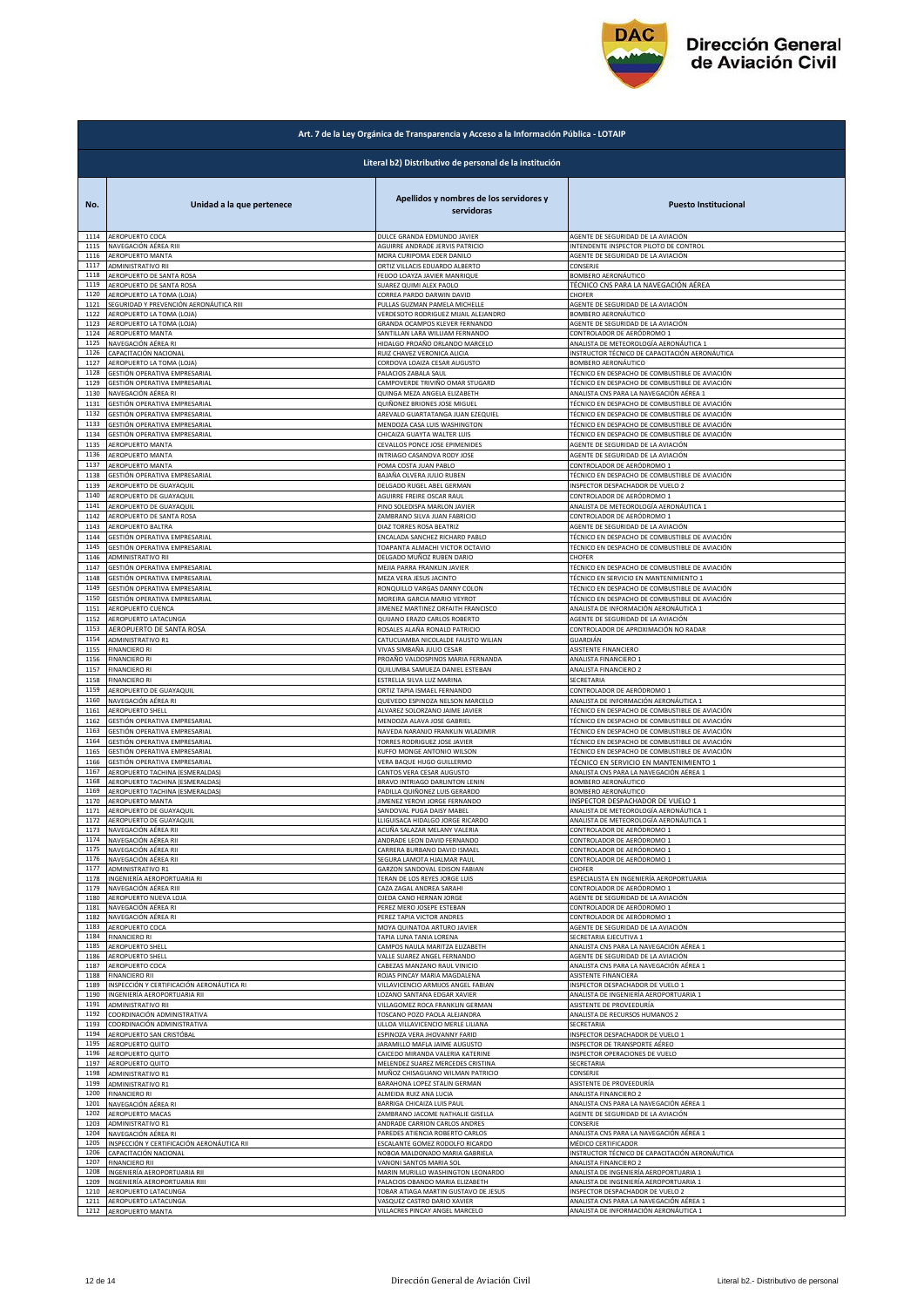

|              | Art. 7 de la Ley Orgánica de Transparencia y Acceso a la Información Pública - LOTAIP |                                                       |                                                |  |
|--------------|---------------------------------------------------------------------------------------|-------------------------------------------------------|------------------------------------------------|--|
|              | Literal b2) Distributivo de personal de la institución                                |                                                       |                                                |  |
| No.          | Unidad a la que pertenece                                                             | Apellidos y nombres de los servidores y<br>servidoras | <b>Puesto Institucional</b>                    |  |
| 1114         | AEROPUERTO COCA                                                                       | DULCE GRANDA EDMUNDO JAVIER                           | AGENTE DE SEGURIDAD DE LA AVIACIÓN             |  |
| 1115         | NAVEGACIÓN AÉREA RIII                                                                 | AGUIRRE ANDRADE JERVIS PATRICIO                       | INTENDENTE INSPECTOR PILOTO DE CONTROL         |  |
| 1116         | AEROPUERTO MANTA                                                                      | MORA CURIPOMA EDER DANILO                             | AGENTE DE SEGURIDAD DE LA AVIACIÓN             |  |
| 1117         | ADMINISTRATIVO RII                                                                    | ORTIZ VILLACIS EDUARDO ALBERTO                        | CONSERJE                                       |  |
| 1118         | AEROPUERTO DE SANTA ROSA                                                              | FEIJOO LOAYZA JAVIER MANRIQUE                         | BOMBERO AERONÁUTICO                            |  |
| 1119         | AEROPUERTO DE SANTA ROSA                                                              | SUAREZ QUIMI ALEX PAOLO                               | TÉCNICO CNS PARA LA NAVEGACIÓN AÉREA           |  |
| 1120         | AEROPUERTO LA TOMA (LOJA)                                                             | CORREA PARDO DARWIN DAVID                             | CHOFER                                         |  |
| 1121         | SEGURIDAD Y PREVENCIÓN AERONÁUTICA RIII                                               | PULLAS GUZMAN PAMELA MICHELLE                         | AGENTE DE SEGURIDAD DE LA AVIACIÓN             |  |
| 1122         | AEROPUERTO LA TOMA (LOJA)                                                             | VERDESOTO RODRIGUEZ MIJAIL ALEJANDRO                  | BOMBERO AERONÁUTICO                            |  |
| 1123         | AEROPUERTO LA TOMA (LOJA)                                                             | GRANDA OCAMPOS KLEVER FERNANDO                        | AGENTE DE SEGURIDAD DE LA AVIACIÓN             |  |
| 1124         | <b>AEROPUERTO MANTA</b>                                                               | SANTILLAN LARA WILLIAM FERNANDO                       | CONTROLADOR DE AERÓDROMO 1                     |  |
| 1125         | NAVEGACIÓN AÉREA RI                                                                   | HIDALGO PROAÑO ORLANDO MARCELO                        | ANALISTA DE METEOROLOGÍA AERONÁUTICA 1         |  |
| 1126         | CAPACITACIÓN NACIONA                                                                  | RUIZ CHAVEZ VERONICA ALICIA                           | INSTRUCTOR TÉCNICO DE CAPACITACIÓN AERONÁUTICA |  |
| 1127         | AEROPUERTO LA TOMA (LOJA)                                                             | CORDOVA LOAIZA CESAR AUGUSTO                          | BOMBERO AERONÁUTICO                            |  |
| 1128         | GESTIÓN OPERATIVA EMPRESARIAL                                                         | PALACIOS ZABALA SAUL                                  | TÉCNICO EN DESPACHO DE COMBUSTIBLE DE AVIACIÓN |  |
| 1129         | GESTIÓN OPERATIVA EMPRESARIAL                                                         | CAMPOVERDE TRIVIÑO OMAR STUGARD                       | TÉCNICO EN DESPACHO DE COMBUSTIBLE DE AVIACIÓN |  |
| 1130         | NAVEGACIÓN AÉREA RI                                                                   | QUINGA MEZA ANGELA ELIZABETH                          | ANALISTA CNS PARA LA NAVEGACIÓN AÉREA 1        |  |
| 1131         | GESTIÓN OPERATIVA EMPRESARIAL                                                         | QUIÑONEZ BRIONES JOSE MIGUEL                          | TÉCNICO EN DESPACHO DE COMBUSTIBLE DE AVIACIÓN |  |
| 1132         | GESTIÓN OPERATIVA EMPRESARIAL                                                         | AREVALO GUARTATANGA JUAN EZEQUIEL                     | TÉCNICO EN DESPACHO DE COMBUSTIBLE DE AVIACIÓN |  |
| 1133         | GESTIÓN OPERATIVA EMPRESARIAL                                                         | MENDOZA CASA LUIS WASHINGTON                          | TÉCNICO EN DESPACHO DE COMBUSTIBLE DE AVIACIÓN |  |
| 1134         | GESTIÓN OPERATIVA EMPRESARIAL                                                         | CHICAIZA GUAYTA WALTER LUIS                           | TÉCNICO EN DESPACHO DE COMBUSTIBLE DE AVIACIÓN |  |
| 1135         | AEROPUERTO MANTA                                                                      | CEVALLOS PONCE JOSE EPIMENIDES                        | AGENTE DE SEGURIDAD DE LA AVIACIÓN             |  |
| 1136         |                                                                                       | INTRIAGO CASANOVA RODY JOSE                           | AGENTE DE SEGURIDAD DE LA AVIACIÓN             |  |
| 1137         | AEROPUERTO MANTA<br>AEROPUERTO MANTA                                                  | POMA COSTA JUAN PABLO                                 | CONTROLADOR DE AERÓDROMO 1                     |  |
| 1138         | GESTIÓN OPERATIVA EMPRESARIAL                                                         | BAJAÑA OLVERA JULIO RUBEN                             | TÉCNICO EN DESPACHO DE COMBUSTIBLE DE AVIACIÓN |  |
| 1139         | AEROPUERTO DE GUAYAQUIL                                                               | DELGADO RUGEL ABEL GERMAN                             | INSPECTOR DESPACHADOR DE VUELO 2               |  |
| 1140         | AEROPUERTO DE GUAYAQUIL                                                               | AGUIRRE FREIRE OSCAR RAUL                             | CONTROLADOR DE AERÓDROMO 1                     |  |
| 1141         | AEROPUERTO DE GUAYAQUIL                                                               | PINO SOLEDISPA MARLON JAVIER                          | ANALISTA DE METEOROLOGÍA AERONÁUTICA 1         |  |
| 1142         | AEROPUERTO DE SANTA ROSA                                                              | ZAMBRANO SILVA JUAN FABRICIO                          | CONTROLADOR DE AERÓDROMO 1                     |  |
| 1143         | AEROPUERTO BALTRA                                                                     | DIAZ TORRES ROSA BEATRIZ                              | AGENTE DE SEGURIDAD DE LA AVIACIÓN             |  |
| 1144         | GESTIÓN OPERATIVA EMPRESARIAL                                                         | ENCALADA SANCHEZ RICHARD PABLO                        | TÉCNICO EN DESPACHO DE COMBUSTIBLE DE AVIACIÓN |  |
| 1145         | GESTIÓN OPERATIVA EMPRESARIAL                                                         | TOAPANTA ALMACHI VICTOR OCTAVIO                       | TÉCNICO EN DESPACHO DE COMBUSTIBLE DE AVIACIÓN |  |
| 1146         | <b>ADMINISTRATIVO RII</b>                                                             | DELGADO MUÑOZ RUBEN DARIO                             | CHOFER                                         |  |
| 1147         | GESTIÓN OPERATIVA EMPRESARIAL                                                         | MEJIA PARRA FRANKLIN JAVIER                           | TÉCNICO EN DESPACHO DE COMBUSTIBLE DE AVIACIÓN |  |
| 1148         | GESTIÓN OPERATIVA EMPRESARIAL                                                         | MEZA VERA JESUS JACINTO                               | TÉCNICO EN SERVICIO EN MANTENIMIENTO 1         |  |
| 1149         | GESTIÓN OPERATIVA EMPRESARIAL                                                         | RONQUILLO VARGAS DANNY COLON                          | TÉCNICO EN DESPACHO DE COMBUSTIBLE DE AVIACIÓN |  |
| 1150         | GESTIÓN OPERATIVA EMPRESARIAL                                                         | MOREIRA GARCIA MARIO VEYROT                           | TÉCNICO EN DESPACHO DE COMBUSTIBLE DE AVIACIÓN |  |
| 1151         | AEROPUERTO CUENCA                                                                     | JIMENEZ MARTINEZ ORFAITH FRANCISCO                    | ANALISTA DE INFORMACIÓN AERONÁUTICA 1          |  |
| 1152         | AEROPUERTO LATACUNGA                                                                  | QUIJANO ERAZO CARLOS ROBERTO                          | AGENTE DE SEGURIDAD DE LA AVIACIÓN             |  |
| 1153         | AEROPUERTO DE SANTA ROSA                                                              | ROSALES ALAÑA RONALD PATRICIO                         | CONTROLADOR DE APROXIMACIÓN NO RADAR           |  |
| 1154         | <b>ADMINISTRATIVO R1</b>                                                              | CATUCUAMBA NICOLALDE FAUSTO WILIAN                    | GUARDIÁN                                       |  |
| 1155         | <b>FINANCIERO RI</b>                                                                  | VIVAS SIMBAÑA JULIO CESAR                             | ASISTENTE FINANCIERO                           |  |
| 1156         | <b>FINANCIERO RI</b>                                                                  | PROAÑO VALDOSPINOS MARIA FERNANDA                     | ANALISTA FINANCIERO 1                          |  |
| 1157         | <b>FINANCIERO RI</b>                                                                  | QUILUMBA SAMUEZA DANIEL ESTEBAN                       | ANALISTA FINANCIERO 2                          |  |
| 1158         | <b>FINANCIERO RI</b>                                                                  | ESTRELLA SILVA LUZ MARINA                             | SECRETARIA                                     |  |
| 1159         | AEROPUERTO DE GUAYAQUIL                                                               | ORTIZ TAPIA ISMAEL FERNANDO                           | CONTROLADOR DE AERÓDROMO 1                     |  |
| 1160         | NAVEGACIÓN AÉREA RI                                                                   | QUEVEDO ESPINOZA NELSON MARCELO                       | ANALISTA DE INFORMACIÓN AERONÁUTICA 1          |  |
| 1161         | AEROPUERTO SHELL                                                                      | ALVAREZ SOLORZANO JAIME JAVIER                        | TÉCNICO EN DESPACHO DE COMBUSTIBLE DE AVIACIÓN |  |
| 1162         | GESTIÓN OPERATIVA EMPRESARIAL                                                         | MENDOZA ALAVA JOSE GABRIEI                            | TÉCNICO EN DESPACHO DE COMBUSTIBLE DE AVIACIÓN |  |
| 1163         | GESTIÓN OPERATIVA EMPRESARIAL                                                         | NAVEDA NARANJO FRANKLIN WLADIMIR                      | TÉCNICO EN DESPACHO DE COMBUSTIBLE DE AVIACIÓN |  |
| 1164         | GESTIÓN OPERATIVA EMPRESARIAL                                                         | TORRES RODRIGUEZ JOSE JAVIER                          | TÉCNICO EN DESPACHO DE COMBUSTIBLE DE AVIACIÓN |  |
| 1165         | GESTIÓN OPERATIVA EMPRESARIAL                                                         | KUFFO MONGE ANTONIO WILSON                            | TÉCNICO EN DESPACHO DE COMBUSTIBLE DE AVIACIÓN |  |
| 1166         | GESTIÓN OPERATIVA EMPRESARIAL                                                         | VERA BAQUE HUGO GUILLERMO                             | TÉCNICO EN SERVICIO EN MANTENIMIENTO 1         |  |
| 1167         | AEROPUERTO TACHINA (ESMERALDAS                                                        | CANTOS VERA CESAR AUGUSTO                             | ANALISTA CNS PARA LA NAVEGACIÓN AÉREA 1        |  |
| 1168         | AEROPUERTO TACHINA (ESMERALDAS)                                                       | BRAVO INTRIAGO DARLINTON LENIN                        | BOMBERO AERONÁUTICO                            |  |
| 1169         | AEROPUERTO TACHINA (ESMERALDAS)                                                       | PADILLA QUIÑONEZ LUIS GERARDO                         | BOMBERO AERONÁUTICO                            |  |
| 1170         | AEROPUERTO MANTA                                                                      | JIMENEZ YEROVI JORGE FERNANDO                         | INSPECTOR DESPACHADOR DE VUELO 1               |  |
| 1171         | AEROPUERTO DE GUAYAQUIL                                                               | SANDOVAL PUGA DAISY MABEL                             | ANALISTA DE METEOROLOGÍA AERONÁUTICA 1         |  |
| 1172         | AEROPUERTO DE GUAYAQUIL                                                               | LLIGUISACA HIDALGO JORGE RICARDO                      | ANALISTA DE METEOROLOGÍA AERONÁUTICA 1         |  |
| 1174         | 1173 NAVEGACIÓN AÉREA RII                                                             | ACUÑA SALAZAR MELANY VALERIA                          | CONTROLADOR DE AERÓDROMO 1                     |  |
|              | NAVEGACIÓN AÉREA RII                                                                  | ANDRADE LEON DAVID FERNANDO                           | CONTROLADOR DE AERÓDROMO 1                     |  |
| 1175         | NAVEGACIÓN AÉREA RII                                                                  | CARRERA BURBANO DAVID ISMAEL                          | CONTROLADOR DE AERÓDROMO 1                     |  |
| 1176         | NAVEGACIÓN AÉREA RII                                                                  | SEGURA LAMOTA HJALMAR PAUL                            | CONTROLADOR DE AERÓDROMO 1                     |  |
| 1177         | <b>ADMINISTRATIVO R1</b>                                                              | GARZON SANDOVAL EDISON FABIAN                         | CHOFER                                         |  |
| 1178         | INGENIERÍA AEROPORTUARIA RI                                                           | TERAN DE LOS REYES JORGE LUIS                         | ESPECIALISTA EN INGENIERÍA AEROPORTUARIA       |  |
| 1179         | NAVEGACIÓN AÉREA RIII                                                                 | CAZA ZAGAL ANDREA SARAHI                              | CONTROLADOR DE AERÓDROMO 1                     |  |
| 1180         | AEROPUERTO NUEVA LOJA                                                                 | OJEDA CANO HERNAN JORGE                               | AGENTE DE SEGURIDAD DE LA AVIACIÓN             |  |
| 1181         | NAVEGACIÓN AÉREA RI                                                                   | PEREZ MERO JOSEPE ESTEBAN                             | CONTROLADOR DE AERÓDROMO 1                     |  |
| 1182         | NAVEGACIÓN AÉREA RI                                                                   | PEREZ TAPIA VICTOR ANDRES                             | CONTROLADOR DE AERÓDROMO 1                     |  |
| 1183         | AEROPUERTO COCA                                                                       | MOYA QUINATOA ARTURO JAVIER                           | AGENTE DE SEGURIDAD DE LA AVIACIÓN             |  |
| 1184         | <b>FINANCIERO RI</b>                                                                  | <b>TAPIA LUNA TANIA LORENA</b>                        | SECRETARIA EJECUTIVA 1                         |  |
| 1185         | AEROPUERTO SHELL                                                                      | CAMPOS NAULA MARITZA ELIZABETH                        | ANALISTA CNS PARA LA NAVEGACIÓN AÉREA 1        |  |
| 1186         | <b>AEROPUERTO SHELL</b>                                                               | VALLE SUAREZ ANGEL FERNANDO                           | AGENTE DE SEGURIDAD DE LA AVIACIÓN             |  |
| 1187         | AEROPUERTO COCA                                                                       | CABEZAS MANZANO RAUL VINICIO                          | ANALISTA CNS PARA LA NAVEGACIÓN AÉREA 1        |  |
| 1188         | <b>FINANCIERO RII</b>                                                                 | ROJAS PINCAY MARIA MAGDALENA                          | ASISTENTE FINANCIERA                           |  |
| 1189         | INSPECCIÓN Y CERTIFICACIÓN AERONÁUTICA RI                                             | VILLAVICENCIO ARMIJOS ANGEL FABIAN                    | INSPECTOR DESPACHADOR DE VUELO 1               |  |
| 1190         | INGENIERÍA AEROPORTUARIA RII                                                          | LOZANO SANTANA EDGAR XAVIER                           | ANALISTA DE INGENIERÍA AEROPORTUARIA 1         |  |
| 1191         | ADMINISTRATIVO RII                                                                    | VILLAGOMEZ ROCA FRANKLIN GERMAN                       | ASISTENTE DE PROVEEDURÍA                       |  |
| 1192         | COORDINACIÓN ADMINISTRATIVA                                                           | TOSCANO POZO PAOLA ALEJANDRA                          | ANALISTA DE RECURSOS HUMANOS 2                 |  |
| 1193         | COORDINACIÓN ADMINISTRATIVA                                                           | ULLOA VILLAVICENCIO MERLE LILIANA                     | SECRETARIA                                     |  |
| 1194         | AEROPUERTO SAN CRISTÓBAL                                                              | ESPINOZA VERA JHOVANNY FARID                          | INSPECTOR DESPACHADOR DE VUELO 1               |  |
| 1195         | <b>AEROPUERTO QUITO</b>                                                               | <b>JARAMILLO MAFLA JAIME AUGUSTO</b>                  | INSPECTOR DE TRANSPORTE AÉREO                  |  |
| 1196         | AEROPUERTO QUITO                                                                      | CAICEDO MIRANDA VALERIA KATERINE                      | INSPECTOR OPERACIONES DE VUELO                 |  |
| 1197         | AEROPUERTO QUITO                                                                      | MELENDEZ SUAREZ MERCEDES CRISTINA                     | SECRETARIA                                     |  |
| 1198         | ADMINISTRATIVO R1                                                                     | MUÑOZ CHISAGUANO WILMAN PATRICIO                      | CONSERJE                                       |  |
| 1199         | ADMINISTRATIVO R1                                                                     | BARAHONA LOPEZ STALIN GERMAN                          | ASISTENTE DE PROVEEDURÍA                       |  |
| 1200<br>1201 | <b>FINANCIERO RI</b>                                                                  | ALMEIDA RUIZ ANA LUCIA                                | ANALISTA FINANCIERO 2                          |  |
| 1202         | NAVEGACIÓN AÉREA RI                                                                   | BARRIGA CHICAIZA LUIS PAUL                            | ANALISTA CNS PARA LA NAVEGACIÓN AÉREA 1        |  |
|              | AEROPUERTO MACAS                                                                      | ZAMBRANO JACOME NATHALIE GISELLA                      | AGENTE DE SEGURIDAD DE LA AVIACIÓN             |  |
| 1203         | ADMINISTRATIVO R1                                                                     | ANDRADE CARRION CARLOS ANDRES                         | CONSERJE                                       |  |
| 1204         | NAVEGACIÓN AÉREA RI                                                                   | PAREDES ATIENCIA ROBERTO CARLOS                       | ANALISTA CNS PARA LA NAVEGACIÓN AÉREA 1        |  |
| 1205         | INSPECCIÓN Y CERTIFICACIÓN AERONÁUTICA RII                                            | ESCALANTE GOMEZ RODOLFO RICARDO                       | MÉDICO CERTIFICADOR                            |  |
| 1206         | CAPACITACIÓN NACIONAL                                                                 | NOBOA MALDONADO MARIA GABRIELA                        | INSTRUCTOR TÉCNICO DE CAPACITACIÓN AERONÁUTICA |  |
| 1207         | <b>FINANCIERO RII</b>                                                                 | VANONI SANTOS MARIA SOL                               | ANALISTA FINANCIERO 2                          |  |
| 1208         | INGENIERÍA AEROPORTUARIA RII                                                          | MARIN MURILLO WASHINGTON LEONARDO                     | ANALISTA DE INGENIERÍA AEROPORTUARIA 1         |  |
| 1209         | INGENIERÍA AEROPORTUARIA RIII                                                         | PALACIOS OBANDO MARIA ELIZABETH                       | ANALISTA DE INGENIERÍA AEROPORTUARIA 1         |  |
| 1210         | AEROPUERTO LATACUNGA                                                                  | TOBAR ATIAGA MARTIN GUSTAVO DE JESUS                  | INSPECTOR DESPACHADOR DE VUELO 2               |  |
| 1211         | AEROPUERTO LATACUNGA                                                                  | VASQUEZ CASTRO DARIO XAVIER                           | ANALISTA CNS PARA LA NAVEGACIÓN AÉREA 1        |  |
| 1212         | AEROPUERTO MANTA                                                                      | VILLACRES PINCAY ANGEL MARCELO                        | ANALISTA DE INFORMACIÓN AERONÁUTICA 1          |  |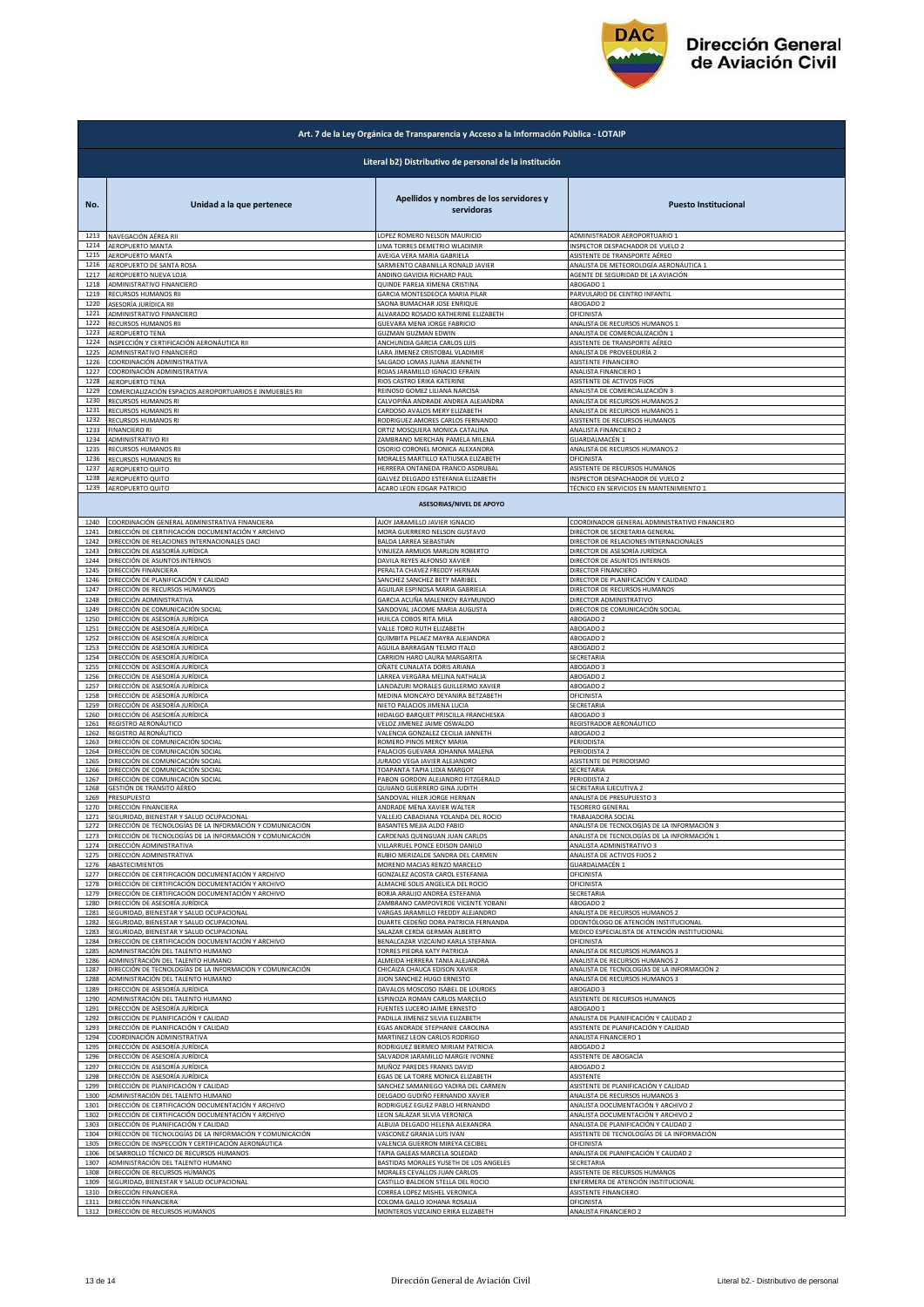

| Art. 7 de la Ley Orgánica de Transparencia y Acceso a la Información Pública - LOTAIP |                                                                 |                                                       |                                               |  |
|---------------------------------------------------------------------------------------|-----------------------------------------------------------------|-------------------------------------------------------|-----------------------------------------------|--|
| Literal b2) Distributivo de personal de la institución                                |                                                                 |                                                       |                                               |  |
| No.                                                                                   | Unidad a la que pertenece                                       | Apellidos y nombres de los servidores y<br>servidoras | <b>Puesto Institucional</b>                   |  |
| 1213                                                                                  | NAVEGACIÓN AÉREA RII                                            | LOPEZ ROMERO NELSON MAURICIO                          | ADMINISTRADOR AEROPORTUARIO 1                 |  |
| 1214                                                                                  | AEROPUERTO MANTA                                                | LIMA TORRES DEMETRIO WLADIMIR                         | INSPECTOR DESPACHADOR DE VUELO 2              |  |
| 1215                                                                                  | AEROPUERTO MANTA                                                | AVEIGA VERA MARIA GABRIELA                            | ASISTENTE DE TRANSPORTE AÉREO                 |  |
| 1216                                                                                  | AEROPUERTO DE SANTA ROSA                                        | SARMIENTO CABANILLA RONALD JAVIER                     | ANALISTA DE METEOROLOGÍA AERONÁUTICA 1        |  |
| 1217                                                                                  | AEROPUERTO NUEVA LOJA                                           | ANDINO GAVIDIA RICHARD PAUL                           | AGENTE DE SEGURIDAD DE LA AVIACIÓN            |  |
| 1218                                                                                  | ADMINISTRATIVO FINANCIERO                                       | QUINDE PAREJA XIMENA CRISTINA                         | ABOGADO 1                                     |  |
| 1219                                                                                  | RECURSOS HUMANOS RII                                            | GARCIA MONTESDEOCA MARIA PILAR                        | PARVULARIO DE CENTRO INFANTIL                 |  |
| 1220                                                                                  | ASESORÍA JURÍDICA RII                                           | SAONA BUMACHAR JOSE ENRIQUE                           | ABOGADO 2                                     |  |
| 1221                                                                                  | ADMINISTRATIVO FINANCIERO                                       | ALVARADO ROSADO KATHERINE ELIZABETH                   | OFICINISTA                                    |  |
| 1222                                                                                  | RECURSOS HUMANOS RII                                            | GUEVARA MENA JORGE FABRICIO                           | ANALISTA DE RECURSOS HUMANOS 1                |  |
| 1223                                                                                  | AEROPUERTO TENA                                                 | <b>GUZMAN GUZMAN EDWIN</b>                            | ANALISTA DE COMERCIALIZACIÓN 1                |  |
| 1224                                                                                  | INSPECCIÓN Y CERTIFICACIÓN AERONÁUTICA RII                      | ANCHUNDIA GARCIA CARLOS LUIS                          | ASISTENTE DE TRANSPORTE AÉREO                 |  |
| 1225                                                                                  | ADMINISTRATIVO FINANCIERO                                       | LARA JIMENEZ CRISTOBAL VLADIMIR                       | ANALISTA DE PROVEEDURÍA 2                     |  |
| 1226                                                                                  | COORDINACIÓN ADMINISTRATIVA                                     | SALGADO LOMAS JUANA JEANNETH                          | ASISTENTE FINANCIERO                          |  |
| 1227                                                                                  | COORDINACIÓN ADMINISTRATIVA                                     | ROJAS JARAMILLO IGNACIO EFRAIN                        | ANALISTA FINANCIERO 1                         |  |
| 1228                                                                                  | AEROPUERTO TENA                                                 | RIOS CASTRO ERIKA KATERINE                            | ASISTENTE DE ACTIVOS FIJOS                    |  |
| 1229                                                                                  | COMERCIALIZACIÓN ESPACIOS AEROPORTUARIOS E INMUEBLES RII        | REINOSO GOMEZ LILIANA NARCISA                         | ANALISTA DE COMERCIALIZACIÓN 3                |  |
| 1230                                                                                  | RECURSOS HUMANOS RI                                             | CALVOPIÑA ANDRADE ANDREA ALEJANDRA                    | ANALISTA DE RECURSOS HUMANOS 2                |  |
| 1231                                                                                  | RECURSOS HUMANOS RI                                             | CARDOSO AVALOS MERY ELIZABETH                         | ANALISTA DE RECURSOS HUMANOS 1                |  |
| 1232                                                                                  | RECURSOS HUMANOS RI                                             | RODRIGUEZ AMORES CARLOS FERNANDO                      | ASISTENTE DE RECURSOS HUMANOS                 |  |
| 1233                                                                                  | <b>FINANCIERO RI</b>                                            | ORTIZ MOSQUERA MONICA CATALINA                        | ANALISTA FINANCIERO 2                         |  |
| 1234                                                                                  | ADMINISTRATIVO RII                                              | ZAMBRANO MERCHAN PAMELA MILENA                        | GUARDALMACÉN 1                                |  |
| 1235                                                                                  | RECURSOS HUMANOS RII                                            | OSORIO CORONEL MONICA ALEXANDRA                       | ANALISTA DE RECURSOS HUMANOS 2                |  |
| 1236                                                                                  | RECURSOS HUMANOS RII                                            | MORALES MARTILLO KATIUSKA ELIZABETH                   | OFICINISTA                                    |  |
| 1237                                                                                  | AEROPUERTO QUITO                                                | HERRERA ONTANEDA FRANCO ASDRUBAL                      | ASISTENTE DE RECURSOS HUMANOS                 |  |
| 1238                                                                                  | AEROPUERTO QUITO                                                | GALVEZ DELGADO ESTEFANIA ELIZABETH                    | INSPECTOR DESPACHADOR DE VUELO 2              |  |
| 1239                                                                                  | AEROPUERTO QUITO                                                | ACARO LEON EDGAR PATRICIO                             | TÉCNICO EN SERVICIOS EN MANTENIMIENTO 1       |  |
|                                                                                       |                                                                 | <b>ASESORIAS/NIVEL DE APOYO</b>                       |                                               |  |
| 1240                                                                                  | COORDINACIÓN GENERAL ADMINISTRATIVA FINANCIERA                  | AJOY JARAMILLO JAVIER IGNACIO                         | COORDINADOR GENERAL ADMINISTRATIVO FINANCIERO |  |
| 1241                                                                                  | DIRECCIÓN DE CERTIFICACIÓN DOCUMENTACIÓN Y ARCHIVO              | MORA GUERRERO NELSON GUSTAVO                          | DIRECTOR DE SECRETARIA GENERAL                |  |
| 1242                                                                                  | DIRECCIÓN DE RELACIONES INTERNACIONALES OACI                    | <b>BALDA LARREA SEBASTIAN</b>                         | DIRECTOR DE RELACIONES INTERNACIONALES        |  |
| 1243                                                                                  | DIRECCIÓN DE ASESORÍA JURÍDICA<br>DIRECCIÓN DE ASUNTOS INTERNOS | VINUEZA ARMIJOS MARLON ROBERTO                        | DIRECTOR DE ASESORÍA JURÍDICA                 |  |
| 1244                                                                                  | DIRECCIÓN FINANCIERA                                            | DAVILA REYES ALFONSO XAVIER                           | DIRECTOR DE ASUNTOS INTERNOS                  |  |
| 1245                                                                                  |                                                                 | PERALTA CHAVEZ FREDDY HERNAN                          | DIRECTOR FINANCIERO                           |  |
| 1246                                                                                  | DIRECCIÓN DE PLANIFICACIÓN Y CALIDAD                            | SANCHEZ SANCHEZ BETY MARIBEL                          | DIRECTOR DE PLANIFICACIÓN Y CALIDAD           |  |
| 1247                                                                                  | DIRECCIÓN DE RECURSOS HUMANOS                                   | AGUILAR ESPINOSA MARIA GABRIELA                       | DIRECTOR DE RECURSOS HUMANOS                  |  |
| 1248                                                                                  | DIRECCIÓN ADMINISTRATIVA                                        | GARCIA ACUÑA MALENKOV RAYMUNDO                        | DIRECTOR ADMINISTRATIVO                       |  |
| 1249                                                                                  | DIRECCIÓN DE COMUNICACIÓN SOCIAL                                | SANDOVAL JACOME MARIA AUGUSTA                         | DIRECTOR DE COMUNICACIÓN SOCIAL               |  |
| 1250                                                                                  | DIRECCIÓN DE ASESORÍA JURÍDICA                                  | HUILCA COBOS RITA MILA                                | ABOGADO 2                                     |  |
| 1251                                                                                  | DIRECCIÓN DE ASESORÍA JURÍDICA                                  | VALLE TORO RUTH ELIZABETH                             | ABOGADO 2                                     |  |
| 1252                                                                                  | DIRECCIÓN DE ASESORÍA JURÍDICA                                  | QUIMBITA PELAEZ MAYRA ALEJANDRA                       | ABOGADO 2                                     |  |
| 1253                                                                                  | DIRECCIÓN DE ASESORÍA JURÍDICA                                  | AGUILA BARRAGAN TELMO ITALO                           | ABOGADO 2                                     |  |
| 1254                                                                                  | DIRECCIÓN DE ASESORÍA JURÍDICA                                  | CARRION HARO LAURA MARGARITA                          | SECRETARIA                                    |  |
| 1255                                                                                  | DIRECCIÓN DE ASESORÍA JURÍDICA                                  | OÑATE CUNALATA DORIS ARIANA                           | ABOGADO 3                                     |  |
| 1256                                                                                  | DIRECCIÓN DE ASESORÍA JURÍDICA                                  | LARREA VERGARA MELINA NATHALIA                        | ABOGADO 2                                     |  |
| 1257                                                                                  | DIRECCIÓN DE ASESORÍA JURÍDICA                                  | LANDAZURI MORALES GUILLERMO XAVIER                    | ABOGADO 2                                     |  |
| 1258                                                                                  | DIRECCIÓN DE ASESORÍA JURÍDICA                                  | MEDINA MONCAYO DEYANIRA BETZABETH                     | OFICINISTA                                    |  |
| 1259                                                                                  | DIRECCIÓN DE ASESORÍA JURÍDICA                                  | NIETO PALACIOS JIMENA LUCIA                           | SECRETARIA                                    |  |
| 1260                                                                                  | DIRECCIÓN DE ASESORÍA JURÍDICA                                  | HIDALGO BARQUET PRISCILLA FRANCHESKA                  | ABOGADO 3                                     |  |
| 1261                                                                                  | REGISTRO AERONÁUTICO                                            | VELOZ JIMENEZ JAIME OSWALDO                           | REGISTRADOR AERONÁUTICO                       |  |
| 1262                                                                                  | REGISTRO AERONÁUTICO                                            | VALENCIA GONZALEZ CECILIA JANNETH                     | ABOGADO 2                                     |  |
| 1263                                                                                  | DIRECCIÓN DE COMUNICACIÓN SOCIAL                                | ROMERO PINOS MERCY MARIA                              | PERIODISTA                                    |  |
| 1264                                                                                  | DIRECCIÓN DE COMUNICACIÓN SOCIAL                                | PALACIOS GUEVARA JOHANNA MALENA                       | PERIODISTA <sub>2</sub>                       |  |
| 1265                                                                                  | DIRECCIÓN DE COMUNICACIÓN SOCIAL                                | <b>JURADO VEGA JAVIER ALEJANDRO</b>                   | ASISTENTE DE PERIODISMO                       |  |
| 1266                                                                                  | DIRECCIÓN DE COMUNICACIÓN SOCIAL                                | <b>TOAPANTA TAPIA LIDIA MARGOT</b>                    | SECRETARIA                                    |  |
| 1267                                                                                  | DIRECCIÓN DE COMUNICACIÓN SOCIAL                                | PABON GORDON ALEJANDRO FITZGERALD                     | PERIODISTA 2                                  |  |
| 1268                                                                                  | GESTIÓN DE TRANSITO AÉREO                                       | QUIJANO GUERRERO GINA JUDITH                          | SECRETARIA EJECUTIVA 2                        |  |
| 1269                                                                                  | PRESUPUESTO                                                     | SANDOVAL HILER JORGE HERNAN                           | ANALISTA DE PRESUPUESTO 3                     |  |
| 1270                                                                                  | DIRECCIÓN FINANCIERA                                            | ANDRADE MENA XAVIER WALTER                            | <b>TESORERO GENERAL</b>                       |  |
| 1271                                                                                  | SEGURIDAD, BIENESTAR Y SALUD OCUPACIONAL                        | VALLEJO CABADIANA YOLANDA DEL ROCIO                   | TRABAJADORA SOCIAL                            |  |
| 1272                                                                                  | DIRECCIÓN DE TECNOLOGÍAS DE LA INFORMACIÓN Y COMUNICACIÓN       | BASANTES MEJIA ALDO FABIO                             | ANALISTA DE TECNOLOGÍAS DE LA INFORMACIÓN 3   |  |
| 1273                                                                                  | DIRECCIÓN DE TECNOLOGÍAS DE LA INFORMACIÓN Y COMUNICACIÓN       | CARDENAS QUENGUAN JUAN CARLOS                         | ANALISTA DE TECNOLOGÍAS DE LA INFORMACIÓN 1   |  |
| 1274                                                                                  | DIRECCIÓN ADMINISTRATIVA                                        | VILLARRUEL PONCE EDISON DANILO                        | ANALISTA ADMINISTRATIVO 3                     |  |
| 1275                                                                                  | DIRECCIÓN ADMINISTRATIVA                                        | RUBIO MERIZALDE SANDRA DEL CARMEN                     | ANALISTA DE ACTIVOS FIJOS 2                   |  |
| 1276                                                                                  | ABASTECIMIENTOS                                                 | MORENO MACIAS RENZO MARCELO                           | GUARDALMACÉN 1                                |  |
| 1277                                                                                  | DIRECCIÓN DE CERTIFICACIÓN DOCUMENTACIÓN Y ARCHIVO              | <b>GONZALEZ ACOSTA CAROL ESTEFANIA</b>                | OFICINISTA                                    |  |
| 1278                                                                                  | DIRECCIÓN DE CERTIFICACIÓN DOCUMENTACIÓN Y ARCHIVO              | ALMACHE SOLIS ANGELICA DEL ROCIO                      | OFICINISTA                                    |  |
|                                                                                       | DIRECCIÓN DE CERTIFICACIÓN DOCUMENTACIÓN Y ARCHIVO              | BORJA ARAUJO ANDREA ESTEFANIA                         | SECRETARIA                                    |  |
| 1279<br>1280                                                                          | DIRECCIÓN DE ASESORÍA JURÍDICA                                  | ZAMBRANO CAMPOVERDE VICENTE YOBANI                    | ABOGADO 2                                     |  |
| 1281                                                                                  | SEGURIDAD, BIENESTAR Y SALUD OCUPACIONAL                        | VARGAS JARAMILLO FREDDY ALEJANDRO                     | ANALISTA DE RECURSOS HUMANOS 2                |  |
| 1282                                                                                  | SEGURIDAD, BIENESTAR Y SALUD OCUPACIONAL                        | DUARTE CEDEÑO DORA PATRICIA FERNANDA                  | ODONTÓLOGO DE ATENCIÓN INSTITUCIONAL          |  |
| 1283                                                                                  | SEGURIDAD, BIENESTAR Y SALUD OCUPACIONAL                        | SALAZAR CERDA GERMAN ALBERTO                          | MEDICO ESPECIALISTA DE ATENCIÓN INSTITUCIONAL |  |
| 1284                                                                                  | DIRECCIÓN DE CERTIFICACIÓN DOCUMENTACIÓN Y ARCHIVO              | BENALCAZAR VIZCAINO KARLA STEFANIA                    | OFICINISTA                                    |  |
| 1285                                                                                  | ADMINISTRACIÓN DEL TALENTO HUMANO                               | TORRES PIEDRA KATY PATRICIA                           | ANALISTA DE RECURSOS HUMANOS 3                |  |
| 1286                                                                                  | ADMINISTRACIÓN DEL TALENTO HUMANO                               | ALMEIDA HERRERA TANIA ALEJANDRA                       | ANALISTA DE RECURSOS HUMANOS 2                |  |
| 1287                                                                                  | DIRECCIÓN DE TECNOLOGÍAS DE LA INFORMACIÓN Y COMUNICACIÓN       | CHICAIZA CHAUCA EDISON XAVIER                         | ANALISTA DE TECNOLOGÍAS DE LA INFORMACIÓN 2   |  |
| 1288                                                                                  | ADMINISTRACIÓN DEL TALENTO HUMANO                               | JIJON SANCHEZ HUGO ERNESTO                            | ANALISTA DE RECURSOS HUMANOS 3                |  |
| 1289                                                                                  | DIRECCIÓN DE ASESORÍA JURÍDICA                                  | DAVALOS MOSCOSO ISABEL DE LOURDES                     | ABOGADO 3                                     |  |
| 1290                                                                                  | ADMINISTRACIÓN DEL TALENTO HUMANO                               | ESPINOZA ROMAN CARLOS MARCELO                         | ASISTENTE DE RECURSOS HUMANOS                 |  |
| 1291                                                                                  | DIRECCIÓN DE ASESORÍA JURÍDICA                                  | FUENTES LUCERO JAIME ERNESTO                          | ABOGADO 1                                     |  |
| 1292                                                                                  | DIRECCIÓN DE PLANIFICACIÓN Y CALIDAD                            | PADILLA JIMENEZ SILVIA ELIZABETH                      | ANALISTA DE PLANIFICACIÓN Y CALIDAD 2         |  |
| 1293                                                                                  | DIRECCIÓN DE PLANIFICACIÓN Y CALIDAD                            | GAS ANDRADE STEPHANIE CAROLINA                        | ASISTENTE DE PLANIFICACIÓN Y CALIDAD          |  |
| 1294                                                                                  | COORDINACIÓN ADMINISTRATIVA                                     | MARTINEZ LEON CARLOS RODRIGO                          | ANALISTA FINANCIERO 1                         |  |
| 1295                                                                                  | DIRECCIÓN DE ASESORÍA JURÍDICA                                  | RODRIGUEZ BERMEO MIRIAM PATRICIA                      | ABOGADO 2                                     |  |
| 1296                                                                                  | DIRECCIÓN DE ASESORÍA JURÍDICA                                  | SALVADOR JARAMILLO MARGIE IVONNE                      | ASISTENTE DE ABOGACÍA                         |  |
| 1297                                                                                  | DIRECCIÓN DE ASESORÍA JURÍDICA                                  | MUÑOZ PAREDES FRANKS DAVID                            | ABOGADO 2                                     |  |
| 1298                                                                                  | DIRECCIÓN DE ASESORÍA JURÍDICA                                  | EGAS DE LA TORRE MONICA ELIZABETH                     | ASISTENTE                                     |  |
| 1299                                                                                  | DIRECCIÓN DE PLANIFICACIÓN Y CALIDAD                            | SANCHEZ SAMANIEGO YADIRA DEL CARMEN                   | ASISTENTE DE PLANIFICACIÓN Y CALIDAD          |  |
| 1300                                                                                  | ADMINISTRACIÓN DEL TALENTO HUMANO                               | DELGADO GUDIÑO FERNANDO XAVIER                        | ANALISTA DE RECURSOS HUMANOS 3                |  |
| 1301                                                                                  | DIRECCIÓN DE CERTIFICACIÓN DOCUMENTACIÓN Y ARCHIVO              | RODRIGUEZ EGUEZ PABLO HERNANDO                        | ANALISTA DOCUMENTACIÓN Y ARCHIVO 2            |  |
| 1302                                                                                  | DIRECCIÓN DE CERTIFICACIÓN DOCUMENTACIÓN Y ARCHIVO              | LEON SALAZAR SILVIA VERONICA                          | ANALISTA DOCUMENTACIÓN Y ARCHIVO 2            |  |
| 1303                                                                                  | DIRECCIÓN DE PLANIFICACIÓN Y CALIDAD                            | ALBUJA DELGADO HELENA ALEXANDRA                       | ANALISTA DE PLANIFICACIÓN Y CALIDAD 2         |  |
| 1304                                                                                  | DIRECCIÓN DE TECNOLOGÍAS DE LA INFORMACIÓN Y COMUNICACIÓN       | VASCONEZ GRANJA LUIS IVAN                             | ASISTENTE DE TECNOLOGÍAS DE LA INFORMACIÓN    |  |
| 1305                                                                                  | DIRECCIÓN DE INSPECCIÓN Y CERTIFICACIÓN AERONÁUTICA             | VALENCIA GUERRON MIREYA CECIBEL                       | OFICINISTA                                    |  |
| 1306                                                                                  | DESARROLLO TÉCNICO DE RECURSOS HUMANOS                          | TAPIA GALEAS MARCELA SOLEDAD                          | ANALISTA DE PLANIFICACIÓN Y CALIDAD 2         |  |
| 1307                                                                                  | ADMINISTRACIÓN DEL TALENTO HUMANO                               | BASTIDAS MORALES YUSETH DE LOS ANGELES                | SECRETARIA                                    |  |
| 1308                                                                                  | DIRECCIÓN DE RECURSOS HUMANOS                                   | MORALES CEVALLOS JUAN CARLOS                          | ASISTENTE DE RECURSOS HUMANOS                 |  |
| 1309                                                                                  | SEGURIDAD, BIENESTAR Y SALUD OCUPACIONAL                        | CASTILLO BALDEON STELLA DEL ROCIO                     | ENFERMERA DE ATENCIÓN INSTITUCIONAL           |  |
| 1310                                                                                  | DIRECCIÓN FINANCIERA                                            | CORREA LOPEZ MISHEL VERONICA                          | ASISTENTE FINANCIERO                          |  |
| 1311                                                                                  | DIRECCIÓN FINANCIERA                                            | COLOMA GALLO JOHANA ROSALIA                           | OFICINISTA                                    |  |
| 1312                                                                                  | DIRECCIÓN DE RECURSOS HUMANOS                                   | MONTEROS VIZCAINO ERIKA ELIZABETH                     | ANALISTA FINANCIERO 2                         |  |